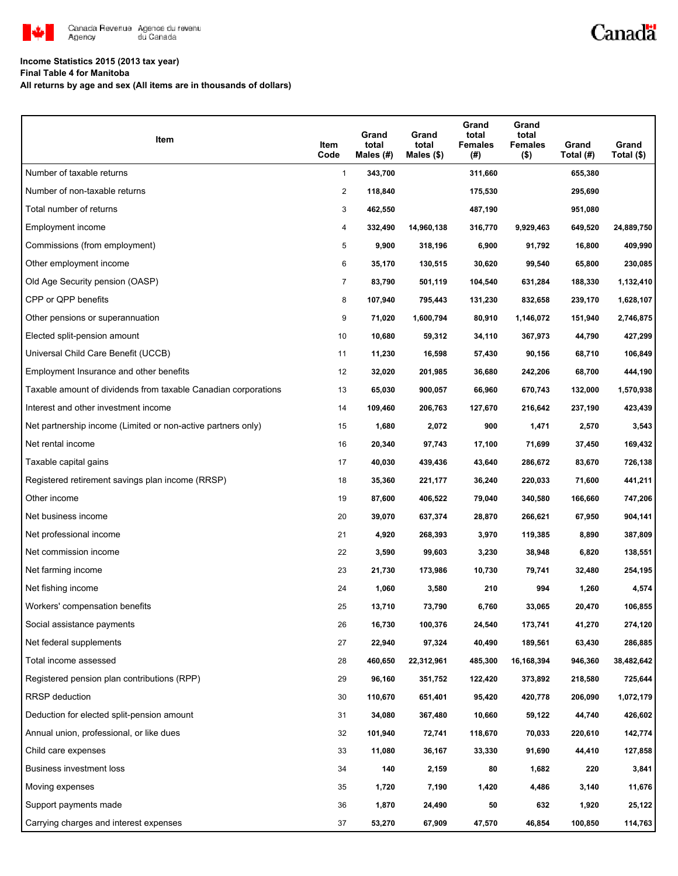

# Canadä

## **Income Statistics 2015 (2013 tax year)**

**Final Table 4 for Manitoba**

**All returns by age and sex (All items are in thousands of dollars)**

| Item                                                           | Item<br>Code   | Grand<br>total<br>Males $(H)$ | Grand<br>total<br>Males $($)$ | Grand<br>total<br><b>Females</b><br>(#) | Grand<br>total<br><b>Females</b><br>$($ \$) | Grand<br>Total (#) | Grand<br>Total $(\$)$ |
|----------------------------------------------------------------|----------------|-------------------------------|-------------------------------|-----------------------------------------|---------------------------------------------|--------------------|-----------------------|
| Number of taxable returns                                      | $\mathbf{1}$   | 343,700                       |                               | 311,660                                 |                                             | 655,380            |                       |
| Number of non-taxable returns                                  | 2              | 118,840                       |                               | 175,530                                 |                                             | 295,690            |                       |
| Total number of returns                                        | 3              | 462,550                       |                               | 487,190                                 |                                             | 951,080            |                       |
| Employment income                                              | 4              | 332,490                       | 14,960,138                    | 316,770                                 | 9,929,463                                   | 649,520            | 24,889,750            |
| Commissions (from employment)                                  | 5              | 9,900                         | 318,196                       | 6,900                                   | 91,792                                      | 16,800             | 409,990               |
| Other employment income                                        | 6              | 35,170                        | 130,515                       | 30,620                                  | 99,540                                      | 65,800             | 230,085               |
| Old Age Security pension (OASP)                                | $\overline{7}$ | 83,790                        | 501,119                       | 104,540                                 | 631,284                                     | 188,330            | 1,132,410             |
| CPP or QPP benefits                                            | 8              | 107,940                       | 795,443                       | 131,230                                 | 832,658                                     | 239,170            | 1,628,107             |
| Other pensions or superannuation                               | 9              | 71,020                        | 1,600,794                     | 80,910                                  | 1,146,072                                   | 151,940            | 2,746,875             |
| Elected split-pension amount                                   | 10             | 10,680                        | 59,312                        | 34,110                                  | 367,973                                     | 44,790             | 427,299               |
| Universal Child Care Benefit (UCCB)                            | 11             | 11,230                        | 16,598                        | 57,430                                  | 90,156                                      | 68,710             | 106,849               |
| Employment Insurance and other benefits                        | 12             | 32,020                        | 201,985                       | 36,680                                  | 242,206                                     | 68,700             | 444,190               |
| Taxable amount of dividends from taxable Canadian corporations | 13             | 65,030                        | 900,057                       | 66,960                                  | 670,743                                     | 132,000            | 1,570,938             |
| Interest and other investment income                           | 14             | 109,460                       | 206,763                       | 127,670                                 | 216,642                                     | 237,190            | 423,439               |
| Net partnership income (Limited or non-active partners only)   | 15             | 1,680                         | 2,072                         | 900                                     | 1,471                                       | 2,570              | 3,543                 |
| Net rental income                                              | 16             | 20,340                        | 97,743                        | 17,100                                  | 71,699                                      | 37,450             | 169,432               |
| Taxable capital gains                                          | 17             | 40,030                        | 439,436                       | 43,640                                  | 286,672                                     | 83,670             | 726,138               |
| Registered retirement savings plan income (RRSP)               | 18             | 35,360                        | 221,177                       | 36,240                                  | 220,033                                     | 71,600             | 441,211               |
| Other income                                                   | 19             | 87,600                        | 406,522                       | 79,040                                  | 340,580                                     | 166,660            | 747,206               |
| Net business income                                            | 20             | 39,070                        | 637,374                       | 28,870                                  | 266,621                                     | 67,950             | 904,141               |
| Net professional income                                        | 21             | 4,920                         | 268,393                       | 3,970                                   | 119,385                                     | 8,890              | 387,809               |
| Net commission income                                          | 22             | 3,590                         | 99,603                        | 3,230                                   | 38,948                                      | 6,820              | 138,551               |
| Net farming income                                             | 23             | 21,730                        | 173,986                       | 10,730                                  | 79,741                                      | 32,480             | 254,195               |
| Net fishing income                                             | 24             | 1,060                         | 3,580                         | 210                                     | 994                                         | 1,260              | 4,574                 |
| Workers' compensation benefits                                 | 25             | 13,710                        | 73,790                        | 6,760                                   | 33,065                                      | 20,470             | 106,855               |
| Social assistance payments                                     | 26             | 16,730                        | 100,376                       | 24,540                                  | 173,741                                     | 41,270             | 274,120               |
| Net federal supplements                                        | 27             | 22,940                        | 97,324                        | 40,490                                  | 189,561                                     | 63,430             | 286,885               |
| Total income assessed                                          | 28             | 460,650                       | 22,312,961                    | 485,300                                 | 16,168,394                                  | 946,360            | 38,482,642            |
| Registered pension plan contributions (RPP)                    | 29             | 96,160                        | 351,752                       | 122,420                                 | 373,892                                     | 218,580            | 725,644               |
| <b>RRSP</b> deduction                                          | 30             | 110,670                       | 651,401                       | 95,420                                  | 420,778                                     | 206,090            | 1,072,179             |
| Deduction for elected split-pension amount                     | 31             | 34,080                        | 367,480                       | 10,660                                  | 59,122                                      | 44,740             | 426,602               |
| Annual union, professional, or like dues                       | 32             | 101,940                       | 72,741                        | 118,670                                 | 70,033                                      | 220,610            | 142,774               |
| Child care expenses                                            | 33             | 11,080                        | 36,167                        | 33,330                                  | 91,690                                      | 44,410             | 127,858               |
| Business investment loss                                       | 34             | 140                           | 2,159                         | 80                                      | 1,682                                       | 220                | 3,841                 |
| Moving expenses                                                | 35             | 1,720                         | 7,190                         | 1,420                                   | 4,486                                       | 3,140              | 11,676                |
| Support payments made                                          | 36             | 1,870                         | 24,490                        | 50                                      | 632                                         | 1,920              | 25,122                |
| Carrying charges and interest expenses                         | 37             | 53,270                        | 67,909                        | 47,570                                  | 46,854                                      | 100,850            | 114,763               |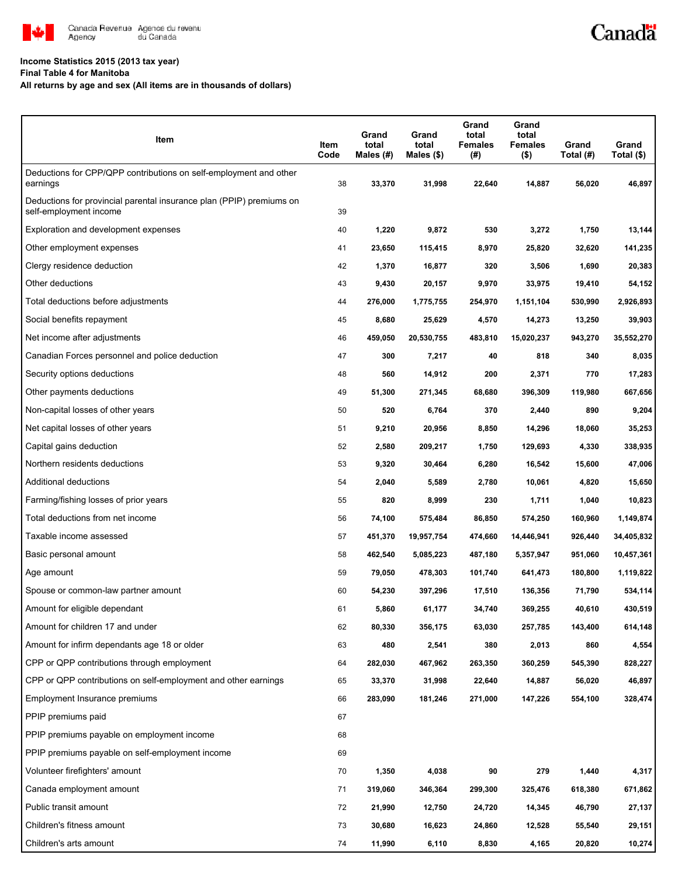

#### **Income Statistics 2015 (2013 tax year)**

**Final Table 4 for Manitoba**

**All returns by age and sex (All items are in thousands of dollars)**

| Item                                                                                           | Item<br>Code | Grand<br>total<br>Males (#) | Grand<br>total<br>Males $($)$ | Grand<br>total<br><b>Females</b><br>(#) | Grand<br>total<br>Females<br>$($ \$) | Grand<br>Total (#) | Grand<br>Total (\$) |
|------------------------------------------------------------------------------------------------|--------------|-----------------------------|-------------------------------|-----------------------------------------|--------------------------------------|--------------------|---------------------|
| Deductions for CPP/QPP contributions on self-employment and other<br>earnings                  | 38           | 33,370                      | 31,998                        | 22,640                                  | 14,887                               | 56,020             | 46,897              |
| Deductions for provincial parental insurance plan (PPIP) premiums on<br>self-employment income | 39           |                             |                               |                                         |                                      |                    |                     |
| Exploration and development expenses                                                           | 40           | 1,220                       | 9,872                         | 530                                     | 3,272                                | 1,750              | 13,144              |
| Other employment expenses                                                                      | 41           | 23,650                      | 115,415                       | 8,970                                   | 25,820                               | 32,620             | 141,235             |
| Clergy residence deduction                                                                     | 42           | 1,370                       | 16,877                        | 320                                     | 3,506                                | 1,690              | 20,383              |
| Other deductions                                                                               | 43           | 9,430                       | 20,157                        | 9,970                                   | 33,975                               | 19,410             | 54,152              |
| Total deductions before adjustments                                                            | 44           | 276,000                     | 1,775,755                     | 254,970                                 | 1,151,104                            | 530,990            | 2,926,893           |
| Social benefits repayment                                                                      | 45           | 8,680                       | 25,629                        | 4,570                                   | 14,273                               | 13,250             | 39,903              |
| Net income after adjustments                                                                   | 46           | 459,050                     | 20,530,755                    | 483,810                                 | 15,020,237                           | 943,270            | 35,552,270          |
| Canadian Forces personnel and police deduction                                                 | 47           | 300                         | 7,217                         | 40                                      | 818                                  | 340                | 8,035               |
| Security options deductions                                                                    | 48           | 560                         | 14,912                        | 200                                     | 2,371                                | 770                | 17,283              |
| Other payments deductions                                                                      | 49           | 51,300                      | 271,345                       | 68,680                                  | 396,309                              | 119,980            | 667,656             |
| Non-capital losses of other years                                                              | 50           | 520                         | 6,764                         | 370                                     | 2,440                                | 890                | 9,204               |
| Net capital losses of other years                                                              | 51           | 9,210                       | 20,956                        | 8,850                                   | 14,296                               | 18,060             | 35,253              |
| Capital gains deduction                                                                        | 52           | 2,580                       | 209,217                       | 1,750                                   | 129,693                              | 4,330              | 338,935             |
| Northern residents deductions                                                                  | 53           | 9,320                       | 30,464                        | 6,280                                   | 16,542                               | 15,600             | 47,006              |
| Additional deductions                                                                          | 54           | 2,040                       | 5,589                         | 2,780                                   | 10,061                               | 4,820              | 15,650              |
| Farming/fishing losses of prior years                                                          | 55           | 820                         | 8,999                         | 230                                     | 1,711                                | 1,040              | 10,823              |
| Total deductions from net income                                                               | 56           | 74,100                      | 575,484                       | 86,850                                  | 574,250                              | 160,960            | 1,149,874           |
| Taxable income assessed                                                                        | 57           | 451,370                     | 19,957,754                    | 474,660                                 | 14,446,941                           | 926,440            | 34,405,832          |
| Basic personal amount                                                                          | 58           | 462,540                     | 5,085,223                     | 487,180                                 | 5,357,947                            | 951,060            | 10,457,361          |
| Age amount                                                                                     | 59           | 79,050                      | 478,303                       | 101,740                                 | 641,473                              | 180,800            | 1,119,822           |
| Spouse or common-law partner amount                                                            | 60           | 54,230                      | 397,296                       | 17,510                                  | 136,356                              | 71,790             | 534,114             |
| Amount for eligible dependant                                                                  | 61           | 5,860                       | 61,177                        | 34,740                                  | 369,255                              | 40,610             | 430,519             |
| Amount for children 17 and under                                                               | 62           | 80,330                      | 356,175                       | 63,030                                  | 257,785                              | 143,400            | 614,148             |
| Amount for infirm dependants age 18 or older                                                   | 63           | 480                         | 2,541                         | 380                                     | 2,013                                | 860                | 4,554               |
| CPP or QPP contributions through employment                                                    | 64           | 282,030                     | 467,962                       | 263,350                                 | 360,259                              | 545,390            | 828,227             |
| CPP or QPP contributions on self-employment and other earnings                                 | 65           | 33,370                      | 31,998                        | 22,640                                  | 14,887                               | 56,020             | 46,897              |
| Employment Insurance premiums                                                                  | 66           | 283,090                     | 181,246                       | 271,000                                 | 147,226                              | 554,100            | 328,474             |
| PPIP premiums paid                                                                             | 67           |                             |                               |                                         |                                      |                    |                     |
| PPIP premiums payable on employment income                                                     | 68           |                             |                               |                                         |                                      |                    |                     |
| PPIP premiums payable on self-employment income                                                | 69           |                             |                               |                                         |                                      |                    |                     |
| Volunteer firefighters' amount                                                                 | 70           | 1,350                       | 4,038                         | 90                                      | 279                                  | 1,440              | 4,317               |
| Canada employment amount                                                                       | 71           | 319,060                     | 346,364                       | 299,300                                 | 325,476                              | 618,380            | 671,862             |
| Public transit amount                                                                          | 72           | 21,990                      | 12,750                        | 24,720                                  | 14,345                               | 46,790             | 27,137              |
| Children's fitness amount                                                                      | 73           | 30,680                      | 16,623                        | 24,860                                  | 12,528                               | 55,540             | 29,151              |
| Children's arts amount                                                                         | 74           | 11,990                      | 6,110                         | 8,830                                   | 4,165                                | 20,820             | 10,274              |

Canadä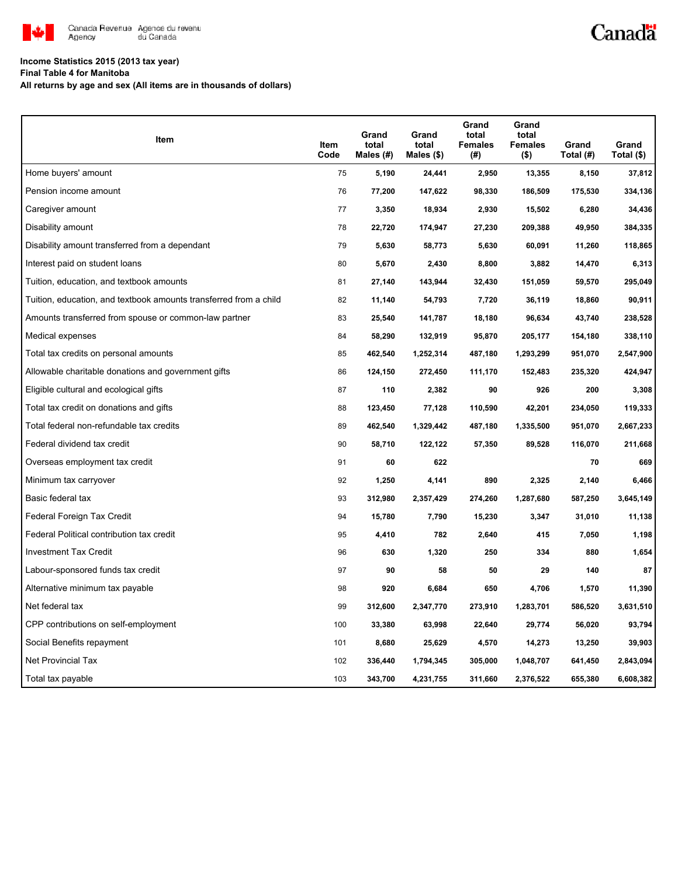

# Canadä

## **Income Statistics 2015 (2013 tax year)**

**Final Table 4 for Manitoba**

**All returns by age and sex (All items are in thousands of dollars)**

| Item                                                              | Item<br>Code | Grand<br>total<br>Males $(H)$ | Grand<br>total<br>Males (\$) | Grand<br>total<br><b>Females</b><br>(#) | Grand<br>total<br><b>Females</b><br>$($ \$) | Grand<br>Total (#) | Grand<br>Total (\$) |
|-------------------------------------------------------------------|--------------|-------------------------------|------------------------------|-----------------------------------------|---------------------------------------------|--------------------|---------------------|
| Home buyers' amount                                               | 75           | 5,190                         | 24,441                       | 2,950                                   | 13,355                                      | 8,150              | 37,812              |
| Pension income amount                                             | 76           | 77,200                        | 147,622                      | 98,330                                  | 186,509                                     | 175,530            | 334,136             |
| Caregiver amount                                                  | 77           | 3,350                         | 18,934                       | 2,930                                   | 15,502                                      | 6,280              | 34,436              |
| Disability amount                                                 | 78           | 22,720                        | 174,947                      | 27,230                                  | 209,388                                     | 49,950             | 384,335             |
| Disability amount transferred from a dependant                    | 79           | 5,630                         | 58,773                       | 5,630                                   | 60,091                                      | 11,260             | 118,865             |
| Interest paid on student loans                                    | 80           | 5,670                         | 2,430                        | 8,800                                   | 3,882                                       | 14,470             | 6,313               |
| Tuition, education, and textbook amounts                          | 81           | 27,140                        | 143,944                      | 32,430                                  | 151,059                                     | 59,570             | 295,049             |
| Tuition, education, and textbook amounts transferred from a child | 82           | 11,140                        | 54,793                       | 7,720                                   | 36,119                                      | 18,860             | 90,911              |
| Amounts transferred from spouse or common-law partner             | 83           | 25,540                        | 141,787                      | 18,180                                  | 96,634                                      | 43,740             | 238,528             |
| Medical expenses                                                  | 84           | 58,290                        | 132,919                      | 95,870                                  | 205,177                                     | 154,180            | 338,110             |
| Total tax credits on personal amounts                             | 85           | 462,540                       | 1,252,314                    | 487,180                                 | 1,293,299                                   | 951,070            | 2,547,900           |
| Allowable charitable donations and government gifts               | 86           | 124,150                       | 272,450                      | 111,170                                 | 152,483                                     | 235,320            | 424,947             |
| Eligible cultural and ecological gifts                            | 87           | 110                           | 2,382                        | 90                                      | 926                                         | 200                | 3,308               |
| Total tax credit on donations and gifts                           | 88           | 123,450                       | 77,128                       | 110,590                                 | 42,201                                      | 234,050            | 119,333             |
| Total federal non-refundable tax credits                          | 89           | 462,540                       | 1,329,442                    | 487,180                                 | 1,335,500                                   | 951,070            | 2,667,233           |
| Federal dividend tax credit                                       | 90           | 58,710                        | 122,122                      | 57,350                                  | 89,528                                      | 116,070            | 211,668             |
| Overseas employment tax credit                                    | 91           | 60                            | 622                          |                                         |                                             | 70                 | 669                 |
| Minimum tax carryover                                             | 92           | 1,250                         | 4,141                        | 890                                     | 2,325                                       | 2,140              | 6,466               |
| Basic federal tax                                                 | 93           | 312,980                       | 2,357,429                    | 274,260                                 | 1,287,680                                   | 587,250            | 3,645,149           |
| Federal Foreign Tax Credit                                        | 94           | 15,780                        | 7,790                        | 15,230                                  | 3,347                                       | 31,010             | 11,138              |
| Federal Political contribution tax credit                         | 95           | 4,410                         | 782                          | 2,640                                   | 415                                         | 7,050              | 1,198               |
| <b>Investment Tax Credit</b>                                      | 96           | 630                           | 1,320                        | 250                                     | 334                                         | 880                | 1,654               |
| Labour-sponsored funds tax credit                                 | 97           | 90                            | 58                           | 50                                      | 29                                          | 140                | 87                  |
| Alternative minimum tax payable                                   | 98           | 920                           | 6,684                        | 650                                     | 4,706                                       | 1,570              | 11,390              |
| Net federal tax                                                   | 99           | 312,600                       | 2,347,770                    | 273,910                                 | 1,283,701                                   | 586,520            | 3,631,510           |
| CPP contributions on self-employment                              | 100          | 33,380                        | 63,998                       | 22,640                                  | 29,774                                      | 56,020             | 93,794              |
| Social Benefits repayment                                         | 101          | 8,680                         | 25,629                       | 4,570                                   | 14,273                                      | 13,250             | 39,903              |
| Net Provincial Tax                                                | 102          | 336,440                       | 1,794,345                    | 305,000                                 | 1,048,707                                   | 641,450            | 2,843,094           |
| Total tax payable                                                 | 103          | 343,700                       | 4,231,755                    | 311,660                                 | 2,376,522                                   | 655,380            | 6,608,382           |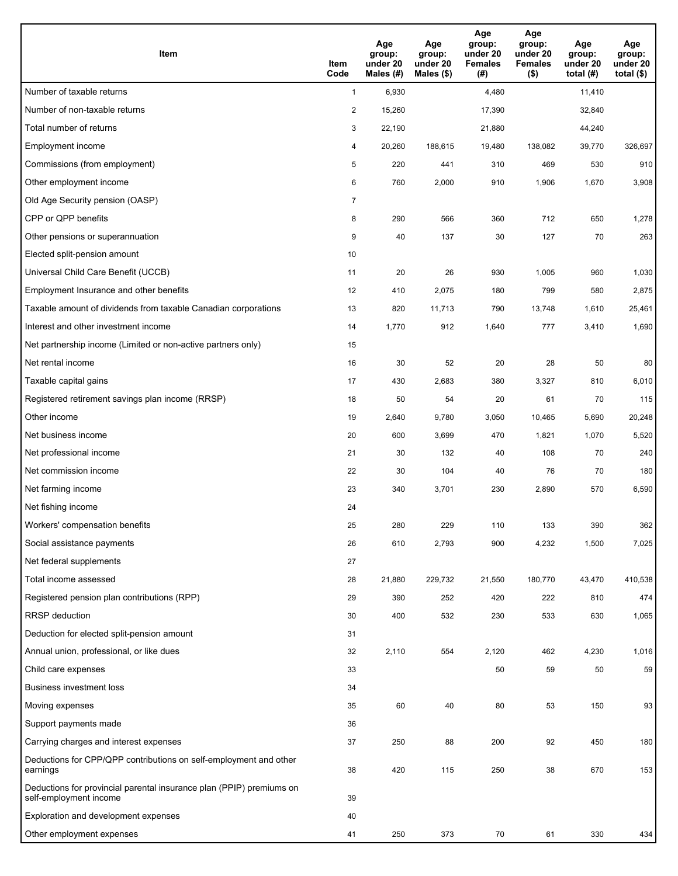| <b>Item</b>                                                                                    | Item<br>Code            | Age<br>group:<br>under 20<br>Males (#) | Age<br>group:<br>under 20<br>Males (\$) | Age<br>group:<br>under 20<br><b>Females</b><br>(#) | Age<br>group:<br>under 20<br><b>Females</b><br>$($ \$) | Age<br>group:<br>under 20<br>total $(H)$ | Age<br>group:<br>under 20<br>total $($)$ |
|------------------------------------------------------------------------------------------------|-------------------------|----------------------------------------|-----------------------------------------|----------------------------------------------------|--------------------------------------------------------|------------------------------------------|------------------------------------------|
| Number of taxable returns                                                                      | $\mathbf{1}$            | 6,930                                  |                                         | 4,480                                              |                                                        | 11,410                                   |                                          |
| Number of non-taxable returns                                                                  | $\overline{\mathbf{c}}$ | 15,260                                 |                                         | 17,390                                             |                                                        | 32,840                                   |                                          |
| Total number of returns                                                                        | 3                       | 22,190                                 |                                         | 21,880                                             |                                                        | 44,240                                   |                                          |
| Employment income                                                                              | 4                       | 20,260                                 | 188,615                                 | 19,480                                             | 138,082                                                | 39,770                                   | 326,697                                  |
| Commissions (from employment)                                                                  | 5                       | 220                                    | 441                                     | 310                                                | 469                                                    | 530                                      | 910                                      |
| Other employment income                                                                        | 6                       | 760                                    | 2,000                                   | 910                                                | 1,906                                                  | 1,670                                    | 3,908                                    |
| Old Age Security pension (OASP)                                                                | $\overline{7}$          |                                        |                                         |                                                    |                                                        |                                          |                                          |
| CPP or QPP benefits                                                                            | 8                       | 290                                    | 566                                     | 360                                                | 712                                                    | 650                                      | 1,278                                    |
| Other pensions or superannuation                                                               | 9                       | 40                                     | 137                                     | 30                                                 | 127                                                    | 70                                       | 263                                      |
| Elected split-pension amount                                                                   | 10                      |                                        |                                         |                                                    |                                                        |                                          |                                          |
| Universal Child Care Benefit (UCCB)                                                            | 11                      | 20                                     | 26                                      | 930                                                | 1,005                                                  | 960                                      | 1,030                                    |
| Employment Insurance and other benefits                                                        | 12                      | 410                                    | 2,075                                   | 180                                                | 799                                                    | 580                                      | 2,875                                    |
| Taxable amount of dividends from taxable Canadian corporations                                 | 13                      | 820                                    | 11,713                                  | 790                                                | 13,748                                                 | 1,610                                    | 25,461                                   |
| Interest and other investment income                                                           | 14                      | 1,770                                  | 912                                     | 1,640                                              | 777                                                    | 3,410                                    | 1,690                                    |
| Net partnership income (Limited or non-active partners only)                                   | 15                      |                                        |                                         |                                                    |                                                        |                                          |                                          |
| Net rental income                                                                              | 16                      | 30                                     | 52                                      | 20                                                 | 28                                                     | 50                                       | 80                                       |
| Taxable capital gains                                                                          | 17                      | 430                                    | 2,683                                   | 380                                                | 3,327                                                  | 810                                      | 6,010                                    |
| Registered retirement savings plan income (RRSP)                                               | 18                      | 50                                     | 54                                      | 20                                                 | 61                                                     | 70                                       | 115                                      |
| Other income                                                                                   | 19                      | 2,640                                  | 9,780                                   | 3,050                                              | 10,465                                                 | 5,690                                    | 20,248                                   |
| Net business income                                                                            | 20                      | 600                                    | 3,699                                   | 470                                                | 1,821                                                  | 1,070                                    | 5,520                                    |
| Net professional income                                                                        | 21                      | 30                                     | 132                                     | 40                                                 | 108                                                    | 70                                       | 240                                      |
| Net commission income                                                                          | 22                      | 30                                     | 104                                     | 40                                                 | 76                                                     | 70                                       | 180                                      |
| Net farming income                                                                             | 23                      | 340                                    | 3,701                                   | 230                                                | 2,890                                                  | 570                                      | 6,590                                    |
| Net fishing income                                                                             | 24                      |                                        |                                         |                                                    |                                                        |                                          |                                          |
| Workers' compensation benefits                                                                 | 25                      | 280                                    | 229                                     | 110                                                | 133                                                    | 390                                      | 362                                      |
| Social assistance payments                                                                     | 26                      | 610                                    | 2,793                                   | 900                                                | 4,232                                                  | 1,500                                    | 7,025                                    |
| Net federal supplements                                                                        | 27                      |                                        |                                         |                                                    |                                                        |                                          |                                          |
| Total income assessed                                                                          | 28                      | 21,880                                 | 229,732                                 | 21,550                                             | 180,770                                                | 43,470                                   | 410,538                                  |
| Registered pension plan contributions (RPP)                                                    | 29                      | 390                                    | 252                                     | 420                                                | 222                                                    | 810                                      | 474                                      |
| RRSP deduction                                                                                 | 30                      | 400                                    | 532                                     | 230                                                | 533                                                    | 630                                      | 1,065                                    |
| Deduction for elected split-pension amount                                                     | 31                      |                                        |                                         |                                                    |                                                        |                                          |                                          |
| Annual union, professional, or like dues                                                       | 32                      | 2,110                                  | 554                                     | 2,120                                              | 462                                                    | 4,230                                    | 1,016                                    |
| Child care expenses                                                                            | 33                      |                                        |                                         | 50                                                 | 59                                                     | 50                                       | 59                                       |
| <b>Business investment loss</b>                                                                | 34                      |                                        |                                         |                                                    |                                                        |                                          |                                          |
| Moving expenses                                                                                | 35                      | 60                                     | 40                                      | 80                                                 | 53                                                     | 150                                      | 93                                       |
| Support payments made                                                                          | 36                      |                                        |                                         |                                                    |                                                        |                                          |                                          |
| Carrying charges and interest expenses                                                         | 37                      | 250                                    | 88                                      | 200                                                | 92                                                     | 450                                      | 180                                      |
| Deductions for CPP/QPP contributions on self-employment and other<br>earnings                  | 38                      | 420                                    | 115                                     | 250                                                | 38                                                     | 670                                      | 153                                      |
| Deductions for provincial parental insurance plan (PPIP) premiums on<br>self-employment income | 39                      |                                        |                                         |                                                    |                                                        |                                          |                                          |
| Exploration and development expenses                                                           | 40                      |                                        |                                         |                                                    |                                                        |                                          |                                          |
| Other employment expenses                                                                      | 41                      | 250                                    | 373                                     | 70                                                 | 61                                                     | 330                                      | 434                                      |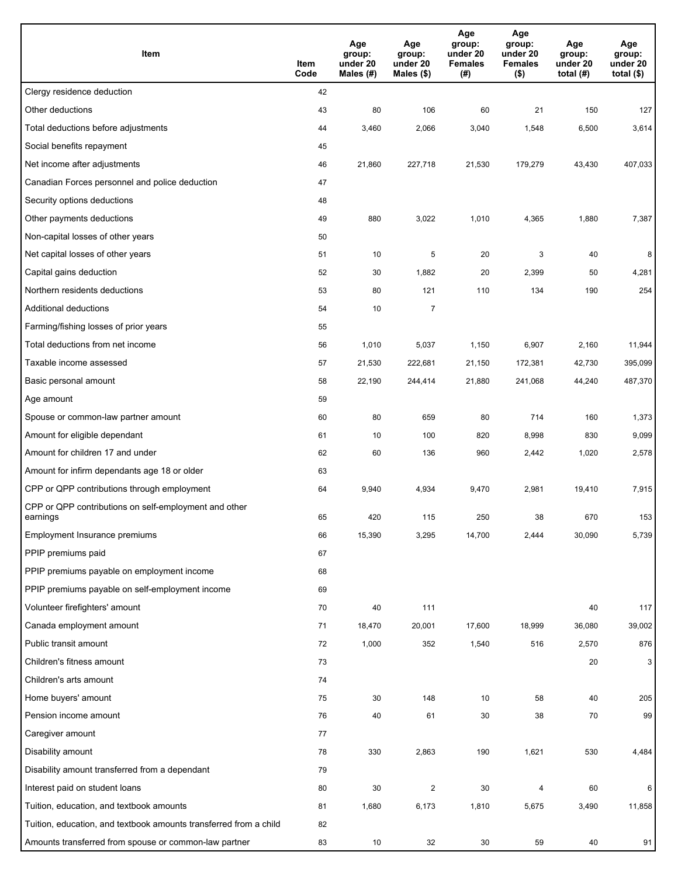| Item                                                              | Item<br>Code | Age<br>group:<br>under 20<br>Males (#) | Age<br>group:<br>under 20<br>Males (\$) | Age<br>group:<br>under 20<br><b>Females</b><br>(#) | Age<br>group:<br>under 20<br><b>Females</b><br>$($ \$) | Age<br>group:<br>under 20<br>total $(H)$ | Age<br>group:<br>under 20<br>total $($)$ |
|-------------------------------------------------------------------|--------------|----------------------------------------|-----------------------------------------|----------------------------------------------------|--------------------------------------------------------|------------------------------------------|------------------------------------------|
| Clergy residence deduction                                        | 42           |                                        |                                         |                                                    |                                                        |                                          |                                          |
| Other deductions                                                  | 43           | 80                                     | 106                                     | 60                                                 | 21                                                     | 150                                      | 127                                      |
| Total deductions before adjustments                               | 44           | 3,460                                  | 2,066                                   | 3,040                                              | 1,548                                                  | 6,500                                    | 3,614                                    |
| Social benefits repayment                                         | 45           |                                        |                                         |                                                    |                                                        |                                          |                                          |
| Net income after adjustments                                      | 46           | 21,860                                 | 227,718                                 | 21,530                                             | 179,279                                                | 43,430                                   | 407,033                                  |
| Canadian Forces personnel and police deduction                    | 47           |                                        |                                         |                                                    |                                                        |                                          |                                          |
| Security options deductions                                       | 48           |                                        |                                         |                                                    |                                                        |                                          |                                          |
| Other payments deductions                                         | 49           | 880                                    | 3,022                                   | 1,010                                              | 4,365                                                  | 1,880                                    | 7,387                                    |
| Non-capital losses of other years                                 | 50           |                                        |                                         |                                                    |                                                        |                                          |                                          |
| Net capital losses of other years                                 | 51           | 10                                     | 5                                       | 20                                                 | 3                                                      | 40                                       | 8                                        |
| Capital gains deduction                                           | 52           | 30                                     | 1,882                                   | 20                                                 | 2,399                                                  | 50                                       | 4,281                                    |
| Northern residents deductions                                     | 53           | 80                                     | 121                                     | 110                                                | 134                                                    | 190                                      | 254                                      |
| Additional deductions                                             | 54           | 10                                     | 7                                       |                                                    |                                                        |                                          |                                          |
| Farming/fishing losses of prior years                             | 55           |                                        |                                         |                                                    |                                                        |                                          |                                          |
| Total deductions from net income                                  | 56           | 1,010                                  | 5,037                                   | 1,150                                              | 6,907                                                  | 2,160                                    | 11,944                                   |
| Taxable income assessed                                           | 57           | 21,530                                 | 222,681                                 | 21,150                                             | 172,381                                                | 42,730                                   | 395,099                                  |
| Basic personal amount                                             | 58           | 22,190                                 | 244,414                                 | 21,880                                             | 241,068                                                | 44,240                                   | 487,370                                  |
| Age amount                                                        | 59           |                                        |                                         |                                                    |                                                        |                                          |                                          |
| Spouse or common-law partner amount                               | 60           | 80                                     | 659                                     | 80                                                 | 714                                                    | 160                                      | 1,373                                    |
| Amount for eligible dependant                                     | 61           | 10                                     | 100                                     | 820                                                | 8,998                                                  | 830                                      | 9,099                                    |
| Amount for children 17 and under                                  | 62           | 60                                     | 136                                     | 960                                                | 2,442                                                  | 1,020                                    | 2,578                                    |
| Amount for infirm dependants age 18 or older                      | 63           |                                        |                                         |                                                    |                                                        |                                          |                                          |
| CPP or QPP contributions through employment                       | 64           | 9,940                                  | 4,934                                   | 9,470                                              | 2,981                                                  | 19,410                                   | 7,915                                    |
| CPP or QPP contributions on self-employment and other<br>earnings | 65           | 420                                    | 115                                     | 250                                                | 38                                                     | 670                                      | 153                                      |
| Employment Insurance premiums                                     | 66           | 15,390                                 | 3,295                                   | 14,700                                             | 2,444                                                  | 30,090                                   | 5,739                                    |
| PPIP premiums paid                                                | 67           |                                        |                                         |                                                    |                                                        |                                          |                                          |
| PPIP premiums payable on employment income                        | 68           |                                        |                                         |                                                    |                                                        |                                          |                                          |
| PPIP premiums payable on self-employment income                   | 69           |                                        |                                         |                                                    |                                                        |                                          |                                          |
| Volunteer firefighters' amount                                    | 70           | 40                                     | 111                                     |                                                    |                                                        | 40                                       | 117                                      |
| Canada employment amount                                          | 71           | 18,470                                 | 20,001                                  | 17,600                                             | 18,999                                                 | 36,080                                   | 39,002                                   |
| Public transit amount                                             | 72           | 1,000                                  | 352                                     | 1,540                                              | 516                                                    | 2,570                                    | 876                                      |
| Children's fitness amount                                         | 73           |                                        |                                         |                                                    |                                                        | 20                                       | 3                                        |
| Children's arts amount                                            | 74           |                                        |                                         |                                                    |                                                        |                                          |                                          |
| Home buyers' amount                                               | 75           | 30                                     | 148                                     | 10                                                 | 58                                                     | 40                                       | 205                                      |
| Pension income amount                                             | 76           | 40                                     | 61                                      | 30                                                 | 38                                                     | 70                                       | 99                                       |
| Caregiver amount                                                  | 77           |                                        |                                         |                                                    |                                                        |                                          |                                          |
| Disability amount                                                 | 78           | 330                                    | 2,863                                   | 190                                                | 1,621                                                  | 530                                      | 4,484                                    |
| Disability amount transferred from a dependant                    | 79           |                                        |                                         |                                                    |                                                        |                                          |                                          |
| Interest paid on student loans                                    | 80           | 30                                     | $\overline{c}$                          | 30                                                 | 4                                                      | 60                                       | 6                                        |
| Tuition, education, and textbook amounts                          | 81           | 1,680                                  | 6,173                                   | 1,810                                              | 5,675                                                  | 3,490                                    | 11,858                                   |
| Tuition, education, and textbook amounts transferred from a child | 82           |                                        |                                         |                                                    |                                                        |                                          |                                          |
| Amounts transferred from spouse or common-law partner             | 83           | 10                                     | 32                                      | 30                                                 | 59                                                     | 40                                       | 91                                       |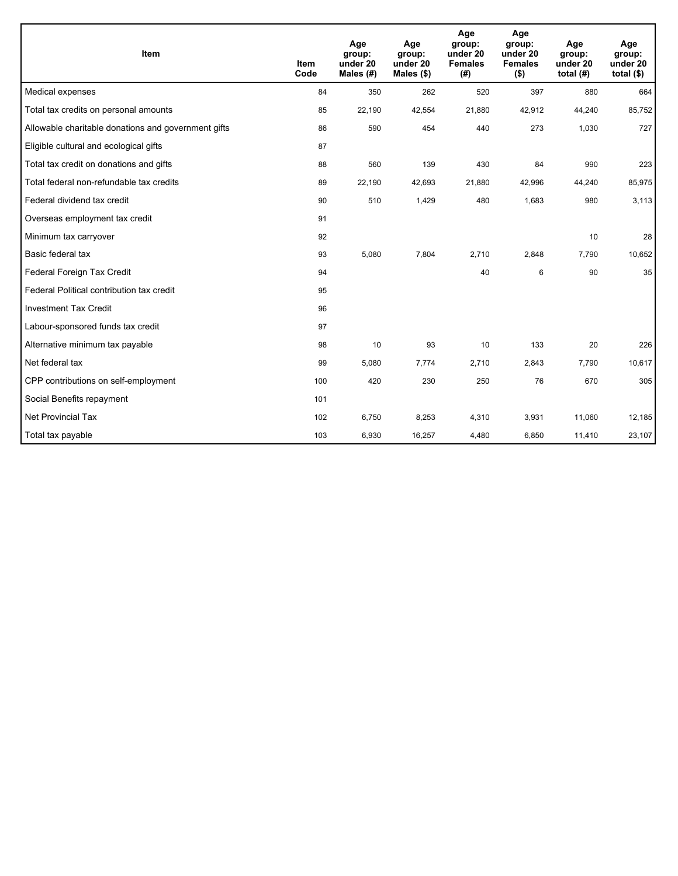| Item                                                | <b>Item</b><br>Code | Age<br>group:<br>under 20<br>Males (#) | Age<br>group:<br>under 20<br>Males (\$) | Age<br>group:<br>under 20<br><b>Females</b><br>(# ) | Age<br>group:<br>under 20<br><b>Females</b><br>$($ \$) | Age<br>group:<br>under 20<br>total $(H)$ | Age<br>group:<br>under 20<br>total $(§)$ |
|-----------------------------------------------------|---------------------|----------------------------------------|-----------------------------------------|-----------------------------------------------------|--------------------------------------------------------|------------------------------------------|------------------------------------------|
| Medical expenses                                    | 84                  | 350                                    | 262                                     | 520                                                 | 397                                                    | 880                                      | 664                                      |
| Total tax credits on personal amounts               | 85                  | 22,190                                 | 42,554                                  | 21,880                                              | 42,912                                                 | 44,240                                   | 85,752                                   |
| Allowable charitable donations and government gifts | 86                  | 590                                    | 454                                     | 440                                                 | 273                                                    | 1,030                                    | 727                                      |
| Eligible cultural and ecological gifts              | 87                  |                                        |                                         |                                                     |                                                        |                                          |                                          |
| Total tax credit on donations and gifts             | 88                  | 560                                    | 139                                     | 430                                                 | 84                                                     | 990                                      | 223                                      |
| Total federal non-refundable tax credits            | 89                  | 22,190                                 | 42,693                                  | 21,880                                              | 42,996                                                 | 44,240                                   | 85,975                                   |
| Federal dividend tax credit                         | 90                  | 510                                    | 1,429                                   | 480                                                 | 1,683                                                  | 980                                      | 3,113                                    |
| Overseas employment tax credit                      | 91                  |                                        |                                         |                                                     |                                                        |                                          |                                          |
| Minimum tax carryover                               | 92                  |                                        |                                         |                                                     |                                                        | 10                                       | 28                                       |
| Basic federal tax                                   | 93                  | 5,080                                  | 7,804                                   | 2,710                                               | 2,848                                                  | 7,790                                    | 10,652                                   |
| Federal Foreign Tax Credit                          | 94                  |                                        |                                         | 40                                                  | 6                                                      | 90                                       | 35                                       |
| Federal Political contribution tax credit           | 95                  |                                        |                                         |                                                     |                                                        |                                          |                                          |
| <b>Investment Tax Credit</b>                        | 96                  |                                        |                                         |                                                     |                                                        |                                          |                                          |
| Labour-sponsored funds tax credit                   | 97                  |                                        |                                         |                                                     |                                                        |                                          |                                          |
| Alternative minimum tax payable                     | 98                  | 10                                     | 93                                      | 10                                                  | 133                                                    | 20                                       | 226                                      |
| Net federal tax                                     | 99                  | 5,080                                  | 7,774                                   | 2,710                                               | 2,843                                                  | 7,790                                    | 10,617                                   |
| CPP contributions on self-employment                | 100                 | 420                                    | 230                                     | 250                                                 | 76                                                     | 670                                      | 305                                      |
| Social Benefits repayment                           | 101                 |                                        |                                         |                                                     |                                                        |                                          |                                          |
| Net Provincial Tax                                  | 102                 | 6,750                                  | 8,253                                   | 4,310                                               | 3,931                                                  | 11,060                                   | 12,185                                   |
| Total tax payable                                   | 103                 | 6,930                                  | 16,257                                  | 4,480                                               | 6,850                                                  | 11,410                                   | 23,107                                   |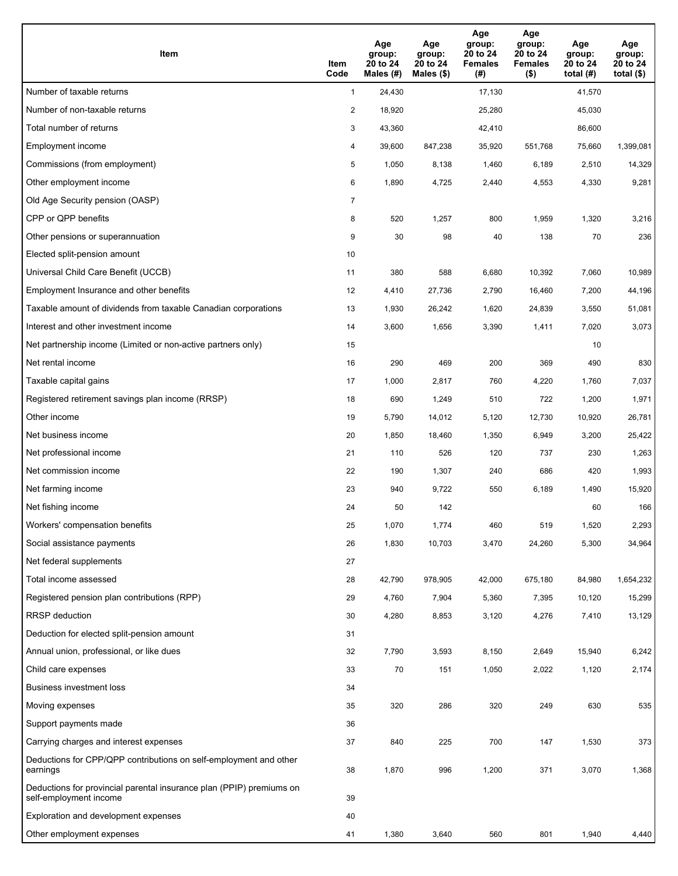| Item                                                                                           | Item<br>Code   | Age<br>group:<br>20 to 24<br>Males (#) | Age<br>group:<br>20 to 24<br>Males (\$) | Age<br>group:<br>20 to 24<br><b>Females</b><br>(#) | Age<br>group:<br>20 to 24<br><b>Females</b><br>$($ \$) | Age<br>group:<br>20 to 24<br>total $(H)$ | Age<br>group:<br>20 to 24<br>total $($ |
|------------------------------------------------------------------------------------------------|----------------|----------------------------------------|-----------------------------------------|----------------------------------------------------|--------------------------------------------------------|------------------------------------------|----------------------------------------|
| Number of taxable returns                                                                      | 1              | 24,430                                 |                                         | 17,130                                             |                                                        | 41,570                                   |                                        |
| Number of non-taxable returns                                                                  | $\overline{2}$ | 18,920                                 |                                         | 25,280                                             |                                                        | 45,030                                   |                                        |
| Total number of returns                                                                        | 3              | 43,360                                 |                                         | 42,410                                             |                                                        | 86,600                                   |                                        |
| Employment income                                                                              | 4              | 39,600                                 | 847,238                                 | 35,920                                             | 551,768                                                | 75,660                                   | 1,399,081                              |
| Commissions (from employment)                                                                  | 5              | 1,050                                  | 8,138                                   | 1,460                                              | 6,189                                                  | 2,510                                    | 14,329                                 |
| Other employment income                                                                        | 6              | 1,890                                  | 4,725                                   | 2,440                                              | 4,553                                                  | 4,330                                    | 9,281                                  |
| Old Age Security pension (OASP)                                                                | $\overline{7}$ |                                        |                                         |                                                    |                                                        |                                          |                                        |
| CPP or QPP benefits                                                                            | 8              | 520                                    | 1,257                                   | 800                                                | 1,959                                                  | 1,320                                    | 3,216                                  |
| Other pensions or superannuation                                                               | 9              | 30                                     | 98                                      | 40                                                 | 138                                                    | 70                                       | 236                                    |
| Elected split-pension amount                                                                   | 10             |                                        |                                         |                                                    |                                                        |                                          |                                        |
| Universal Child Care Benefit (UCCB)                                                            | 11             | 380                                    | 588                                     | 6,680                                              | 10,392                                                 | 7,060                                    | 10,989                                 |
| Employment Insurance and other benefits                                                        | 12             | 4,410                                  | 27,736                                  | 2,790                                              | 16,460                                                 | 7,200                                    | 44,196                                 |
| Taxable amount of dividends from taxable Canadian corporations                                 | 13             | 1,930                                  | 26,242                                  | 1,620                                              | 24,839                                                 | 3,550                                    | 51,081                                 |
| Interest and other investment income                                                           | 14             | 3,600                                  | 1,656                                   | 3,390                                              | 1,411                                                  | 7,020                                    | 3,073                                  |
| Net partnership income (Limited or non-active partners only)                                   | 15             |                                        |                                         |                                                    |                                                        | 10                                       |                                        |
| Net rental income                                                                              | 16             | 290                                    | 469                                     | 200                                                | 369                                                    | 490                                      | 830                                    |
| Taxable capital gains                                                                          | 17             | 1,000                                  | 2,817                                   | 760                                                | 4,220                                                  | 1,760                                    | 7,037                                  |
| Registered retirement savings plan income (RRSP)                                               | 18             | 690                                    | 1,249                                   | 510                                                | 722                                                    | 1,200                                    | 1,971                                  |
| Other income                                                                                   | 19             | 5,790                                  | 14,012                                  | 5,120                                              | 12,730                                                 | 10,920                                   | 26,781                                 |
| Net business income                                                                            | 20             | 1,850                                  | 18,460                                  | 1,350                                              | 6,949                                                  | 3,200                                    | 25,422                                 |
| Net professional income                                                                        | 21             | 110                                    | 526                                     | 120                                                | 737                                                    | 230                                      | 1,263                                  |
| Net commission income                                                                          | 22             | 190                                    | 1,307                                   | 240                                                | 686                                                    | 420                                      | 1,993                                  |
| Net farming income                                                                             | 23             | 940                                    | 9,722                                   | 550                                                | 6,189                                                  | 1,490                                    | 15,920                                 |
| Net fishing income                                                                             | 24             | 50                                     | 142                                     |                                                    |                                                        | 60                                       | 166                                    |
| Workers' compensation benefits                                                                 | 25             | 1,070                                  | 1,774                                   | 460                                                | 519                                                    | 1,520                                    | 2,293                                  |
| Social assistance payments                                                                     | 26             | 1,830                                  | 10,703                                  | 3,470                                              | 24,260                                                 | 5,300                                    | 34,964                                 |
| Net federal supplements                                                                        | 27             |                                        |                                         |                                                    |                                                        |                                          |                                        |
| Total income assessed                                                                          | 28             | 42,790                                 | 978,905                                 | 42,000                                             | 675,180                                                | 84,980                                   | 1,654,232                              |
| Registered pension plan contributions (RPP)                                                    | 29             | 4,760                                  | 7,904                                   | 5,360                                              | 7,395                                                  | 10,120                                   | 15,299                                 |
| RRSP deduction                                                                                 | 30             | 4,280                                  | 8,853                                   | 3,120                                              | 4,276                                                  | 7,410                                    | 13,129                                 |
| Deduction for elected split-pension amount                                                     | 31             |                                        |                                         |                                                    |                                                        |                                          |                                        |
| Annual union, professional, or like dues                                                       | 32             | 7,790                                  | 3,593                                   | 8,150                                              | 2,649                                                  | 15,940                                   | 6,242                                  |
| Child care expenses                                                                            | 33             | 70                                     | 151                                     | 1,050                                              | 2,022                                                  | 1,120                                    | 2,174                                  |
| Business investment loss                                                                       | 34             |                                        |                                         |                                                    |                                                        |                                          |                                        |
| Moving expenses                                                                                | 35             | 320                                    | 286                                     | 320                                                | 249                                                    | 630                                      | 535                                    |
| Support payments made                                                                          | 36             |                                        |                                         |                                                    |                                                        |                                          |                                        |
| Carrying charges and interest expenses                                                         | 37             | 840                                    | 225                                     | 700                                                | 147                                                    | 1,530                                    | 373                                    |
| Deductions for CPP/QPP contributions on self-employment and other<br>earnings                  | 38             | 1,870                                  | 996                                     | 1,200                                              | 371                                                    | 3,070                                    | 1,368                                  |
| Deductions for provincial parental insurance plan (PPIP) premiums on<br>self-employment income | 39             |                                        |                                         |                                                    |                                                        |                                          |                                        |
| Exploration and development expenses                                                           | 40             |                                        |                                         |                                                    |                                                        |                                          |                                        |
| Other employment expenses                                                                      | 41             | 1,380                                  | 3,640                                   | 560                                                | 801                                                    | 1,940                                    | 4,440                                  |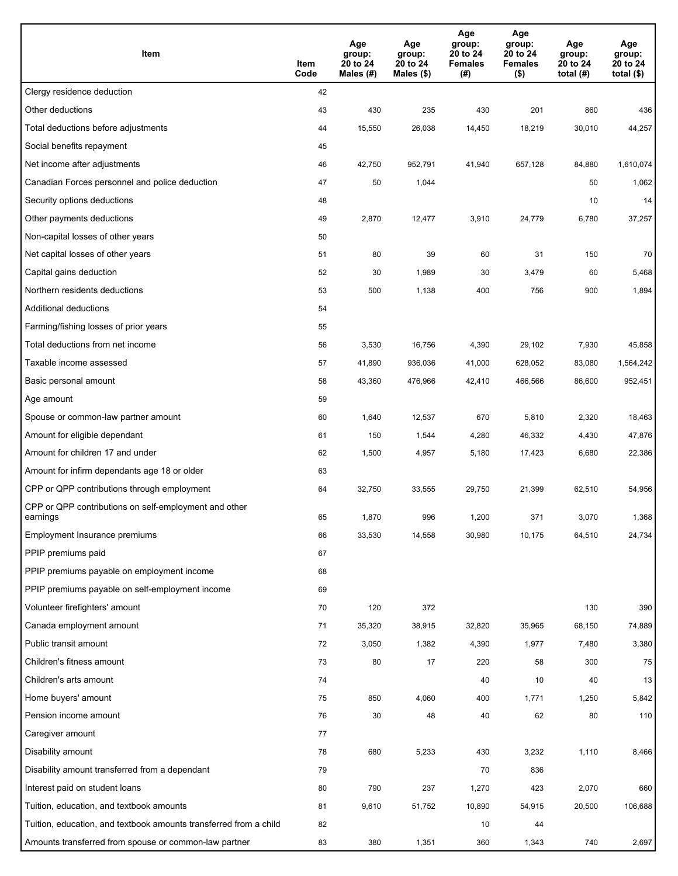| Item                                                              | Item<br>Code | Age<br>group:<br>20 to 24<br>Males (#) | Age<br>group:<br>20 to 24<br>Males (\$) | Age<br>group:<br>20 to 24<br><b>Females</b><br>(#) | Age<br>group:<br>20 to 24<br><b>Females</b><br>$($ \$) | Age<br>group:<br>20 to 24<br>total $(H)$ | Age<br>group:<br>20 to 24<br>total $($)$ |
|-------------------------------------------------------------------|--------------|----------------------------------------|-----------------------------------------|----------------------------------------------------|--------------------------------------------------------|------------------------------------------|------------------------------------------|
| Clergy residence deduction                                        | 42           |                                        |                                         |                                                    |                                                        |                                          |                                          |
| Other deductions                                                  | 43           | 430                                    | 235                                     | 430                                                | 201                                                    | 860                                      | 436                                      |
| Total deductions before adjustments                               | 44           | 15,550                                 | 26,038                                  | 14,450                                             | 18,219                                                 | 30,010                                   | 44,257                                   |
| Social benefits repayment                                         | 45           |                                        |                                         |                                                    |                                                        |                                          |                                          |
| Net income after adjustments                                      | 46           | 42,750                                 | 952,791                                 | 41,940                                             | 657,128                                                | 84,880                                   | 1,610,074                                |
| Canadian Forces personnel and police deduction                    | 47           | 50                                     | 1,044                                   |                                                    |                                                        | 50                                       | 1,062                                    |
| Security options deductions                                       | 48           |                                        |                                         |                                                    |                                                        | 10                                       | 14                                       |
| Other payments deductions                                         | 49           | 2,870                                  | 12,477                                  | 3,910                                              | 24,779                                                 | 6,780                                    | 37,257                                   |
| Non-capital losses of other years                                 | 50           |                                        |                                         |                                                    |                                                        |                                          |                                          |
| Net capital losses of other years                                 | 51           | 80                                     | 39                                      | 60                                                 | 31                                                     | 150                                      | 70                                       |
| Capital gains deduction                                           | 52           | 30                                     | 1,989                                   | 30                                                 | 3,479                                                  | 60                                       | 5,468                                    |
| Northern residents deductions                                     | 53           | 500                                    | 1,138                                   | 400                                                | 756                                                    | 900                                      | 1,894                                    |
| Additional deductions                                             | 54           |                                        |                                         |                                                    |                                                        |                                          |                                          |
| Farming/fishing losses of prior years                             | 55           |                                        |                                         |                                                    |                                                        |                                          |                                          |
| Total deductions from net income                                  | 56           | 3,530                                  | 16,756                                  | 4,390                                              | 29,102                                                 | 7,930                                    | 45,858                                   |
| Taxable income assessed                                           | 57           | 41,890                                 | 936,036                                 | 41,000                                             | 628,052                                                | 83,080                                   | 1,564,242                                |
| Basic personal amount                                             | 58           | 43,360                                 | 476,966                                 | 42,410                                             | 466,566                                                | 86,600                                   | 952,451                                  |
| Age amount                                                        | 59           |                                        |                                         |                                                    |                                                        |                                          |                                          |
| Spouse or common-law partner amount                               | 60           | 1,640                                  | 12,537                                  | 670                                                | 5,810                                                  | 2,320                                    | 18,463                                   |
| Amount for eligible dependant                                     | 61           | 150                                    | 1,544                                   | 4,280                                              | 46,332                                                 | 4,430                                    | 47,876                                   |
| Amount for children 17 and under                                  | 62           | 1,500                                  | 4,957                                   | 5,180                                              | 17,423                                                 | 6,680                                    | 22,386                                   |
| Amount for infirm dependants age 18 or older                      | 63           |                                        |                                         |                                                    |                                                        |                                          |                                          |
| CPP or QPP contributions through employment                       | 64           | 32,750                                 | 33,555                                  | 29,750                                             | 21,399                                                 | 62,510                                   | 54,956                                   |
| CPP or QPP contributions on self-employment and other<br>earnings | 65           | 1,870                                  | 996                                     | 1.200                                              | 371                                                    | 3,070                                    | 1,368                                    |
| Employment Insurance premiums                                     | 66           | 33,530                                 | 14,558                                  | 30,980                                             | 10,175                                                 | 64,510                                   | 24,734                                   |
| PPIP premiums paid                                                | 67           |                                        |                                         |                                                    |                                                        |                                          |                                          |
| PPIP premiums payable on employment income                        | 68           |                                        |                                         |                                                    |                                                        |                                          |                                          |
| PPIP premiums payable on self-employment income                   | 69           |                                        |                                         |                                                    |                                                        |                                          |                                          |
| Volunteer firefighters' amount                                    | 70           | 120                                    | 372                                     |                                                    |                                                        | 130                                      | 390                                      |
| Canada employment amount                                          | 71           | 35,320                                 | 38,915                                  | 32,820                                             | 35,965                                                 | 68,150                                   | 74,889                                   |
| Public transit amount                                             | 72           | 3,050                                  | 1,382                                   | 4,390                                              | 1,977                                                  | 7,480                                    | 3,380                                    |
| Children's fitness amount                                         | 73           | 80                                     | 17                                      | 220                                                | 58                                                     | 300                                      | 75                                       |
| Children's arts amount                                            | 74           |                                        |                                         | 40                                                 | 10                                                     | 40                                       | 13                                       |
| Home buyers' amount                                               | 75           | 850                                    | 4,060                                   | 400                                                | 1,771                                                  | 1,250                                    | 5,842                                    |
| Pension income amount                                             | 76           | 30                                     | 48                                      | 40                                                 | 62                                                     | 80                                       | 110                                      |
| Caregiver amount                                                  | 77           |                                        |                                         |                                                    |                                                        |                                          |                                          |
| Disability amount                                                 | 78           | 680                                    | 5,233                                   | 430                                                | 3,232                                                  | 1,110                                    | 8,466                                    |
| Disability amount transferred from a dependant                    | 79           |                                        |                                         | 70                                                 | 836                                                    |                                          |                                          |
| Interest paid on student loans                                    | 80           | 790                                    | 237                                     | 1,270                                              | 423                                                    | 2,070                                    | 660                                      |
| Tuition, education, and textbook amounts                          | 81           | 9,610                                  | 51,752                                  | 10,890                                             | 54,915                                                 | 20,500                                   | 106,688                                  |
| Tuition, education, and textbook amounts transferred from a child | 82           |                                        |                                         | 10                                                 | 44                                                     |                                          |                                          |
| Amounts transferred from spouse or common-law partner             | 83           | 380                                    | 1,351                                   | 360                                                | 1,343                                                  | 740                                      | 2,697                                    |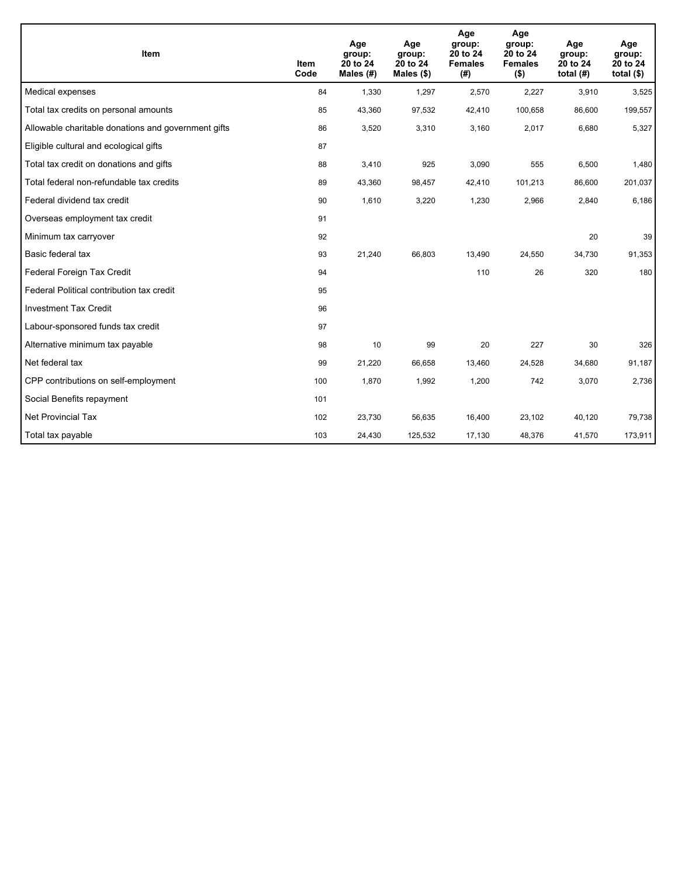| Item                                                | <b>Item</b><br>Code | Age<br>group:<br>20 to 24<br>Males (#) | Age<br>group:<br>20 to 24<br>Males $(\$)$ | Age<br>group:<br>20 to 24<br><b>Females</b><br>(# ) | Age<br>group:<br>20 to 24<br><b>Females</b><br>$($ \$) | Age<br>group:<br>20 to 24<br>total $(H)$ | Age<br>group:<br>20 to 24<br>total $($)$ |
|-----------------------------------------------------|---------------------|----------------------------------------|-------------------------------------------|-----------------------------------------------------|--------------------------------------------------------|------------------------------------------|------------------------------------------|
| Medical expenses                                    | 84                  | 1,330                                  | 1,297                                     | 2,570                                               | 2,227                                                  | 3,910                                    | 3,525                                    |
| Total tax credits on personal amounts               | 85                  | 43,360                                 | 97,532                                    | 42,410                                              | 100,658                                                | 86,600                                   | 199,557                                  |
| Allowable charitable donations and government gifts | 86                  | 3,520                                  | 3,310                                     | 3,160                                               | 2,017                                                  | 6,680                                    | 5,327                                    |
| Eligible cultural and ecological gifts              | 87                  |                                        |                                           |                                                     |                                                        |                                          |                                          |
| Total tax credit on donations and gifts             | 88                  | 3,410                                  | 925                                       | 3,090                                               | 555                                                    | 6,500                                    | 1,480                                    |
| Total federal non-refundable tax credits            | 89                  | 43,360                                 | 98,457                                    | 42,410                                              | 101,213                                                | 86,600                                   | 201,037                                  |
| Federal dividend tax credit                         | 90                  | 1,610                                  | 3,220                                     | 1,230                                               | 2,966                                                  | 2,840                                    | 6,186                                    |
| Overseas employment tax credit                      | 91                  |                                        |                                           |                                                     |                                                        |                                          |                                          |
| Minimum tax carryover                               | 92                  |                                        |                                           |                                                     |                                                        | 20                                       | 39                                       |
| Basic federal tax                                   | 93                  | 21,240                                 | 66,803                                    | 13,490                                              | 24,550                                                 | 34,730                                   | 91,353                                   |
| Federal Foreign Tax Credit                          | 94                  |                                        |                                           | 110                                                 | 26                                                     | 320                                      | 180                                      |
| Federal Political contribution tax credit           | 95                  |                                        |                                           |                                                     |                                                        |                                          |                                          |
| <b>Investment Tax Credit</b>                        | 96                  |                                        |                                           |                                                     |                                                        |                                          |                                          |
| Labour-sponsored funds tax credit                   | 97                  |                                        |                                           |                                                     |                                                        |                                          |                                          |
| Alternative minimum tax payable                     | 98                  | 10                                     | 99                                        | 20                                                  | 227                                                    | 30                                       | 326                                      |
| Net federal tax                                     | 99                  | 21,220                                 | 66,658                                    | 13,460                                              | 24,528                                                 | 34,680                                   | 91,187                                   |
| CPP contributions on self-employment                | 100                 | 1,870                                  | 1,992                                     | 1,200                                               | 742                                                    | 3,070                                    | 2,736                                    |
| Social Benefits repayment                           | 101                 |                                        |                                           |                                                     |                                                        |                                          |                                          |
| <b>Net Provincial Tax</b>                           | 102                 | 23,730                                 | 56,635                                    | 16,400                                              | 23,102                                                 | 40,120                                   | 79,738                                   |
| Total tax payable                                   | 103                 | 24,430                                 | 125,532                                   | 17,130                                              | 48,376                                                 | 41,570                                   | 173,911                                  |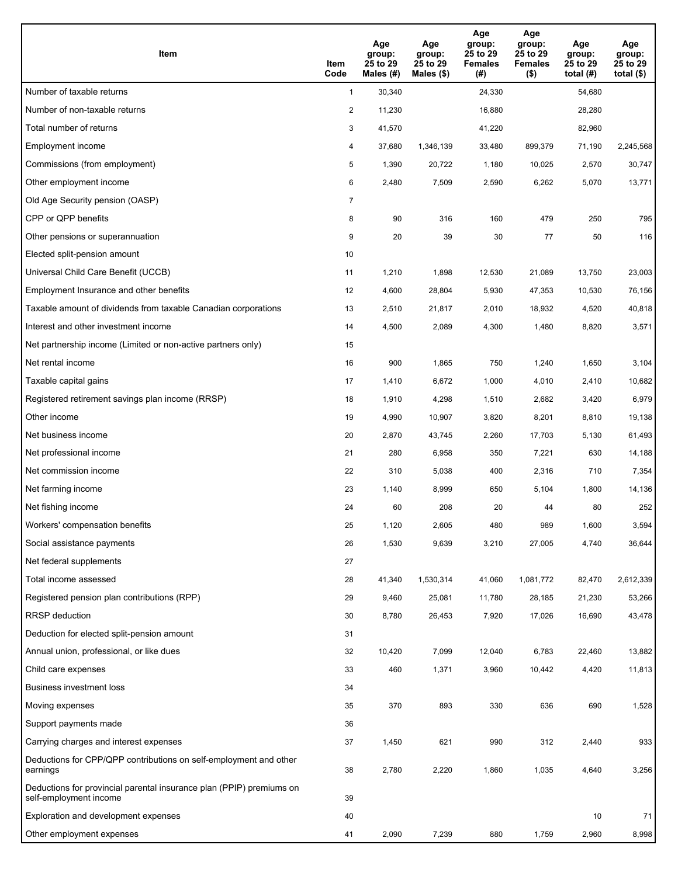| Item                                                                                           | Item<br>Code   | Age<br>group:<br>25 to 29<br>Males (#) | Age<br>group:<br>25 to 29<br>Males $(\$)$ | Age<br>group:<br>25 to 29<br><b>Females</b><br>(#) | Age<br>group:<br>25 to 29<br><b>Females</b><br>$($ \$) | Age<br>group:<br>25 to 29<br>total $(#)$ | Age<br>group:<br>25 to 29<br>total $($)$ |
|------------------------------------------------------------------------------------------------|----------------|----------------------------------------|-------------------------------------------|----------------------------------------------------|--------------------------------------------------------|------------------------------------------|------------------------------------------|
| Number of taxable returns                                                                      | $\mathbf{1}$   | 30,340                                 |                                           | 24,330                                             |                                                        | 54,680                                   |                                          |
| Number of non-taxable returns                                                                  | 2              | 11,230                                 |                                           | 16,880                                             |                                                        | 28,280                                   |                                          |
| Total number of returns                                                                        | 3              | 41,570                                 |                                           | 41,220                                             |                                                        | 82,960                                   |                                          |
| Employment income                                                                              | 4              | 37,680                                 | 1,346,139                                 | 33,480                                             | 899,379                                                | 71,190                                   | 2,245,568                                |
| Commissions (from employment)                                                                  | 5              | 1,390                                  | 20,722                                    | 1,180                                              | 10,025                                                 | 2,570                                    | 30,747                                   |
| Other employment income                                                                        | 6              | 2,480                                  | 7,509                                     | 2,590                                              | 6,262                                                  | 5,070                                    | 13,771                                   |
| Old Age Security pension (OASP)                                                                | $\overline{7}$ |                                        |                                           |                                                    |                                                        |                                          |                                          |
| CPP or QPP benefits                                                                            | 8              | 90                                     | 316                                       | 160                                                | 479                                                    | 250                                      | 795                                      |
| Other pensions or superannuation                                                               | 9              | 20                                     | 39                                        | 30                                                 | 77                                                     | 50                                       | 116                                      |
| Elected split-pension amount                                                                   | 10             |                                        |                                           |                                                    |                                                        |                                          |                                          |
| Universal Child Care Benefit (UCCB)                                                            | 11             | 1,210                                  | 1,898                                     | 12,530                                             | 21,089                                                 | 13,750                                   | 23,003                                   |
| Employment Insurance and other benefits                                                        | 12             | 4,600                                  | 28,804                                    | 5,930                                              | 47,353                                                 | 10,530                                   | 76,156                                   |
| Taxable amount of dividends from taxable Canadian corporations                                 | 13             | 2,510                                  | 21,817                                    | 2,010                                              | 18,932                                                 | 4,520                                    | 40,818                                   |
| Interest and other investment income                                                           | 14             | 4,500                                  | 2,089                                     | 4,300                                              | 1,480                                                  | 8,820                                    | 3,571                                    |
| Net partnership income (Limited or non-active partners only)                                   | 15             |                                        |                                           |                                                    |                                                        |                                          |                                          |
| Net rental income                                                                              | 16             | 900                                    | 1,865                                     | 750                                                | 1,240                                                  | 1,650                                    | 3,104                                    |
| Taxable capital gains                                                                          | 17             | 1,410                                  | 6,672                                     | 1,000                                              | 4,010                                                  | 2,410                                    | 10,682                                   |
| Registered retirement savings plan income (RRSP)                                               | 18             | 1,910                                  | 4,298                                     | 1,510                                              | 2,682                                                  | 3,420                                    | 6,979                                    |
| Other income                                                                                   | 19             | 4,990                                  | 10,907                                    | 3,820                                              | 8,201                                                  | 8,810                                    | 19,138                                   |
| Net business income                                                                            | 20             | 2,870                                  | 43,745                                    | 2,260                                              | 17,703                                                 | 5,130                                    | 61,493                                   |
| Net professional income                                                                        | 21             | 280                                    | 6,958                                     | 350                                                | 7,221                                                  | 630                                      | 14,188                                   |
| Net commission income                                                                          | 22             | 310                                    | 5,038                                     | 400                                                | 2,316                                                  | 710                                      | 7,354                                    |
| Net farming income                                                                             | 23             | 1,140                                  | 8,999                                     | 650                                                | 5,104                                                  | 1,800                                    | 14,136                                   |
| Net fishing income                                                                             | 24             | 60                                     | 208                                       | 20                                                 | 44                                                     | 80                                       | 252                                      |
| Workers' compensation benefits                                                                 | 25             | 1,120                                  | 2,605                                     | 480                                                | 989                                                    | 1,600                                    | 3,594                                    |
| Social assistance payments                                                                     | 26             | 1,530                                  | 9,639                                     | 3,210                                              | 27,005                                                 | 4,740                                    | 36,644                                   |
| Net federal supplements                                                                        | 27             |                                        |                                           |                                                    |                                                        |                                          |                                          |
| Total income assessed                                                                          | 28             | 41,340                                 | 1,530,314                                 | 41,060                                             | 1,081,772                                              | 82,470                                   | 2,612,339                                |
| Registered pension plan contributions (RPP)                                                    | 29             | 9,460                                  | 25,081                                    | 11,780                                             | 28,185                                                 | 21,230                                   | 53,266                                   |
| RRSP deduction                                                                                 | 30             | 8,780                                  | 26,453                                    | 7,920                                              | 17,026                                                 | 16,690                                   | 43,478                                   |
| Deduction for elected split-pension amount                                                     | 31             |                                        |                                           |                                                    |                                                        |                                          |                                          |
| Annual union, professional, or like dues                                                       | 32             | 10,420                                 | 7,099                                     | 12,040                                             | 6,783                                                  | 22,460                                   | 13,882                                   |
| Child care expenses                                                                            | 33             | 460                                    | 1,371                                     | 3,960                                              | 10,442                                                 | 4,420                                    | 11,813                                   |
| <b>Business investment loss</b>                                                                | 34             |                                        |                                           |                                                    |                                                        |                                          |                                          |
| Moving expenses                                                                                | 35             | 370                                    | 893                                       | 330                                                | 636                                                    | 690                                      | 1,528                                    |
| Support payments made                                                                          | 36             |                                        |                                           |                                                    |                                                        |                                          |                                          |
| Carrying charges and interest expenses                                                         | 37             | 1,450                                  | 621                                       | 990                                                | 312                                                    | 2,440                                    | 933                                      |
| Deductions for CPP/QPP contributions on self-employment and other<br>earnings                  | 38             | 2,780                                  | 2,220                                     | 1,860                                              | 1,035                                                  | 4,640                                    | 3,256                                    |
| Deductions for provincial parental insurance plan (PPIP) premiums on<br>self-employment income | 39             |                                        |                                           |                                                    |                                                        |                                          |                                          |
| Exploration and development expenses                                                           | 40             |                                        |                                           |                                                    |                                                        | 10                                       | 71                                       |
| Other employment expenses                                                                      | 41             | 2,090                                  | 7,239                                     | 880                                                | 1,759                                                  | 2,960                                    | 8,998                                    |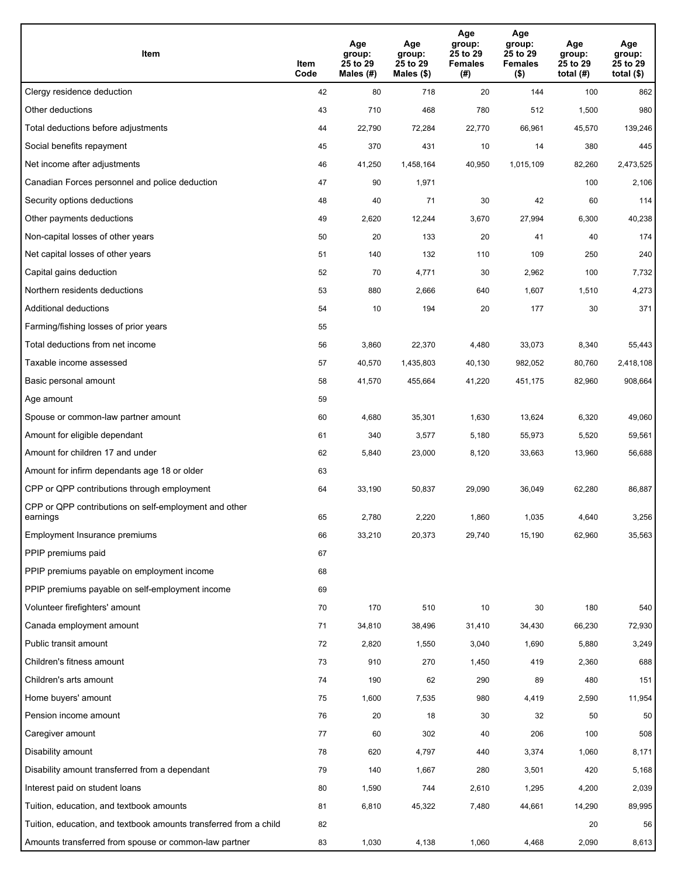| Item                                                              | Item<br>Code | Age<br>group:<br>25 to 29<br>Males (#) | Age<br>group:<br>25 to 29<br>Males (\$) | Age<br>group:<br>25 to 29<br><b>Females</b><br>(#) | Age<br>group:<br>25 to 29<br><b>Females</b><br>$($ \$) | Age<br>group:<br>25 to 29<br>total $(H)$ | Age<br>group:<br>25 to 29<br>total $($)$ |
|-------------------------------------------------------------------|--------------|----------------------------------------|-----------------------------------------|----------------------------------------------------|--------------------------------------------------------|------------------------------------------|------------------------------------------|
| Clergy residence deduction                                        | 42           | 80                                     | 718                                     | 20                                                 | 144                                                    | 100                                      | 862                                      |
| Other deductions                                                  | 43           | 710                                    | 468                                     | 780                                                | 512                                                    | 1,500                                    | 980                                      |
| Total deductions before adjustments                               | 44           | 22,790                                 | 72,284                                  | 22,770                                             | 66,961                                                 | 45,570                                   | 139,246                                  |
| Social benefits repayment                                         | 45           | 370                                    | 431                                     | 10                                                 | 14                                                     | 380                                      | 445                                      |
| Net income after adjustments                                      | 46           | 41,250                                 | 1,458,164                               | 40,950                                             | 1,015,109                                              | 82,260                                   | 2,473,525                                |
| Canadian Forces personnel and police deduction                    | 47           | 90                                     | 1,971                                   |                                                    |                                                        | 100                                      | 2,106                                    |
| Security options deductions                                       | 48           | 40                                     | 71                                      | 30                                                 | 42                                                     | 60                                       | 114                                      |
| Other payments deductions                                         | 49           | 2,620                                  | 12,244                                  | 3,670                                              | 27,994                                                 | 6,300                                    | 40,238                                   |
| Non-capital losses of other years                                 | 50           | 20                                     | 133                                     | 20                                                 | 41                                                     | 40                                       | 174                                      |
| Net capital losses of other years                                 | 51           | 140                                    | 132                                     | 110                                                | 109                                                    | 250                                      | 240                                      |
| Capital gains deduction                                           | 52           | 70                                     | 4,771                                   | 30                                                 | 2,962                                                  | 100                                      | 7,732                                    |
| Northern residents deductions                                     | 53           | 880                                    | 2,666                                   | 640                                                | 1,607                                                  | 1,510                                    | 4,273                                    |
| Additional deductions                                             | 54           | 10                                     | 194                                     | 20                                                 | 177                                                    | 30                                       | 371                                      |
| Farming/fishing losses of prior years                             | 55           |                                        |                                         |                                                    |                                                        |                                          |                                          |
| Total deductions from net income                                  | 56           | 3,860                                  | 22,370                                  | 4,480                                              | 33,073                                                 | 8,340                                    | 55,443                                   |
| Taxable income assessed                                           | 57           | 40,570                                 | 1,435,803                               | 40,130                                             | 982,052                                                | 80,760                                   | 2,418,108                                |
| Basic personal amount                                             | 58           | 41,570                                 | 455,664                                 | 41,220                                             | 451,175                                                | 82,960                                   | 908,664                                  |
| Age amount                                                        | 59           |                                        |                                         |                                                    |                                                        |                                          |                                          |
| Spouse or common-law partner amount                               | 60           | 4,680                                  | 35,301                                  | 1,630                                              | 13,624                                                 | 6,320                                    | 49,060                                   |
| Amount for eligible dependant                                     | 61           | 340                                    | 3,577                                   | 5,180                                              | 55,973                                                 | 5,520                                    | 59,561                                   |
| Amount for children 17 and under                                  | 62           | 5,840                                  | 23,000                                  | 8,120                                              | 33,663                                                 | 13,960                                   | 56,688                                   |
| Amount for infirm dependants age 18 or older                      | 63           |                                        |                                         |                                                    |                                                        |                                          |                                          |
| CPP or QPP contributions through employment                       | 64           | 33,190                                 | 50,837                                  | 29,090                                             | 36,049                                                 | 62,280                                   | 86,887                                   |
| CPP or QPP contributions on self-employment and other<br>earnings | 65           | 2,780                                  | 2,220                                   | 1,860                                              | 1,035                                                  | 4,640                                    | 3,256                                    |
| Employment Insurance premiums                                     | 66           | 33,210                                 | 20,373                                  | 29,740                                             | 15,190                                                 | 62,960                                   | 35,563                                   |
| PPIP premiums paid                                                | 67           |                                        |                                         |                                                    |                                                        |                                          |                                          |
| PPIP premiums payable on employment income                        | 68           |                                        |                                         |                                                    |                                                        |                                          |                                          |
| PPIP premiums payable on self-employment income                   | 69           |                                        |                                         |                                                    |                                                        |                                          |                                          |
| Volunteer firefighters' amount                                    | 70           | 170                                    | 510                                     | 10                                                 | 30                                                     | 180                                      | 540                                      |
| Canada employment amount                                          | 71           | 34,810                                 | 38,496                                  | 31,410                                             | 34,430                                                 | 66,230                                   | 72,930                                   |
| Public transit amount                                             | 72           | 2,820                                  | 1,550                                   | 3,040                                              | 1,690                                                  | 5,880                                    | 3,249                                    |
| Children's fitness amount                                         | 73           | 910                                    | 270                                     | 1,450                                              | 419                                                    | 2,360                                    | 688                                      |
| Children's arts amount                                            | 74           | 190                                    | 62                                      | 290                                                | 89                                                     | 480                                      | 151                                      |
| Home buyers' amount                                               | 75           | 1,600                                  | 7,535                                   | 980                                                | 4,419                                                  | 2,590                                    | 11,954                                   |
| Pension income amount                                             | 76           | 20                                     | 18                                      | 30                                                 | 32                                                     | 50                                       | 50                                       |
| Caregiver amount                                                  | 77           | 60                                     | 302                                     | 40                                                 | 206                                                    | 100                                      | 508                                      |
| Disability amount                                                 | 78           | 620                                    | 4,797                                   | 440                                                | 3,374                                                  | 1,060                                    | 8,171                                    |
| Disability amount transferred from a dependant                    | 79           | 140                                    | 1,667                                   | 280                                                | 3,501                                                  | 420                                      | 5,168                                    |
| Interest paid on student loans                                    | 80           | 1,590                                  | 744                                     | 2,610                                              | 1,295                                                  | 4,200                                    | 2,039                                    |
| Tuition, education, and textbook amounts                          | 81           | 6,810                                  | 45,322                                  | 7,480                                              | 44,661                                                 | 14,290                                   | 89,995                                   |
| Tuition, education, and textbook amounts transferred from a child | 82           |                                        |                                         |                                                    |                                                        | 20                                       | 56                                       |
| Amounts transferred from spouse or common-law partner             | 83           | 1,030                                  | 4,138                                   | 1,060                                              | 4,468                                                  | 2,090                                    | 8,613                                    |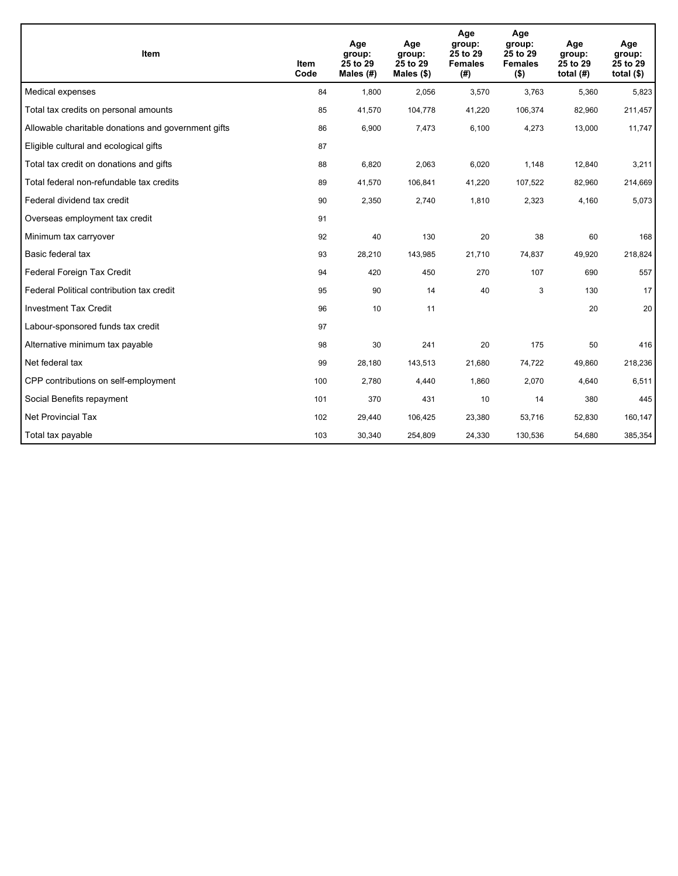| <b>Item</b>                                         | Item<br>Code | Age<br>group:<br>25 to 29<br>Males (#) | Age<br>group:<br>25 to 29<br>Males $(\$)$ | Age<br>group:<br>25 to 29<br><b>Females</b><br>(#) | Age<br>group:<br>25 to 29<br><b>Females</b><br>$($ \$) | Age<br>group:<br>25 to 29<br>total $(H)$ | Age<br>group:<br>25 to 29<br>total $($)$ |
|-----------------------------------------------------|--------------|----------------------------------------|-------------------------------------------|----------------------------------------------------|--------------------------------------------------------|------------------------------------------|------------------------------------------|
| Medical expenses                                    | 84           | 1,800                                  | 2,056                                     | 3,570                                              | 3,763                                                  | 5,360                                    | 5,823                                    |
| Total tax credits on personal amounts               | 85           | 41,570                                 | 104,778                                   | 41,220                                             | 106,374                                                | 82,960                                   | 211,457                                  |
| Allowable charitable donations and government gifts | 86           | 6,900                                  | 7,473                                     | 6,100                                              | 4,273                                                  | 13,000                                   | 11,747                                   |
| Eligible cultural and ecological gifts              | 87           |                                        |                                           |                                                    |                                                        |                                          |                                          |
| Total tax credit on donations and gifts             | 88           | 6,820                                  | 2,063                                     | 6,020                                              | 1,148                                                  | 12,840                                   | 3,211                                    |
| Total federal non-refundable tax credits            | 89           | 41,570                                 | 106,841                                   | 41,220                                             | 107,522                                                | 82,960                                   | 214,669                                  |
| Federal dividend tax credit                         | 90           | 2,350                                  | 2,740                                     | 1,810                                              | 2,323                                                  | 4,160                                    | 5,073                                    |
| Overseas employment tax credit                      | 91           |                                        |                                           |                                                    |                                                        |                                          |                                          |
| Minimum tax carryover                               | 92           | 40                                     | 130                                       | 20                                                 | 38                                                     | 60                                       | 168                                      |
| Basic federal tax                                   | 93           | 28,210                                 | 143,985                                   | 21,710                                             | 74,837                                                 | 49,920                                   | 218,824                                  |
| Federal Foreign Tax Credit                          | 94           | 420                                    | 450                                       | 270                                                | 107                                                    | 690                                      | 557                                      |
| Federal Political contribution tax credit           | 95           | 90                                     | 14                                        | 40                                                 | 3                                                      | 130                                      | 17                                       |
| <b>Investment Tax Credit</b>                        | 96           | 10                                     | 11                                        |                                                    |                                                        | 20                                       | 20                                       |
| Labour-sponsored funds tax credit                   | 97           |                                        |                                           |                                                    |                                                        |                                          |                                          |
| Alternative minimum tax payable                     | 98           | 30                                     | 241                                       | 20                                                 | 175                                                    | 50                                       | 416                                      |
| Net federal tax                                     | 99           | 28,180                                 | 143,513                                   | 21,680                                             | 74,722                                                 | 49,860                                   | 218,236                                  |
| CPP contributions on self-employment                | 100          | 2,780                                  | 4,440                                     | 1,860                                              | 2,070                                                  | 4,640                                    | 6,511                                    |
| Social Benefits repayment                           | 101          | 370                                    | 431                                       | 10                                                 | 14                                                     | 380                                      | 445                                      |
| <b>Net Provincial Tax</b>                           | 102          | 29,440                                 | 106,425                                   | 23,380                                             | 53,716                                                 | 52,830                                   | 160,147                                  |
| Total tax payable                                   | 103          | 30,340                                 | 254,809                                   | 24,330                                             | 130,536                                                | 54,680                                   | 385,354                                  |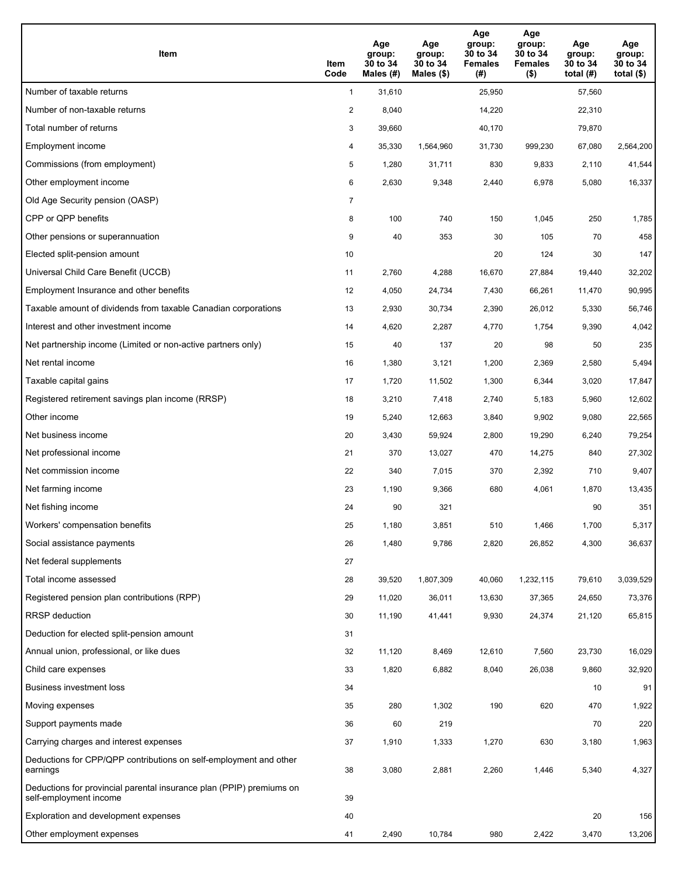| Item                                                                                           | Item<br>Code   | Age<br>group:<br>30 to 34<br>Males (#) | Age<br>group:<br>30 to 34<br>Males $(\$)$ | Age<br>group:<br>30 to 34<br><b>Females</b><br>(#) | Age<br>group:<br>30 to 34<br><b>Females</b><br>$($ \$) | Age<br>group:<br>30 to 34<br>total $(H)$ | Age<br>group:<br>30 to 34<br>total $($ |
|------------------------------------------------------------------------------------------------|----------------|----------------------------------------|-------------------------------------------|----------------------------------------------------|--------------------------------------------------------|------------------------------------------|----------------------------------------|
| Number of taxable returns                                                                      | $\mathbf{1}$   | 31,610                                 |                                           | 25,950                                             |                                                        | 57,560                                   |                                        |
| Number of non-taxable returns                                                                  | $\overline{a}$ | 8,040                                  |                                           | 14,220                                             |                                                        | 22,310                                   |                                        |
| Total number of returns                                                                        | 3              | 39,660                                 |                                           | 40,170                                             |                                                        | 79,870                                   |                                        |
| Employment income                                                                              | 4              | 35,330                                 | 1,564,960                                 | 31,730                                             | 999,230                                                | 67,080                                   | 2,564,200                              |
| Commissions (from employment)                                                                  | 5              | 1,280                                  | 31,711                                    | 830                                                | 9,833                                                  | 2,110                                    | 41,544                                 |
| Other employment income                                                                        | 6              | 2,630                                  | 9,348                                     | 2,440                                              | 6,978                                                  | 5,080                                    | 16,337                                 |
| Old Age Security pension (OASP)                                                                | 7              |                                        |                                           |                                                    |                                                        |                                          |                                        |
| CPP or QPP benefits                                                                            | 8              | 100                                    | 740                                       | 150                                                | 1,045                                                  | 250                                      | 1,785                                  |
| Other pensions or superannuation                                                               | 9              | 40                                     | 353                                       | 30                                                 | 105                                                    | 70                                       | 458                                    |
| Elected split-pension amount                                                                   | 10             |                                        |                                           | 20                                                 | 124                                                    | 30                                       | 147                                    |
| Universal Child Care Benefit (UCCB)                                                            | 11             | 2,760                                  | 4,288                                     | 16,670                                             | 27,884                                                 | 19,440                                   | 32,202                                 |
| Employment Insurance and other benefits                                                        | 12             | 4,050                                  | 24,734                                    | 7,430                                              | 66,261                                                 | 11,470                                   | 90,995                                 |
| Taxable amount of dividends from taxable Canadian corporations                                 | 13             | 2,930                                  | 30,734                                    | 2,390                                              | 26,012                                                 | 5,330                                    | 56,746                                 |
| Interest and other investment income                                                           | 14             | 4,620                                  | 2,287                                     | 4,770                                              | 1,754                                                  | 9,390                                    | 4,042                                  |
| Net partnership income (Limited or non-active partners only)                                   | 15             | 40                                     | 137                                       | 20                                                 | 98                                                     | 50                                       | 235                                    |
| Net rental income                                                                              | 16             | 1,380                                  | 3,121                                     | 1,200                                              | 2,369                                                  | 2,580                                    | 5,494                                  |
| Taxable capital gains                                                                          | 17             | 1,720                                  | 11,502                                    | 1,300                                              | 6,344                                                  | 3,020                                    | 17,847                                 |
| Registered retirement savings plan income (RRSP)                                               | 18             | 3,210                                  | 7,418                                     | 2,740                                              | 5,183                                                  | 5,960                                    | 12,602                                 |
| Other income                                                                                   | 19             | 5,240                                  | 12,663                                    | 3,840                                              | 9,902                                                  | 9,080                                    | 22,565                                 |
| Net business income                                                                            | 20             | 3,430                                  | 59,924                                    | 2,800                                              | 19,290                                                 | 6,240                                    | 79,254                                 |
| Net professional income                                                                        | 21             | 370                                    | 13,027                                    | 470                                                | 14,275                                                 | 840                                      | 27,302                                 |
| Net commission income                                                                          | 22             | 340                                    | 7,015                                     | 370                                                | 2,392                                                  | 710                                      | 9,407                                  |
| Net farming income                                                                             | 23             | 1,190                                  | 9,366                                     | 680                                                | 4,061                                                  | 1,870                                    | 13,435                                 |
| Net fishing income                                                                             | 24             | 90                                     | 321                                       |                                                    |                                                        | 90                                       | 351                                    |
| Workers' compensation benefits                                                                 | 25             | 1,180                                  | 3,851                                     | 510                                                | 1,466                                                  | 1,700                                    | 5,317                                  |
| Social assistance payments                                                                     | 26             | 1,480                                  | 9,786                                     | 2,820                                              | 26,852                                                 | 4,300                                    | 36,637                                 |
| Net federal supplements                                                                        | 27             |                                        |                                           |                                                    |                                                        |                                          |                                        |
| Total income assessed                                                                          | 28             | 39,520                                 | 1,807,309                                 | 40,060                                             | 1,232,115                                              | 79,610                                   | 3,039,529                              |
| Registered pension plan contributions (RPP)                                                    | 29             | 11,020                                 | 36,011                                    | 13,630                                             | 37,365                                                 | 24,650                                   | 73,376                                 |
| <b>RRSP</b> deduction                                                                          | 30             | 11,190                                 | 41,441                                    | 9,930                                              | 24,374                                                 | 21,120                                   | 65,815                                 |
| Deduction for elected split-pension amount                                                     | 31             |                                        |                                           |                                                    |                                                        |                                          |                                        |
| Annual union, professional, or like dues                                                       | 32             | 11,120                                 | 8,469                                     | 12,610                                             | 7,560                                                  | 23,730                                   | 16,029                                 |
| Child care expenses                                                                            | 33             | 1,820                                  | 6,882                                     | 8,040                                              | 26,038                                                 | 9,860                                    | 32,920                                 |
| Business investment loss                                                                       | 34             |                                        |                                           |                                                    |                                                        | 10                                       | 91                                     |
| Moving expenses                                                                                | 35             | 280                                    | 1,302                                     | 190                                                | 620                                                    | 470                                      | 1,922                                  |
| Support payments made                                                                          | 36             | 60                                     | 219                                       |                                                    |                                                        | 70                                       | 220                                    |
| Carrying charges and interest expenses                                                         | 37             | 1,910                                  | 1,333                                     | 1,270                                              | 630                                                    | 3,180                                    | 1,963                                  |
| Deductions for CPP/QPP contributions on self-employment and other<br>earnings                  | 38             | 3,080                                  | 2,881                                     | 2,260                                              | 1,446                                                  | 5,340                                    | 4,327                                  |
| Deductions for provincial parental insurance plan (PPIP) premiums on<br>self-employment income | 39             |                                        |                                           |                                                    |                                                        |                                          |                                        |
| Exploration and development expenses                                                           | 40             |                                        |                                           |                                                    |                                                        | 20                                       | 156                                    |
| Other employment expenses                                                                      | 41             | 2,490                                  | 10,784                                    | 980                                                | 2,422                                                  | 3,470                                    | 13,206                                 |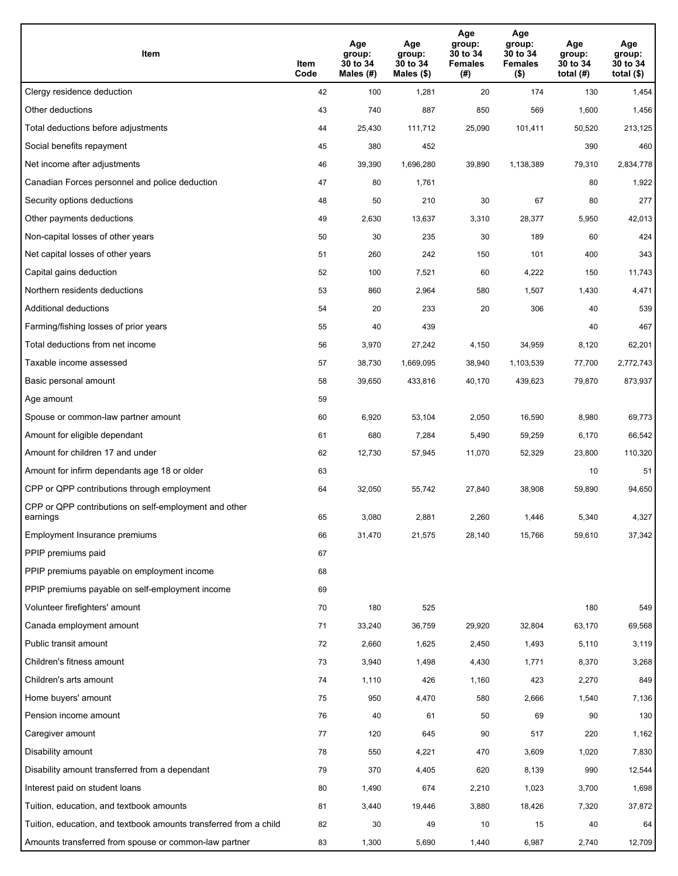| Item                                                              | Item<br>Code | Age<br>group:<br>30 to 34<br>Males (#) | Age<br>group:<br>30 to 34<br>Males (\$) | Age<br>group:<br>30 to 34<br><b>Females</b><br>(# ) | Age<br>group:<br>30 to 34<br><b>Females</b><br>$($ \$) | Age<br>group:<br>30 to 34<br>total $(H)$ | Age<br>group:<br>30 to 34<br>total $($)$ |
|-------------------------------------------------------------------|--------------|----------------------------------------|-----------------------------------------|-----------------------------------------------------|--------------------------------------------------------|------------------------------------------|------------------------------------------|
| Clergy residence deduction                                        | 42           | 100                                    | 1,281                                   | 20                                                  | 174                                                    | 130                                      | 1,454                                    |
| Other deductions                                                  | 43           | 740                                    | 887                                     | 850                                                 | 569                                                    | 1,600                                    | 1,456                                    |
| Total deductions before adjustments                               | 44           | 25,430                                 | 111,712                                 | 25,090                                              | 101,411                                                | 50,520                                   | 213,125                                  |
| Social benefits repayment                                         | 45           | 380                                    | 452                                     |                                                     |                                                        | 390                                      | 460                                      |
| Net income after adjustments                                      | 46           | 39,390                                 | 1,696,280                               | 39,890                                              | 1,138,389                                              | 79,310                                   | 2,834,778                                |
| Canadian Forces personnel and police deduction                    | 47           | 80                                     | 1,761                                   |                                                     |                                                        | 80                                       | 1,922                                    |
| Security options deductions                                       | 48           | 50                                     | 210                                     | 30                                                  | 67                                                     | 80                                       | 277                                      |
| Other payments deductions                                         | 49           | 2,630                                  | 13,637                                  | 3,310                                               | 28,377                                                 | 5,950                                    | 42,013                                   |
| Non-capital losses of other years                                 | 50           | 30                                     | 235                                     | 30                                                  | 189                                                    | 60                                       | 424                                      |
| Net capital losses of other years                                 | 51           | 260                                    | 242                                     | 150                                                 | 101                                                    | 400                                      | 343                                      |
| Capital gains deduction                                           | 52           | 100                                    | 7,521                                   | 60                                                  | 4,222                                                  | 150                                      | 11,743                                   |
| Northern residents deductions                                     | 53           | 860                                    | 2,964                                   | 580                                                 | 1,507                                                  | 1,430                                    | 4,471                                    |
| Additional deductions                                             | 54           | 20                                     | 233                                     | 20                                                  | 306                                                    | 40                                       | 539                                      |
| Farming/fishing losses of prior years                             | 55           | 40                                     | 439                                     |                                                     |                                                        | 40                                       | 467                                      |
| Total deductions from net income                                  | 56           | 3,970                                  | 27,242                                  | 4,150                                               | 34,959                                                 | 8,120                                    | 62,201                                   |
| Taxable income assessed                                           | 57           | 38,730                                 | 1,669,095                               | 38,940                                              | 1,103,539                                              | 77,700                                   | 2,772,743                                |
| Basic personal amount                                             | 58           | 39,650                                 | 433,816                                 | 40,170                                              | 439,623                                                | 79,870                                   | 873,937                                  |
| Age amount                                                        | 59           |                                        |                                         |                                                     |                                                        |                                          |                                          |
| Spouse or common-law partner amount                               | 60           | 6,920                                  | 53,104                                  | 2,050                                               | 16,590                                                 | 8,980                                    | 69,773                                   |
| Amount for eligible dependant                                     | 61           | 680                                    | 7,284                                   | 5,490                                               | 59,259                                                 | 6,170                                    | 66,542                                   |
| Amount for children 17 and under                                  | 62           | 12,730                                 | 57,945                                  | 11,070                                              | 52,329                                                 | 23,800                                   | 110,320                                  |
| Amount for infirm dependants age 18 or older                      | 63           |                                        |                                         |                                                     |                                                        | 10                                       | 51                                       |
| CPP or QPP contributions through employment                       | 64           | 32,050                                 | 55,742                                  | 27,840                                              | 38,908                                                 | 59,890                                   | 94,650                                   |
| CPP or QPP contributions on self-employment and other<br>earnings | 65           | 3,080                                  | 2,881                                   | 2,260                                               | 1.446                                                  | 5,340                                    | 4,327                                    |
| Employment Insurance premiums                                     | 66           | 31,470                                 | 21,575                                  | 28,140                                              | 15,766                                                 | 59,610                                   | 37,342                                   |
| PPIP premiums paid                                                | 67           |                                        |                                         |                                                     |                                                        |                                          |                                          |
| PPIP premiums payable on employment income                        | 68           |                                        |                                         |                                                     |                                                        |                                          |                                          |
| PPIP premiums payable on self-employment income                   | 69           |                                        |                                         |                                                     |                                                        |                                          |                                          |
| Volunteer firefighters' amount                                    | 70           | 180                                    | 525                                     |                                                     |                                                        | 180                                      | 549                                      |
| Canada employment amount                                          | 71           | 33,240                                 | 36,759                                  | 29,920                                              | 32,804                                                 | 63,170                                   | 69,568                                   |
| Public transit amount                                             | 72           | 2,660                                  | 1,625                                   | 2,450                                               | 1,493                                                  | 5,110                                    | 3,119                                    |
| Children's fitness amount                                         | 73           | 3,940                                  | 1,498                                   | 4,430                                               | 1,771                                                  | 8,370                                    | 3,268                                    |
| Children's arts amount                                            | 74           | 1,110                                  | 426                                     | 1,160                                               | 423                                                    | 2,270                                    | 849                                      |
| Home buyers' amount                                               | 75           | 950                                    | 4,470                                   | 580                                                 | 2,666                                                  | 1,540                                    | 7,136                                    |
| Pension income amount                                             | 76           | 40                                     | 61                                      | 50                                                  | 69                                                     | 90                                       | 130                                      |
| Caregiver amount                                                  | 77           | 120                                    | 645                                     | 90                                                  | 517                                                    | 220                                      | 1,162                                    |
| Disability amount                                                 | 78           | 550                                    | 4,221                                   | 470                                                 | 3,609                                                  | 1,020                                    | 7,830                                    |
| Disability amount transferred from a dependant                    | 79           | 370                                    | 4,405                                   | 620                                                 | 8,139                                                  | 990                                      | 12,544                                   |
| Interest paid on student loans                                    | 80           | 1,490                                  | 674                                     | 2,210                                               | 1,023                                                  | 3,700                                    | 1,698                                    |
| Tuition, education, and textbook amounts                          | 81           | 3,440                                  | 19,446                                  | 3,880                                               | 18,426                                                 | 7,320                                    | 37,872                                   |
| Tuition, education, and textbook amounts transferred from a child | 82           | 30                                     | 49                                      | 10                                                  | 15                                                     | 40                                       | 64                                       |
| Amounts transferred from spouse or common-law partner             | 83           | 1,300                                  | 5,690                                   | 1,440                                               | 6,987                                                  | 2,740                                    | 12,709                                   |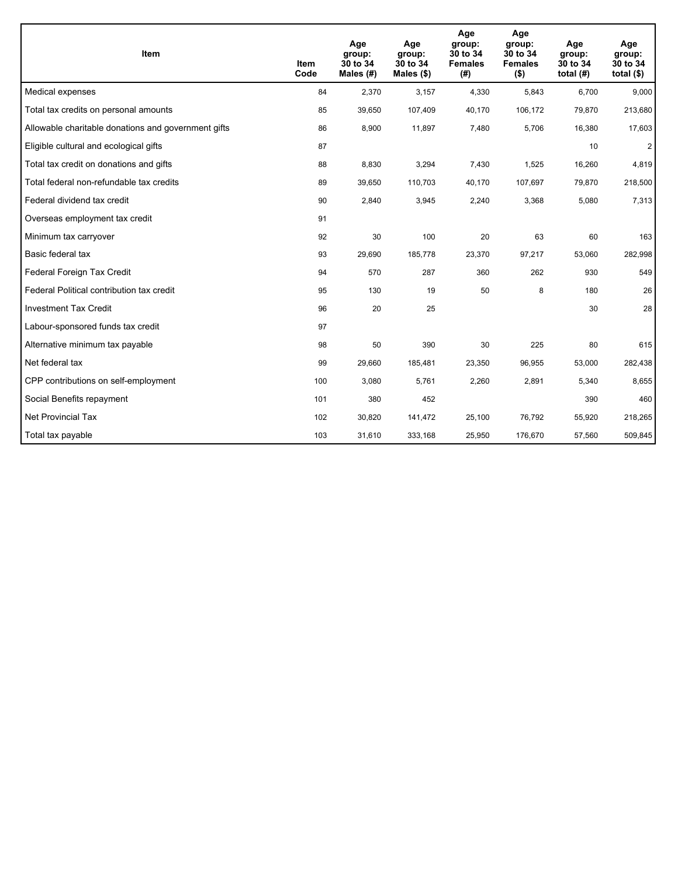| <b>Item</b>                                         | <b>Item</b><br>Code | Age<br>group:<br>30 to 34<br>Males (#) | Age<br>group:<br>30 to 34<br>Males $(\$)$ | Age<br>group:<br>30 to 34<br><b>Females</b><br>(#) | Age<br>group:<br>30 to 34<br><b>Females</b><br>$($ \$) | Age<br>group:<br>30 to 34<br>total $(H)$ | Age<br>group:<br>30 to 34<br>total $($)$ |
|-----------------------------------------------------|---------------------|----------------------------------------|-------------------------------------------|----------------------------------------------------|--------------------------------------------------------|------------------------------------------|------------------------------------------|
| Medical expenses                                    | 84                  | 2,370                                  | 3,157                                     | 4,330                                              | 5,843                                                  | 6,700                                    | 9,000                                    |
| Total tax credits on personal amounts               | 85                  | 39,650                                 | 107,409                                   | 40,170                                             | 106,172                                                | 79,870                                   | 213,680                                  |
| Allowable charitable donations and government gifts | 86                  | 8,900                                  | 11,897                                    | 7.480                                              | 5,706                                                  | 16,380                                   | 17,603                                   |
| Eligible cultural and ecological gifts              | 87                  |                                        |                                           |                                                    |                                                        | 10                                       | $\overline{2}$                           |
| Total tax credit on donations and gifts             | 88                  | 8,830                                  | 3,294                                     | 7,430                                              | 1,525                                                  | 16,260                                   | 4,819                                    |
| Total federal non-refundable tax credits            | 89                  | 39,650                                 | 110,703                                   | 40,170                                             | 107,697                                                | 79,870                                   | 218,500                                  |
| Federal dividend tax credit                         | 90                  | 2,840                                  | 3,945                                     | 2,240                                              | 3,368                                                  | 5,080                                    | 7,313                                    |
| Overseas employment tax credit                      | 91                  |                                        |                                           |                                                    |                                                        |                                          |                                          |
| Minimum tax carryover                               | 92                  | 30                                     | 100                                       | 20                                                 | 63                                                     | 60                                       | 163                                      |
| Basic federal tax                                   | 93                  | 29,690                                 | 185,778                                   | 23,370                                             | 97,217                                                 | 53,060                                   | 282,998                                  |
| Federal Foreign Tax Credit                          | 94                  | 570                                    | 287                                       | 360                                                | 262                                                    | 930                                      | 549                                      |
| Federal Political contribution tax credit           | 95                  | 130                                    | 19                                        | 50                                                 | 8                                                      | 180                                      | 26                                       |
| <b>Investment Tax Credit</b>                        | 96                  | 20                                     | 25                                        |                                                    |                                                        | 30                                       | 28                                       |
| Labour-sponsored funds tax credit                   | 97                  |                                        |                                           |                                                    |                                                        |                                          |                                          |
| Alternative minimum tax payable                     | 98                  | 50                                     | 390                                       | 30                                                 | 225                                                    | 80                                       | 615                                      |
| Net federal tax                                     | 99                  | 29,660                                 | 185,481                                   | 23,350                                             | 96,955                                                 | 53,000                                   | 282,438                                  |
| CPP contributions on self-employment                | 100                 | 3,080                                  | 5,761                                     | 2,260                                              | 2,891                                                  | 5,340                                    | 8,655                                    |
| Social Benefits repayment                           | 101                 | 380                                    | 452                                       |                                                    |                                                        | 390                                      | 460                                      |
| Net Provincial Tax                                  | 102                 | 30,820                                 | 141,472                                   | 25,100                                             | 76,792                                                 | 55,920                                   | 218,265                                  |
| Total tax payable                                   | 103                 | 31,610                                 | 333,168                                   | 25,950                                             | 176,670                                                | 57,560                                   | 509,845                                  |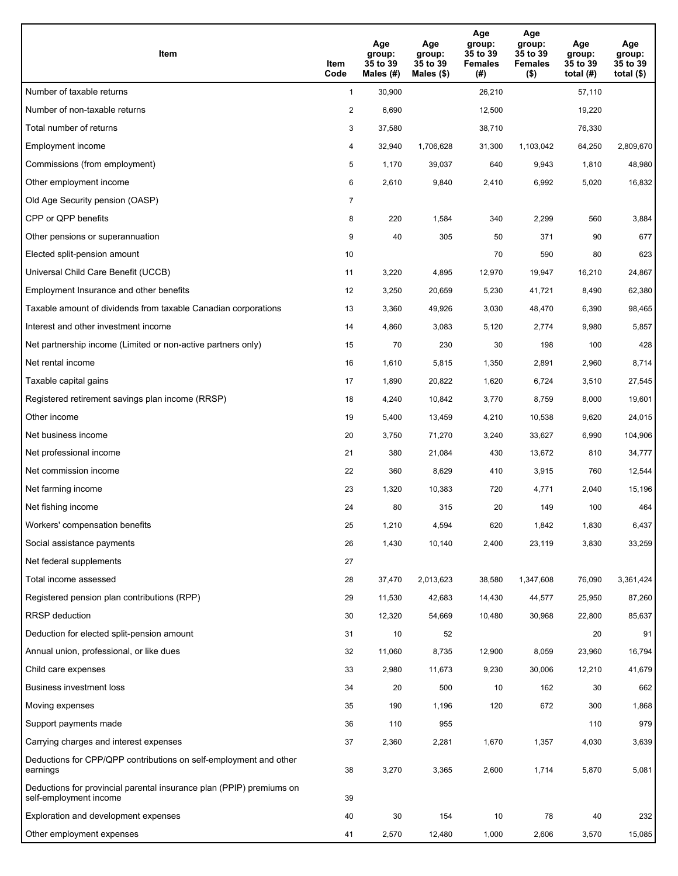| Item                                                                                           | Item<br>Code   | Age<br>group:<br>35 to 39<br>Males (#) | Age<br>group:<br>35 to 39<br>Males $(\$)$ | Age<br>group:<br>35 to 39<br><b>Females</b><br>(#) | Age<br>group:<br>35 to 39<br><b>Females</b><br>$($ \$) | Age<br>group:<br>35 to 39<br>total $(H)$ | Age<br>group:<br>35 to 39<br>total $($ |
|------------------------------------------------------------------------------------------------|----------------|----------------------------------------|-------------------------------------------|----------------------------------------------------|--------------------------------------------------------|------------------------------------------|----------------------------------------|
| Number of taxable returns                                                                      | $\mathbf{1}$   | 30,900                                 |                                           | 26,210                                             |                                                        | 57,110                                   |                                        |
| Number of non-taxable returns                                                                  | $\overline{a}$ | 6,690                                  |                                           | 12,500                                             |                                                        | 19,220                                   |                                        |
| Total number of returns                                                                        | 3              | 37,580                                 |                                           | 38,710                                             |                                                        | 76,330                                   |                                        |
| Employment income                                                                              | 4              | 32,940                                 | 1,706,628                                 | 31,300                                             | 1,103,042                                              | 64,250                                   | 2,809,670                              |
| Commissions (from employment)                                                                  | 5              | 1,170                                  | 39,037                                    | 640                                                | 9,943                                                  | 1,810                                    | 48,980                                 |
| Other employment income                                                                        | 6              | 2,610                                  | 9,840                                     | 2,410                                              | 6,992                                                  | 5,020                                    | 16,832                                 |
| Old Age Security pension (OASP)                                                                | 7              |                                        |                                           |                                                    |                                                        |                                          |                                        |
| CPP or QPP benefits                                                                            | 8              | 220                                    | 1,584                                     | 340                                                | 2,299                                                  | 560                                      | 3,884                                  |
| Other pensions or superannuation                                                               | 9              | 40                                     | 305                                       | 50                                                 | 371                                                    | 90                                       | 677                                    |
| Elected split-pension amount                                                                   | 10             |                                        |                                           | 70                                                 | 590                                                    | 80                                       | 623                                    |
| Universal Child Care Benefit (UCCB)                                                            | 11             | 3,220                                  | 4,895                                     | 12,970                                             | 19,947                                                 | 16.210                                   | 24,867                                 |
| Employment Insurance and other benefits                                                        | 12             | 3,250                                  | 20,659                                    | 5,230                                              | 41,721                                                 | 8,490                                    | 62,380                                 |
| Taxable amount of dividends from taxable Canadian corporations                                 | 13             | 3,360                                  | 49,926                                    | 3,030                                              | 48,470                                                 | 6,390                                    | 98,465                                 |
| Interest and other investment income                                                           | 14             | 4,860                                  | 3,083                                     | 5,120                                              | 2,774                                                  | 9,980                                    | 5,857                                  |
| Net partnership income (Limited or non-active partners only)                                   | 15             | 70                                     | 230                                       | 30                                                 | 198                                                    | 100                                      | 428                                    |
| Net rental income                                                                              | 16             | 1,610                                  | 5,815                                     | 1,350                                              | 2,891                                                  | 2,960                                    | 8,714                                  |
| Taxable capital gains                                                                          | 17             | 1,890                                  | 20,822                                    | 1,620                                              | 6,724                                                  | 3,510                                    | 27,545                                 |
| Registered retirement savings plan income (RRSP)                                               | 18             | 4,240                                  | 10,842                                    | 3,770                                              | 8,759                                                  | 8,000                                    | 19,601                                 |
| Other income                                                                                   | 19             | 5,400                                  | 13,459                                    | 4,210                                              | 10,538                                                 | 9,620                                    | 24,015                                 |
| Net business income                                                                            | 20             | 3,750                                  | 71,270                                    | 3,240                                              | 33,627                                                 | 6,990                                    | 104,906                                |
| Net professional income                                                                        | 21             | 380                                    | 21,084                                    | 430                                                | 13,672                                                 | 810                                      | 34,777                                 |
| Net commission income                                                                          | 22             | 360                                    | 8,629                                     | 410                                                | 3,915                                                  | 760                                      | 12,544                                 |
| Net farming income                                                                             | 23             | 1,320                                  | 10,383                                    | 720                                                | 4,771                                                  | 2,040                                    | 15,196                                 |
| Net fishing income                                                                             | 24             | 80                                     | 315                                       | 20                                                 | 149                                                    | 100                                      | 464                                    |
| Workers' compensation benefits                                                                 | 25             | 1,210                                  | 4,594                                     | 620                                                | 1,842                                                  | 1,830                                    | 6,437                                  |
| Social assistance payments                                                                     | 26             | 1,430                                  | 10,140                                    | 2,400                                              | 23,119                                                 | 3,830                                    | 33,259                                 |
| Net federal supplements                                                                        | 27             |                                        |                                           |                                                    |                                                        |                                          |                                        |
| Total income assessed                                                                          | 28             | 37,470                                 | 2,013,623                                 | 38,580                                             | 1,347,608                                              | 76,090                                   | 3,361,424                              |
| Registered pension plan contributions (RPP)                                                    | 29             | 11,530                                 | 42,683                                    | 14,430                                             | 44,577                                                 | 25,950                                   | 87,260                                 |
| <b>RRSP</b> deduction                                                                          | 30             | 12,320                                 | 54,669                                    | 10,480                                             | 30,968                                                 | 22,800                                   | 85,637                                 |
| Deduction for elected split-pension amount                                                     | 31             | 10                                     | 52                                        |                                                    |                                                        | 20                                       | 91                                     |
| Annual union, professional, or like dues                                                       | 32             | 11,060                                 | 8,735                                     | 12,900                                             | 8,059                                                  | 23,960                                   | 16,794                                 |
| Child care expenses                                                                            | 33             | 2,980                                  | 11,673                                    | 9,230                                              | 30,006                                                 | 12,210                                   | 41,679                                 |
| Business investment loss                                                                       | 34             | 20                                     | 500                                       | 10                                                 | 162                                                    | 30                                       | 662                                    |
| Moving expenses                                                                                | 35             | 190                                    | 1,196                                     | 120                                                | 672                                                    | 300                                      | 1,868                                  |
| Support payments made                                                                          | 36             | 110                                    | 955                                       |                                                    |                                                        | 110                                      | 979                                    |
| Carrying charges and interest expenses                                                         | 37             | 2,360                                  | 2,281                                     | 1,670                                              | 1,357                                                  | 4,030                                    | 3,639                                  |
| Deductions for CPP/QPP contributions on self-employment and other<br>earnings                  | 38             | 3,270                                  | 3,365                                     | 2,600                                              | 1,714                                                  | 5,870                                    | 5,081                                  |
| Deductions for provincial parental insurance plan (PPIP) premiums on<br>self-employment income | 39             |                                        |                                           |                                                    |                                                        |                                          |                                        |
| Exploration and development expenses                                                           | 40             | 30                                     | 154                                       | 10                                                 | 78                                                     | 40                                       | 232                                    |
| Other employment expenses                                                                      | 41             | 2,570                                  | 12,480                                    | 1,000                                              | 2,606                                                  | 3,570                                    | 15,085                                 |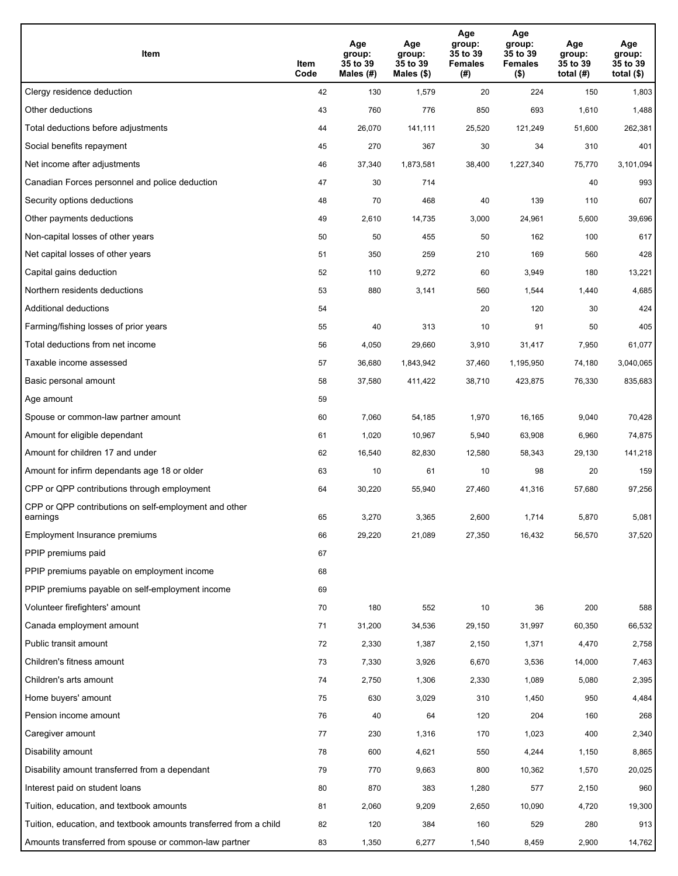| Item                                                              | Item<br>Code | Age<br>group:<br>35 to 39<br>Males (#) | Age<br>group:<br>35 to 39<br>Males (\$) | Age<br>group:<br>35 to 39<br><b>Females</b><br>(# ) | Age<br>group:<br>35 to 39<br><b>Females</b><br>$($ \$) | Age<br>group:<br>35 to 39<br>total $(H)$ | Age<br>group:<br>35 to 39<br>total $($)$ |
|-------------------------------------------------------------------|--------------|----------------------------------------|-----------------------------------------|-----------------------------------------------------|--------------------------------------------------------|------------------------------------------|------------------------------------------|
| Clergy residence deduction                                        | 42           | 130                                    | 1,579                                   | 20                                                  | 224                                                    | 150                                      | 1,803                                    |
| Other deductions                                                  | 43           | 760                                    | 776                                     | 850                                                 | 693                                                    | 1,610                                    | 1,488                                    |
| Total deductions before adjustments                               | 44           | 26,070                                 | 141,111                                 | 25,520                                              | 121,249                                                | 51,600                                   | 262,381                                  |
| Social benefits repayment                                         | 45           | 270                                    | 367                                     | 30                                                  | 34                                                     | 310                                      | 401                                      |
| Net income after adjustments                                      | 46           | 37,340                                 | 1,873,581                               | 38,400                                              | 1,227,340                                              | 75,770                                   | 3,101,094                                |
| Canadian Forces personnel and police deduction                    | 47           | 30                                     | 714                                     |                                                     |                                                        | 40                                       | 993                                      |
| Security options deductions                                       | 48           | 70                                     | 468                                     | 40                                                  | 139                                                    | 110                                      | 607                                      |
| Other payments deductions                                         | 49           | 2,610                                  | 14,735                                  | 3,000                                               | 24,961                                                 | 5,600                                    | 39,696                                   |
| Non-capital losses of other years                                 | 50           | 50                                     | 455                                     | 50                                                  | 162                                                    | 100                                      | 617                                      |
| Net capital losses of other years                                 | 51           | 350                                    | 259                                     | 210                                                 | 169                                                    | 560                                      | 428                                      |
| Capital gains deduction                                           | 52           | 110                                    | 9,272                                   | 60                                                  | 3,949                                                  | 180                                      | 13,221                                   |
| Northern residents deductions                                     | 53           | 880                                    | 3,141                                   | 560                                                 | 1,544                                                  | 1,440                                    | 4,685                                    |
| Additional deductions                                             | 54           |                                        |                                         | 20                                                  | 120                                                    | 30                                       | 424                                      |
| Farming/fishing losses of prior years                             | 55           | 40                                     | 313                                     | 10                                                  | 91                                                     | 50                                       | 405                                      |
| Total deductions from net income                                  | 56           | 4,050                                  | 29,660                                  | 3,910                                               | 31,417                                                 | 7,950                                    | 61,077                                   |
| Taxable income assessed                                           | 57           | 36,680                                 | 1,843,942                               | 37,460                                              | 1,195,950                                              | 74,180                                   | 3,040,065                                |
| Basic personal amount                                             | 58           | 37,580                                 | 411,422                                 | 38,710                                              | 423,875                                                | 76,330                                   | 835,683                                  |
| Age amount                                                        | 59           |                                        |                                         |                                                     |                                                        |                                          |                                          |
| Spouse or common-law partner amount                               | 60           | 7,060                                  | 54,185                                  | 1,970                                               | 16,165                                                 | 9,040                                    | 70,428                                   |
| Amount for eligible dependant                                     | 61           | 1,020                                  | 10,967                                  | 5,940                                               | 63,908                                                 | 6,960                                    | 74,875                                   |
| Amount for children 17 and under                                  | 62           | 16,540                                 | 82,830                                  | 12,580                                              | 58,343                                                 | 29,130                                   | 141,218                                  |
| Amount for infirm dependants age 18 or older                      | 63           | 10                                     | 61                                      | 10                                                  | 98                                                     | 20                                       | 159                                      |
| CPP or QPP contributions through employment                       | 64           | 30,220                                 | 55,940                                  | 27,460                                              | 41,316                                                 | 57,680                                   | 97,256                                   |
| CPP or QPP contributions on self-employment and other<br>earnings | 65           | 3,270                                  | 3,365                                   | 2,600                                               | 1,714                                                  | 5,870                                    | 5,081                                    |
| Employment Insurance premiums                                     | 66           | 29,220                                 | 21,089                                  | 27,350                                              | 16,432                                                 | 56,570                                   | 37,520                                   |
| PPIP premiums paid                                                | 67           |                                        |                                         |                                                     |                                                        |                                          |                                          |
| PPIP premiums payable on employment income                        | 68           |                                        |                                         |                                                     |                                                        |                                          |                                          |
| PPIP premiums payable on self-employment income                   | 69           |                                        |                                         |                                                     |                                                        |                                          |                                          |
| Volunteer firefighters' amount                                    | 70           | 180                                    | 552                                     | 10                                                  | 36                                                     | 200                                      | 588                                      |
| Canada employment amount                                          | 71           | 31,200                                 | 34,536                                  | 29,150                                              | 31,997                                                 | 60,350                                   | 66,532                                   |
| Public transit amount                                             | 72           | 2,330                                  | 1,387                                   | 2,150                                               | 1,371                                                  | 4,470                                    | 2,758                                    |
| Children's fitness amount                                         | 73           | 7,330                                  | 3,926                                   | 6,670                                               | 3,536                                                  | 14,000                                   | 7,463                                    |
| Children's arts amount                                            | 74           | 2,750                                  | 1,306                                   | 2,330                                               | 1,089                                                  | 5,080                                    | 2,395                                    |
| Home buyers' amount                                               | 75           | 630                                    | 3,029                                   | 310                                                 | 1,450                                                  | 950                                      | 4,484                                    |
| Pension income amount                                             | 76           | 40                                     | 64                                      | 120                                                 | 204                                                    | 160                                      | 268                                      |
| Caregiver amount                                                  | $77\,$       | 230                                    | 1,316                                   | 170                                                 | 1,023                                                  | 400                                      | 2,340                                    |
| Disability amount                                                 | 78           | 600                                    | 4,621                                   | 550                                                 | 4,244                                                  | 1,150                                    | 8,865                                    |
| Disability amount transferred from a dependant                    | 79           | 770                                    | 9,663                                   | 800                                                 | 10,362                                                 | 1,570                                    | 20,025                                   |
| Interest paid on student loans                                    | 80           | 870                                    | 383                                     | 1,280                                               | 577                                                    | 2,150                                    | 960                                      |
| Tuition, education, and textbook amounts                          | 81           | 2,060                                  | 9,209                                   | 2,650                                               | 10,090                                                 | 4,720                                    | 19,300                                   |
| Tuition, education, and textbook amounts transferred from a child | 82           | 120                                    | 384                                     | 160                                                 | 529                                                    | 280                                      | 913                                      |
| Amounts transferred from spouse or common-law partner             | 83           | 1,350                                  | 6,277                                   | 1,540                                               | 8,459                                                  | 2,900                                    | 14,762                                   |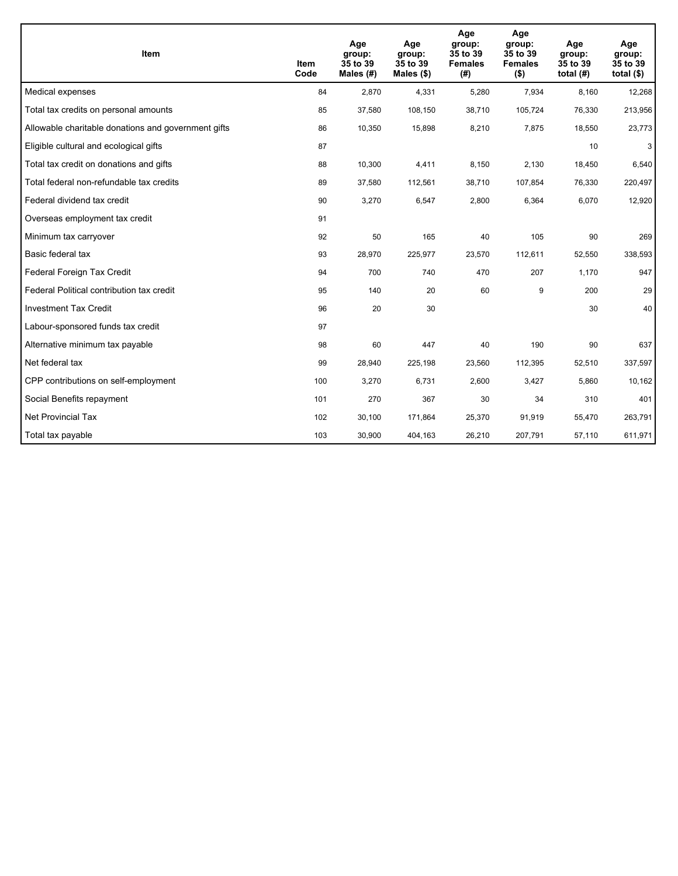| <b>Item</b>                                         | <b>Item</b><br>Code | Age<br>group:<br>35 to 39<br>Males $(H)$ | Age<br>group:<br>35 to 39<br>Males $(\$)$ | Age<br>group:<br>35 to 39<br><b>Females</b><br>(#) | Age<br>group:<br>35 to 39<br><b>Females</b><br>$($ \$) | Age<br>group:<br>35 to 39<br>total $(H)$ | Age<br>group:<br>35 to 39<br>total $($)$ |
|-----------------------------------------------------|---------------------|------------------------------------------|-------------------------------------------|----------------------------------------------------|--------------------------------------------------------|------------------------------------------|------------------------------------------|
| Medical expenses                                    | 84                  | 2.870                                    | 4,331                                     | 5,280                                              | 7,934                                                  | 8,160                                    | 12,268                                   |
| Total tax credits on personal amounts               | 85                  | 37,580                                   | 108,150                                   | 38,710                                             | 105,724                                                | 76,330                                   | 213,956                                  |
| Allowable charitable donations and government gifts | 86                  | 10,350                                   | 15,898                                    | 8,210                                              | 7,875                                                  | 18,550                                   | 23,773                                   |
| Eligible cultural and ecological gifts              | 87                  |                                          |                                           |                                                    |                                                        | 10                                       | 3                                        |
| Total tax credit on donations and gifts             | 88                  | 10,300                                   | 4,411                                     | 8,150                                              | 2,130                                                  | 18,450                                   | 6,540                                    |
| Total federal non-refundable tax credits            | 89                  | 37,580                                   | 112,561                                   | 38,710                                             | 107,854                                                | 76,330                                   | 220,497                                  |
| Federal dividend tax credit                         | 90                  | 3,270                                    | 6,547                                     | 2,800                                              | 6,364                                                  | 6,070                                    | 12,920                                   |
| Overseas employment tax credit                      | 91                  |                                          |                                           |                                                    |                                                        |                                          |                                          |
| Minimum tax carryover                               | 92                  | 50                                       | 165                                       | 40                                                 | 105                                                    | 90                                       | 269                                      |
| Basic federal tax                                   | 93                  | 28,970                                   | 225,977                                   | 23,570                                             | 112,611                                                | 52,550                                   | 338,593                                  |
| Federal Foreign Tax Credit                          | 94                  | 700                                      | 740                                       | 470                                                | 207                                                    | 1,170                                    | 947                                      |
| Federal Political contribution tax credit           | 95                  | 140                                      | 20                                        | 60                                                 | 9                                                      | 200                                      | 29                                       |
| <b>Investment Tax Credit</b>                        | 96                  | 20                                       | 30                                        |                                                    |                                                        | 30                                       | 40                                       |
| Labour-sponsored funds tax credit                   | 97                  |                                          |                                           |                                                    |                                                        |                                          |                                          |
| Alternative minimum tax payable                     | 98                  | 60                                       | 447                                       | 40                                                 | 190                                                    | 90                                       | 637                                      |
| Net federal tax                                     | 99                  | 28,940                                   | 225,198                                   | 23,560                                             | 112,395                                                | 52,510                                   | 337,597                                  |
| CPP contributions on self-employment                | 100                 | 3,270                                    | 6,731                                     | 2,600                                              | 3,427                                                  | 5,860                                    | 10,162                                   |
| Social Benefits repayment                           | 101                 | 270                                      | 367                                       | 30                                                 | 34                                                     | 310                                      | 401                                      |
| Net Provincial Tax                                  | 102                 | 30,100                                   | 171,864                                   | 25,370                                             | 91,919                                                 | 55,470                                   | 263,791                                  |
| Total tax payable                                   | 103                 | 30,900                                   | 404,163                                   | 26,210                                             | 207,791                                                | 57,110                                   | 611,971                                  |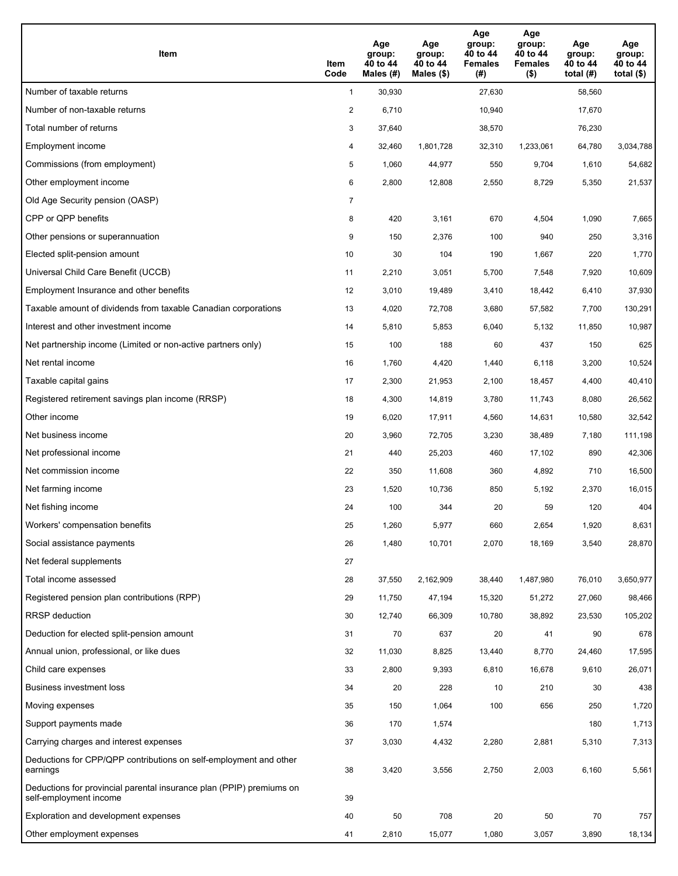| Item                                                                                           | Item<br>Code   | Age<br>group:<br>40 to 44<br>Males (#) | Age<br>group:<br>40 to 44<br>Males $(\$)$ | Age<br>group:<br>40 to 44<br><b>Females</b><br>(#) | Age<br>group:<br>40 to 44<br><b>Females</b><br>$($ \$) | Age<br>group:<br>40 to 44<br>total $(H)$ | Age<br>group:<br>40 to 44<br>total $($ |
|------------------------------------------------------------------------------------------------|----------------|----------------------------------------|-------------------------------------------|----------------------------------------------------|--------------------------------------------------------|------------------------------------------|----------------------------------------|
| Number of taxable returns                                                                      | $\mathbf{1}$   | 30,930                                 |                                           | 27,630                                             |                                                        | 58,560                                   |                                        |
| Number of non-taxable returns                                                                  | $\overline{a}$ | 6,710                                  |                                           | 10,940                                             |                                                        | 17,670                                   |                                        |
| Total number of returns                                                                        | 3              | 37,640                                 |                                           | 38,570                                             |                                                        | 76,230                                   |                                        |
| Employment income                                                                              | 4              | 32.460                                 | 1,801,728                                 | 32,310                                             | 1,233,061                                              | 64,780                                   | 3,034,788                              |
| Commissions (from employment)                                                                  | 5              | 1,060                                  | 44,977                                    | 550                                                | 9,704                                                  | 1,610                                    | 54,682                                 |
| Other employment income                                                                        | 6              | 2,800                                  | 12,808                                    | 2,550                                              | 8,729                                                  | 5,350                                    | 21,537                                 |
| Old Age Security pension (OASP)                                                                | 7              |                                        |                                           |                                                    |                                                        |                                          |                                        |
| CPP or QPP benefits                                                                            | 8              | 420                                    | 3,161                                     | 670                                                | 4,504                                                  | 1,090                                    | 7,665                                  |
| Other pensions or superannuation                                                               | 9              | 150                                    | 2,376                                     | 100                                                | 940                                                    | 250                                      | 3,316                                  |
| Elected split-pension amount                                                                   | 10             | 30                                     | 104                                       | 190                                                | 1,667                                                  | 220                                      | 1,770                                  |
| Universal Child Care Benefit (UCCB)                                                            | 11             | 2,210                                  | 3,051                                     | 5,700                                              | 7,548                                                  | 7,920                                    | 10,609                                 |
| Employment Insurance and other benefits                                                        | 12             | 3,010                                  | 19,489                                    | 3,410                                              | 18,442                                                 | 6,410                                    | 37,930                                 |
| Taxable amount of dividends from taxable Canadian corporations                                 | 13             | 4,020                                  | 72,708                                    | 3,680                                              | 57,582                                                 | 7,700                                    | 130,291                                |
| Interest and other investment income                                                           | 14             | 5,810                                  | 5,853                                     | 6,040                                              | 5,132                                                  | 11,850                                   | 10,987                                 |
| Net partnership income (Limited or non-active partners only)                                   | 15             | 100                                    | 188                                       | 60                                                 | 437                                                    | 150                                      | 625                                    |
| Net rental income                                                                              | 16             | 1,760                                  | 4,420                                     | 1,440                                              | 6,118                                                  | 3,200                                    | 10,524                                 |
| Taxable capital gains                                                                          | 17             | 2,300                                  | 21,953                                    | 2,100                                              | 18,457                                                 | 4,400                                    | 40,410                                 |
| Registered retirement savings plan income (RRSP)                                               | 18             | 4,300                                  | 14,819                                    | 3,780                                              | 11,743                                                 | 8,080                                    | 26,562                                 |
| Other income                                                                                   | 19             | 6,020                                  | 17,911                                    | 4,560                                              | 14,631                                                 | 10,580                                   | 32,542                                 |
| Net business income                                                                            | 20             | 3,960                                  | 72,705                                    | 3,230                                              | 38,489                                                 | 7,180                                    | 111,198                                |
| Net professional income                                                                        | 21             | 440                                    | 25,203                                    | 460                                                | 17,102                                                 | 890                                      | 42,306                                 |
| Net commission income                                                                          | 22             | 350                                    | 11,608                                    | 360                                                | 4,892                                                  | 710                                      | 16,500                                 |
| Net farming income                                                                             | 23             | 1,520                                  | 10,736                                    | 850                                                | 5,192                                                  | 2,370                                    | 16,015                                 |
| Net fishing income                                                                             | 24             | 100                                    | 344                                       | 20                                                 | 59                                                     | 120                                      | 404                                    |
| Workers' compensation benefits                                                                 | 25             | 1,260                                  | 5,977                                     | 660                                                | 2,654                                                  | 1,920                                    | 8,631                                  |
| Social assistance payments                                                                     | 26             | 1,480                                  | 10,701                                    | 2,070                                              | 18,169                                                 | 3,540                                    | 28,870                                 |
| Net federal supplements                                                                        | 27             |                                        |                                           |                                                    |                                                        |                                          |                                        |
| Total income assessed                                                                          | 28             | 37,550                                 | 2,162,909                                 | 38,440                                             | 1,487,980                                              | 76,010                                   | 3,650,977                              |
| Registered pension plan contributions (RPP)                                                    | 29             | 11,750                                 | 47,194                                    | 15,320                                             | 51,272                                                 | 27,060                                   | 98,466                                 |
| <b>RRSP</b> deduction                                                                          | 30             | 12,740                                 | 66,309                                    | 10,780                                             | 38,892                                                 | 23,530                                   | 105,202                                |
| Deduction for elected split-pension amount                                                     | 31             | 70                                     | 637                                       | 20                                                 | 41                                                     | 90                                       | 678                                    |
| Annual union, professional, or like dues                                                       | 32             | 11,030                                 | 8,825                                     | 13,440                                             | 8,770                                                  | 24,460                                   | 17,595                                 |
| Child care expenses                                                                            | 33             | 2,800                                  | 9,393                                     | 6,810                                              | 16,678                                                 | 9,610                                    | 26,071                                 |
| Business investment loss                                                                       | 34             | 20                                     | 228                                       | 10                                                 | 210                                                    | 30                                       | 438                                    |
| Moving expenses                                                                                | 35             | 150                                    | 1,064                                     | 100                                                | 656                                                    | 250                                      | 1,720                                  |
| Support payments made                                                                          | 36             | 170                                    | 1,574                                     |                                                    |                                                        | 180                                      | 1,713                                  |
| Carrying charges and interest expenses                                                         | 37             | 3,030                                  | 4,432                                     | 2,280                                              | 2,881                                                  | 5,310                                    | 7,313                                  |
| Deductions for CPP/QPP contributions on self-employment and other<br>earnings                  | 38             | 3,420                                  | 3,556                                     | 2,750                                              | 2,003                                                  | 6,160                                    | 5,561                                  |
| Deductions for provincial parental insurance plan (PPIP) premiums on<br>self-employment income | 39             |                                        |                                           |                                                    |                                                        |                                          |                                        |
| Exploration and development expenses                                                           | 40             | 50                                     | 708                                       | 20                                                 | 50                                                     | 70                                       | 757                                    |
| Other employment expenses                                                                      | 41             | 2,810                                  | 15,077                                    | 1,080                                              | 3,057                                                  | 3,890                                    | 18,134                                 |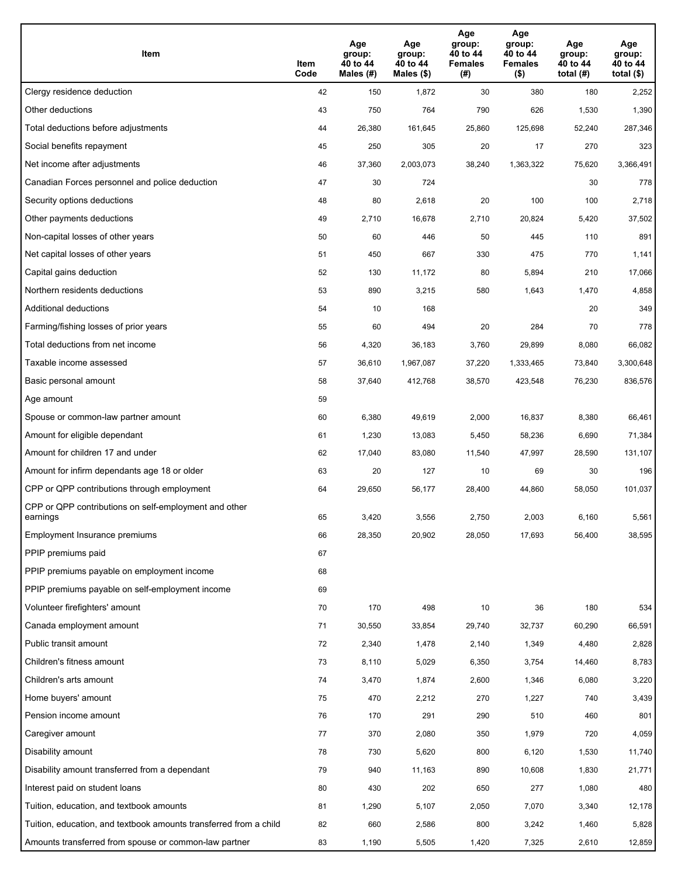| Item                                                              | Item<br>Code | Age<br>group:<br>40 to 44<br>Males (#) | Age<br>group:<br>40 to 44<br>Males (\$) | Age<br>group:<br>40 to 44<br><b>Females</b><br>(# ) | Age<br>group:<br>40 to 44<br>Females<br>$($ \$) | Age<br>group:<br>40 to 44<br>total $(H)$ | Age<br>group:<br>40 to 44<br>total $($)$ |
|-------------------------------------------------------------------|--------------|----------------------------------------|-----------------------------------------|-----------------------------------------------------|-------------------------------------------------|------------------------------------------|------------------------------------------|
| Clergy residence deduction                                        | 42           | 150                                    | 1,872                                   | 30                                                  | 380                                             | 180                                      | 2,252                                    |
| Other deductions                                                  | 43           | 750                                    | 764                                     | 790                                                 | 626                                             | 1,530                                    | 1,390                                    |
| Total deductions before adjustments                               | 44           | 26,380                                 | 161,645                                 | 25,860                                              | 125,698                                         | 52,240                                   | 287,346                                  |
| Social benefits repayment                                         | 45           | 250                                    | 305                                     | 20                                                  | 17                                              | 270                                      | 323                                      |
| Net income after adjustments                                      | 46           | 37,360                                 | 2,003,073                               | 38,240                                              | 1,363,322                                       | 75,620                                   | 3,366,491                                |
| Canadian Forces personnel and police deduction                    | 47           | 30                                     | 724                                     |                                                     |                                                 | 30                                       | 778                                      |
| Security options deductions                                       | 48           | 80                                     | 2,618                                   | 20                                                  | 100                                             | 100                                      | 2,718                                    |
| Other payments deductions                                         | 49           | 2,710                                  | 16,678                                  | 2,710                                               | 20,824                                          | 5,420                                    | 37,502                                   |
| Non-capital losses of other years                                 | 50           | 60                                     | 446                                     | 50                                                  | 445                                             | 110                                      | 891                                      |
| Net capital losses of other years                                 | 51           | 450                                    | 667                                     | 330                                                 | 475                                             | 770                                      | 1,141                                    |
| Capital gains deduction                                           | 52           | 130                                    | 11,172                                  | 80                                                  | 5,894                                           | 210                                      | 17,066                                   |
| Northern residents deductions                                     | 53           | 890                                    | 3,215                                   | 580                                                 | 1,643                                           | 1,470                                    | 4,858                                    |
| Additional deductions                                             | 54           | 10                                     | 168                                     |                                                     |                                                 | 20                                       | 349                                      |
| Farming/fishing losses of prior years                             | 55           | 60                                     | 494                                     | 20                                                  | 284                                             | 70                                       | 778                                      |
| Total deductions from net income                                  | 56           | 4,320                                  | 36,183                                  | 3,760                                               | 29,899                                          | 8,080                                    | 66,082                                   |
| Taxable income assessed                                           | 57           | 36,610                                 | 1,967,087                               | 37,220                                              | 1,333,465                                       | 73,840                                   | 3,300,648                                |
| Basic personal amount                                             | 58           | 37,640                                 | 412,768                                 | 38,570                                              | 423,548                                         | 76,230                                   | 836,576                                  |
| Age amount                                                        | 59           |                                        |                                         |                                                     |                                                 |                                          |                                          |
| Spouse or common-law partner amount                               | 60           | 6,380                                  | 49,619                                  | 2,000                                               | 16,837                                          | 8,380                                    | 66,461                                   |
| Amount for eligible dependant                                     | 61           | 1,230                                  | 13,083                                  | 5,450                                               | 58,236                                          | 6,690                                    | 71,384                                   |
| Amount for children 17 and under                                  | 62           | 17,040                                 | 83,080                                  | 11,540                                              | 47,997                                          | 28,590                                   | 131,107                                  |
| Amount for infirm dependants age 18 or older                      | 63           | 20                                     | 127                                     | 10                                                  | 69                                              | 30                                       | 196                                      |
| CPP or QPP contributions through employment                       | 64           | 29,650                                 | 56,177                                  | 28,400                                              | 44,860                                          | 58,050                                   | 101,037                                  |
| CPP or QPP contributions on self-employment and other<br>earnings | 65           | 3,420                                  | 3,556                                   | 2,750                                               | 2,003                                           | 6,160                                    | 5,561                                    |
| Employment Insurance premiums                                     | 66           | 28,350                                 | 20,902                                  | 28,050                                              | 17,693                                          | 56,400                                   | 38,595                                   |
| PPIP premiums paid                                                | 67           |                                        |                                         |                                                     |                                                 |                                          |                                          |
| PPIP premiums payable on employment income                        | 68           |                                        |                                         |                                                     |                                                 |                                          |                                          |
| PPIP premiums payable on self-employment income                   | 69           |                                        |                                         |                                                     |                                                 |                                          |                                          |
| Volunteer firefighters' amount                                    | 70           | 170                                    | 498                                     | 10                                                  | 36                                              | 180                                      | 534                                      |
| Canada employment amount                                          | 71           | 30,550                                 | 33,854                                  | 29,740                                              | 32,737                                          | 60,290                                   | 66,591                                   |
| Public transit amount                                             | 72           | 2,340                                  | 1,478                                   | 2,140                                               | 1,349                                           | 4,480                                    | 2,828                                    |
| Children's fitness amount                                         | 73           | 8,110                                  | 5,029                                   | 6,350                                               | 3,754                                           | 14,460                                   | 8,783                                    |
| Children's arts amount                                            | 74           | 3,470                                  | 1,874                                   | 2,600                                               | 1,346                                           | 6,080                                    | 3,220                                    |
| Home buyers' amount                                               | 75           | 470                                    | 2,212                                   | 270                                                 | 1,227                                           | 740                                      | 3,439                                    |
| Pension income amount                                             | 76           | 170                                    | 291                                     | 290                                                 | 510                                             | 460                                      | 801                                      |
| Caregiver amount                                                  | 77           | 370                                    | 2,080                                   | 350                                                 | 1,979                                           | 720                                      | 4,059                                    |
| Disability amount                                                 | 78           | 730                                    | 5,620                                   | 800                                                 | 6,120                                           | 1,530                                    | 11,740                                   |
| Disability amount transferred from a dependant                    | 79           | 940                                    | 11,163                                  | 890                                                 | 10,608                                          | 1,830                                    | 21,771                                   |
| Interest paid on student loans                                    | 80           | 430                                    | 202                                     | 650                                                 | 277                                             | 1,080                                    | 480                                      |
| Tuition, education, and textbook amounts                          | 81           | 1,290                                  | 5,107                                   | 2,050                                               | 7,070                                           | 3,340                                    | 12,178                                   |
| Tuition, education, and textbook amounts transferred from a child | 82           | 660                                    | 2,586                                   | 800                                                 | 3,242                                           | 1,460                                    | 5,828                                    |
| Amounts transferred from spouse or common-law partner             | 83           | 1,190                                  | 5,505                                   | 1,420                                               | 7,325                                           | 2,610                                    | 12,859                                   |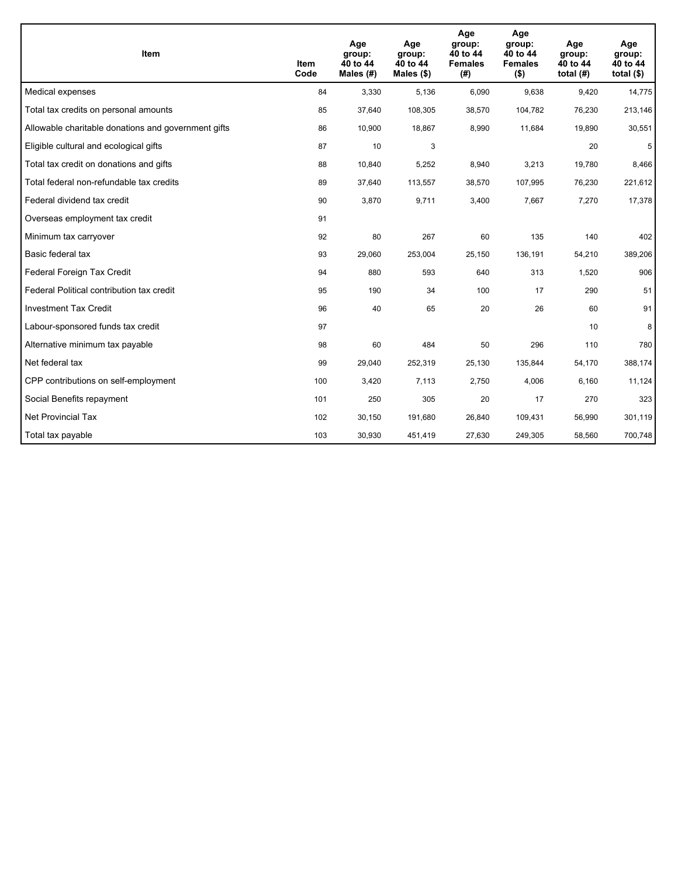| <b>Item</b>                                         | Item<br>Code | Age<br>group:<br>40 to 44<br>Males (#) | Age<br>group:<br>40 to 44<br>Males $(\$)$ | Age<br>group:<br>40 to 44<br><b>Females</b><br>(#) | Age<br>group:<br>40 to 44<br><b>Females</b><br>$($ \$) | Age<br>group:<br>40 to 44<br>total $(H)$ | Age<br>group:<br>40 to 44<br>total $($)$ |
|-----------------------------------------------------|--------------|----------------------------------------|-------------------------------------------|----------------------------------------------------|--------------------------------------------------------|------------------------------------------|------------------------------------------|
| Medical expenses                                    | 84           | 3,330                                  | 5,136                                     | 6,090                                              | 9,638                                                  | 9,420                                    | 14,775                                   |
| Total tax credits on personal amounts               | 85           | 37,640                                 | 108,305                                   | 38,570                                             | 104,782                                                | 76,230                                   | 213,146                                  |
| Allowable charitable donations and government gifts | 86           | 10,900                                 | 18,867                                    | 8,990                                              | 11,684                                                 | 19,890                                   | 30,551                                   |
| Eligible cultural and ecological gifts              | 87           | 10                                     | 3                                         |                                                    |                                                        | 20                                       | 5                                        |
| Total tax credit on donations and gifts             | 88           | 10,840                                 | 5,252                                     | 8,940                                              | 3,213                                                  | 19,780                                   | 8,466                                    |
| Total federal non-refundable tax credits            | 89           | 37,640                                 | 113,557                                   | 38,570                                             | 107,995                                                | 76,230                                   | 221,612                                  |
| Federal dividend tax credit                         | 90           | 3,870                                  | 9,711                                     | 3,400                                              | 7,667                                                  | 7,270                                    | 17,378                                   |
| Overseas employment tax credit                      | 91           |                                        |                                           |                                                    |                                                        |                                          |                                          |
| Minimum tax carryover                               | 92           | 80                                     | 267                                       | 60                                                 | 135                                                    | 140                                      | 402                                      |
| Basic federal tax                                   | 93           | 29,060                                 | 253,004                                   | 25,150                                             | 136,191                                                | 54,210                                   | 389,206                                  |
| Federal Foreign Tax Credit                          | 94           | 880                                    | 593                                       | 640                                                | 313                                                    | 1,520                                    | 906                                      |
| Federal Political contribution tax credit           | 95           | 190                                    | 34                                        | 100                                                | 17                                                     | 290                                      | 51                                       |
| <b>Investment Tax Credit</b>                        | 96           | 40                                     | 65                                        | 20                                                 | 26                                                     | 60                                       | 91                                       |
| Labour-sponsored funds tax credit                   | 97           |                                        |                                           |                                                    |                                                        | 10                                       | 8                                        |
| Alternative minimum tax payable                     | 98           | 60                                     | 484                                       | 50                                                 | 296                                                    | 110                                      | 780                                      |
| Net federal tax                                     | 99           | 29,040                                 | 252,319                                   | 25,130                                             | 135,844                                                | 54,170                                   | 388,174                                  |
| CPP contributions on self-employment                | 100          | 3,420                                  | 7,113                                     | 2,750                                              | 4,006                                                  | 6,160                                    | 11,124                                   |
| Social Benefits repayment                           | 101          | 250                                    | 305                                       | 20                                                 | 17                                                     | 270                                      | 323                                      |
| <b>Net Provincial Tax</b>                           | 102          | 30,150                                 | 191,680                                   | 26,840                                             | 109,431                                                | 56,990                                   | 301,119                                  |
| Total tax payable                                   | 103          | 30,930                                 | 451,419                                   | 27,630                                             | 249,305                                                | 58,560                                   | 700,748                                  |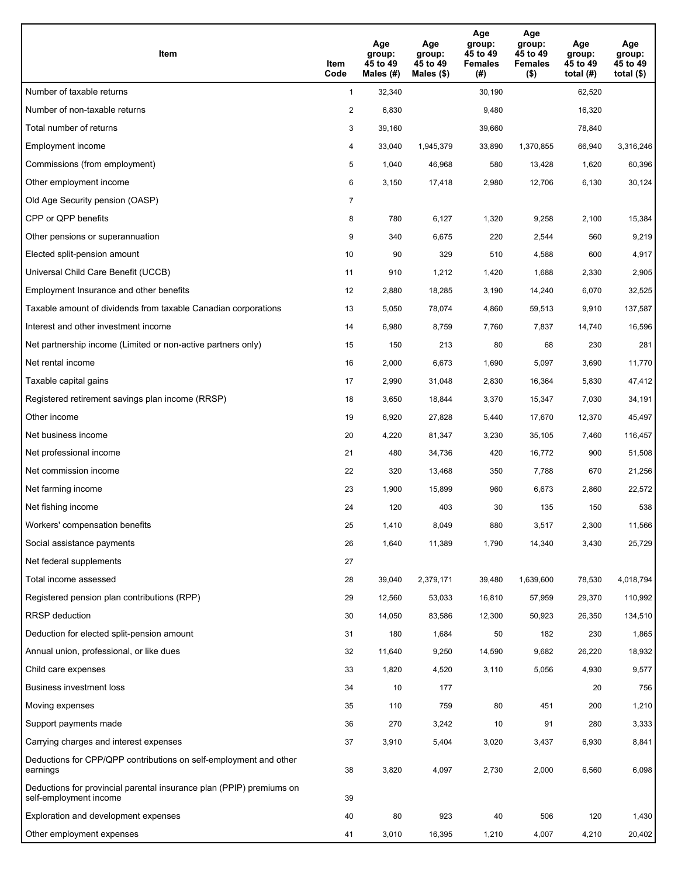| Item                                                                                           | Item<br>Code   | Age<br>group:<br>45 to 49<br>Males (#) | Age<br>group:<br>45 to 49<br>Males $(\$)$ | Age<br>group:<br>45 to 49<br><b>Females</b><br>(#) | Age<br>group:<br>45 to 49<br><b>Females</b><br>$($ \$) | Age<br>group:<br>45 to 49<br>total $(H)$ | Age<br>group:<br>45 to 49<br>total $($ |
|------------------------------------------------------------------------------------------------|----------------|----------------------------------------|-------------------------------------------|----------------------------------------------------|--------------------------------------------------------|------------------------------------------|----------------------------------------|
| Number of taxable returns                                                                      | $\mathbf{1}$   | 32,340                                 |                                           | 30,190                                             |                                                        | 62,520                                   |                                        |
| Number of non-taxable returns                                                                  | $\overline{a}$ | 6,830                                  |                                           | 9,480                                              |                                                        | 16,320                                   |                                        |
| Total number of returns                                                                        | 3              | 39,160                                 |                                           | 39,660                                             |                                                        | 78,840                                   |                                        |
| Employment income                                                                              | 4              | 33,040                                 | 1,945,379                                 | 33,890                                             | 1,370,855                                              | 66,940                                   | 3,316,246                              |
| Commissions (from employment)                                                                  | 5              | 1,040                                  | 46,968                                    | 580                                                | 13,428                                                 | 1,620                                    | 60,396                                 |
| Other employment income                                                                        | 6              | 3,150                                  | 17,418                                    | 2,980                                              | 12,706                                                 | 6,130                                    | 30,124                                 |
| Old Age Security pension (OASP)                                                                | 7              |                                        |                                           |                                                    |                                                        |                                          |                                        |
| CPP or QPP benefits                                                                            | 8              | 780                                    | 6,127                                     | 1,320                                              | 9,258                                                  | 2,100                                    | 15,384                                 |
| Other pensions or superannuation                                                               | 9              | 340                                    | 6,675                                     | 220                                                | 2,544                                                  | 560                                      | 9,219                                  |
| Elected split-pension amount                                                                   | 10             | 90                                     | 329                                       | 510                                                | 4,588                                                  | 600                                      | 4,917                                  |
| Universal Child Care Benefit (UCCB)                                                            | 11             | 910                                    | 1,212                                     | 1,420                                              | 1,688                                                  | 2,330                                    | 2,905                                  |
| Employment Insurance and other benefits                                                        | 12             | 2,880                                  | 18,285                                    | 3,190                                              | 14,240                                                 | 6,070                                    | 32,525                                 |
| Taxable amount of dividends from taxable Canadian corporations                                 | 13             | 5,050                                  | 78,074                                    | 4,860                                              | 59,513                                                 | 9,910                                    | 137,587                                |
| Interest and other investment income                                                           | 14             | 6,980                                  | 8,759                                     | 7,760                                              | 7,837                                                  | 14,740                                   | 16,596                                 |
| Net partnership income (Limited or non-active partners only)                                   | 15             | 150                                    | 213                                       | 80                                                 | 68                                                     | 230                                      | 281                                    |
| Net rental income                                                                              | 16             | 2,000                                  | 6,673                                     | 1,690                                              | 5,097                                                  | 3,690                                    | 11,770                                 |
| Taxable capital gains                                                                          | 17             | 2,990                                  | 31,048                                    | 2,830                                              | 16,364                                                 | 5,830                                    | 47,412                                 |
| Registered retirement savings plan income (RRSP)                                               | 18             | 3,650                                  | 18,844                                    | 3,370                                              | 15,347                                                 | 7,030                                    | 34,191                                 |
| Other income                                                                                   | 19             | 6,920                                  | 27,828                                    | 5,440                                              | 17,670                                                 | 12,370                                   | 45,497                                 |
| Net business income                                                                            | 20             | 4,220                                  | 81,347                                    | 3,230                                              | 35,105                                                 | 7,460                                    | 116,457                                |
| Net professional income                                                                        | 21             | 480                                    | 34,736                                    | 420                                                | 16,772                                                 | 900                                      | 51,508                                 |
| Net commission income                                                                          | 22             | 320                                    | 13,468                                    | 350                                                | 7,788                                                  | 670                                      | 21,256                                 |
| Net farming income                                                                             | 23             | 1,900                                  | 15,899                                    | 960                                                | 6,673                                                  | 2,860                                    | 22,572                                 |
| Net fishing income                                                                             | 24             | 120                                    | 403                                       | 30                                                 | 135                                                    | 150                                      | 538                                    |
| Workers' compensation benefits                                                                 | 25             | 1,410                                  | 8,049                                     | 880                                                | 3,517                                                  | 2,300                                    | 11,566                                 |
| Social assistance payments                                                                     | 26             | 1,640                                  | 11,389                                    | 1,790                                              | 14,340                                                 | 3,430                                    | 25,729                                 |
| Net federal supplements                                                                        | 27             |                                        |                                           |                                                    |                                                        |                                          |                                        |
| Total income assessed                                                                          | 28             | 39,040                                 | 2,379,171                                 | 39,480                                             | 1,639,600                                              | 78,530                                   | 4,018,794                              |
| Registered pension plan contributions (RPP)                                                    | 29             | 12,560                                 | 53,033                                    | 16,810                                             | 57,959                                                 | 29,370                                   | 110,992                                |
| <b>RRSP</b> deduction                                                                          | 30             | 14,050                                 | 83,586                                    | 12,300                                             | 50,923                                                 | 26,350                                   | 134,510                                |
| Deduction for elected split-pension amount                                                     | 31             | 180                                    | 1,684                                     | 50                                                 | 182                                                    | 230                                      | 1,865                                  |
| Annual union, professional, or like dues                                                       | 32             | 11,640                                 | 9,250                                     | 14,590                                             | 9,682                                                  | 26,220                                   | 18,932                                 |
| Child care expenses                                                                            | 33             | 1,820                                  | 4,520                                     | 3,110                                              | 5,056                                                  | 4,930                                    | 9,577                                  |
| Business investment loss                                                                       | 34             | 10                                     | 177                                       |                                                    |                                                        | 20                                       | 756                                    |
| Moving expenses                                                                                | 35             | 110                                    | 759                                       | 80                                                 | 451                                                    | 200                                      | 1,210                                  |
| Support payments made                                                                          | 36             | 270                                    | 3,242                                     | 10                                                 | 91                                                     | 280                                      | 3,333                                  |
| Carrying charges and interest expenses                                                         | 37             | 3,910                                  | 5,404                                     | 3,020                                              | 3,437                                                  | 6,930                                    | 8,841                                  |
| Deductions for CPP/QPP contributions on self-employment and other<br>earnings                  | 38             | 3,820                                  | 4,097                                     | 2,730                                              | 2,000                                                  | 6,560                                    | 6,098                                  |
| Deductions for provincial parental insurance plan (PPIP) premiums on<br>self-employment income | 39             |                                        |                                           |                                                    |                                                        |                                          |                                        |
| Exploration and development expenses                                                           | 40             | 80                                     | 923                                       | 40                                                 | 506                                                    | 120                                      | 1,430                                  |
| Other employment expenses                                                                      | 41             | 3,010                                  | 16,395                                    | 1,210                                              | 4,007                                                  | 4,210                                    | 20,402                                 |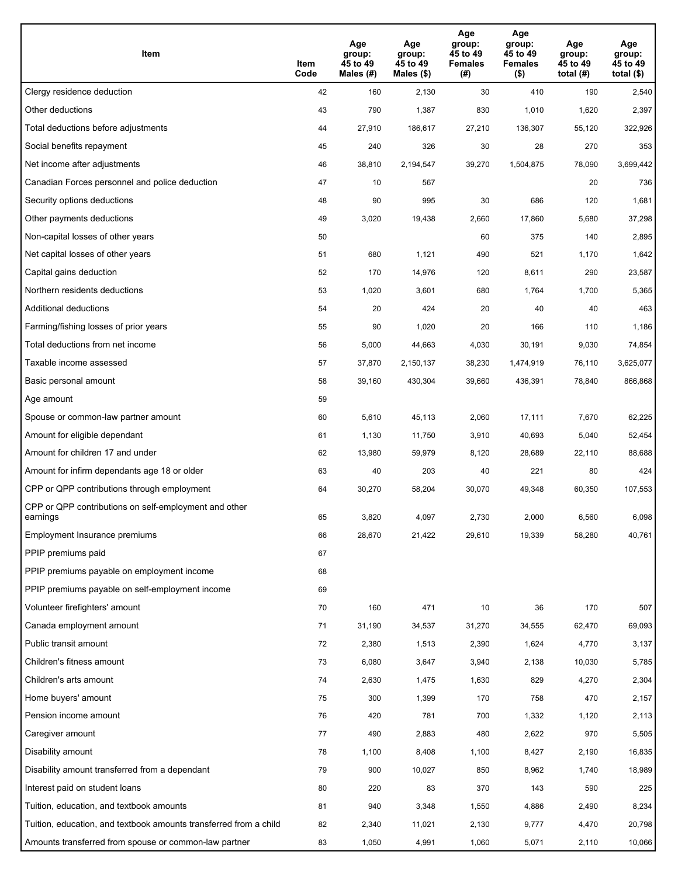| Item                                                              | Item<br>Code | Age<br>group:<br>45 to 49<br>Males (#) | Age<br>group:<br>45 to 49<br>Males (\$) | Age<br>group:<br>45 to 49<br><b>Females</b><br>(# ) | Age<br>group:<br>45 to 49<br><b>Females</b><br>$($ \$) | Age<br>group:<br>45 to 49<br>total $(#)$ | Age<br>group:<br>45 to 49<br>total $($)$ |
|-------------------------------------------------------------------|--------------|----------------------------------------|-----------------------------------------|-----------------------------------------------------|--------------------------------------------------------|------------------------------------------|------------------------------------------|
| Clergy residence deduction                                        | 42           | 160                                    | 2,130                                   | 30                                                  | 410                                                    | 190                                      | 2,540                                    |
| Other deductions                                                  | 43           | 790                                    | 1,387                                   | 830                                                 | 1,010                                                  | 1,620                                    | 2,397                                    |
| Total deductions before adjustments                               | 44           | 27,910                                 | 186,617                                 | 27,210                                              | 136,307                                                | 55,120                                   | 322,926                                  |
| Social benefits repayment                                         | 45           | 240                                    | 326                                     | 30                                                  | 28                                                     | 270                                      | 353                                      |
| Net income after adjustments                                      | 46           | 38,810                                 | 2,194,547                               | 39,270                                              | 1,504,875                                              | 78,090                                   | 3,699,442                                |
| Canadian Forces personnel and police deduction                    | 47           | 10                                     | 567                                     |                                                     |                                                        | 20                                       | 736                                      |
| Security options deductions                                       | 48           | 90                                     | 995                                     | 30                                                  | 686                                                    | 120                                      | 1,681                                    |
| Other payments deductions                                         | 49           | 3,020                                  | 19,438                                  | 2,660                                               | 17,860                                                 | 5,680                                    | 37,298                                   |
| Non-capital losses of other years                                 | 50           |                                        |                                         | 60                                                  | 375                                                    | 140                                      | 2,895                                    |
| Net capital losses of other years                                 | 51           | 680                                    | 1,121                                   | 490                                                 | 521                                                    | 1,170                                    | 1,642                                    |
| Capital gains deduction                                           | 52           | 170                                    | 14,976                                  | 120                                                 | 8,611                                                  | 290                                      | 23,587                                   |
| Northern residents deductions                                     | 53           | 1,020                                  | 3,601                                   | 680                                                 | 1,764                                                  | 1,700                                    | 5,365                                    |
| Additional deductions                                             | 54           | 20                                     | 424                                     | 20                                                  | 40                                                     | 40                                       | 463                                      |
| Farming/fishing losses of prior years                             | 55           | 90                                     | 1,020                                   | 20                                                  | 166                                                    | 110                                      | 1,186                                    |
| Total deductions from net income                                  | 56           | 5,000                                  | 44,663                                  | 4,030                                               | 30,191                                                 | 9,030                                    | 74,854                                   |
| Taxable income assessed                                           | 57           | 37,870                                 | 2,150,137                               | 38,230                                              | 1,474,919                                              | 76,110                                   | 3,625,077                                |
| Basic personal amount                                             | 58           | 39,160                                 | 430,304                                 | 39,660                                              | 436,391                                                | 78,840                                   | 866,868                                  |
| Age amount                                                        | 59           |                                        |                                         |                                                     |                                                        |                                          |                                          |
| Spouse or common-law partner amount                               | 60           | 5,610                                  | 45,113                                  | 2,060                                               | 17,111                                                 | 7,670                                    | 62,225                                   |
| Amount for eligible dependant                                     | 61           | 1,130                                  | 11,750                                  | 3,910                                               | 40,693                                                 | 5,040                                    | 52,454                                   |
| Amount for children 17 and under                                  | 62           | 13,980                                 | 59,979                                  | 8,120                                               | 28,689                                                 | 22,110                                   | 88,688                                   |
| Amount for infirm dependants age 18 or older                      | 63           | 40                                     | 203                                     | 40                                                  | 221                                                    | 80                                       | 424                                      |
| CPP or QPP contributions through employment                       | 64           | 30,270                                 | 58,204                                  | 30,070                                              | 49,348                                                 | 60,350                                   | 107,553                                  |
| CPP or QPP contributions on self-employment and other<br>earnings | 65           | 3,820                                  | 4,097                                   | 2,730                                               | 2.000                                                  | 6,560                                    | 6,098                                    |
| Employment Insurance premiums                                     | 66           | 28,670                                 | 21,422                                  | 29,610                                              | 19,339                                                 | 58,280                                   | 40,761                                   |
| PPIP premiums paid                                                | 67           |                                        |                                         |                                                     |                                                        |                                          |                                          |
| PPIP premiums payable on employment income                        | 68           |                                        |                                         |                                                     |                                                        |                                          |                                          |
| PPIP premiums payable on self-employment income                   | 69           |                                        |                                         |                                                     |                                                        |                                          |                                          |
| Volunteer firefighters' amount                                    | 70           | 160                                    | 471                                     | 10                                                  | 36                                                     | 170                                      | 507                                      |
| Canada employment amount                                          | 71           | 31,190                                 | 34,537                                  | 31,270                                              | 34,555                                                 | 62,470                                   | 69,093                                   |
| Public transit amount                                             | 72           | 2,380                                  | 1,513                                   | 2,390                                               | 1,624                                                  | 4,770                                    | 3,137                                    |
| Children's fitness amount                                         | 73           | 6,080                                  | 3,647                                   | 3,940                                               | 2,138                                                  | 10,030                                   | 5,785                                    |
| Children's arts amount                                            | 74           | 2,630                                  | 1,475                                   | 1,630                                               | 829                                                    | 4,270                                    | 2,304                                    |
| Home buyers' amount                                               | 75           | 300                                    | 1,399                                   | 170                                                 | 758                                                    | 470                                      | 2,157                                    |
| Pension income amount                                             | 76           | 420                                    | 781                                     | 700                                                 | 1,332                                                  | 1,120                                    | 2,113                                    |
| Caregiver amount                                                  | 77           | 490                                    | 2,883                                   | 480                                                 | 2,622                                                  | 970                                      | 5,505                                    |
| Disability amount                                                 | 78           | 1,100                                  | 8,408                                   | 1,100                                               | 8,427                                                  | 2,190                                    | 16,835                                   |
| Disability amount transferred from a dependant                    | 79           | 900                                    | 10,027                                  | 850                                                 | 8,962                                                  | 1,740                                    | 18,989                                   |
| Interest paid on student loans                                    | 80           | 220                                    | 83                                      | 370                                                 | 143                                                    | 590                                      | 225                                      |
| Tuition, education, and textbook amounts                          | 81           | 940                                    | 3,348                                   | 1,550                                               | 4,886                                                  | 2,490                                    | 8,234                                    |
| Tuition, education, and textbook amounts transferred from a child | 82           | 2,340                                  | 11,021                                  | 2,130                                               | 9,777                                                  | 4,470                                    | 20,798                                   |
| Amounts transferred from spouse or common-law partner             | 83           | 1,050                                  | 4,991                                   | 1,060                                               | 5,071                                                  | 2,110                                    | 10,066                                   |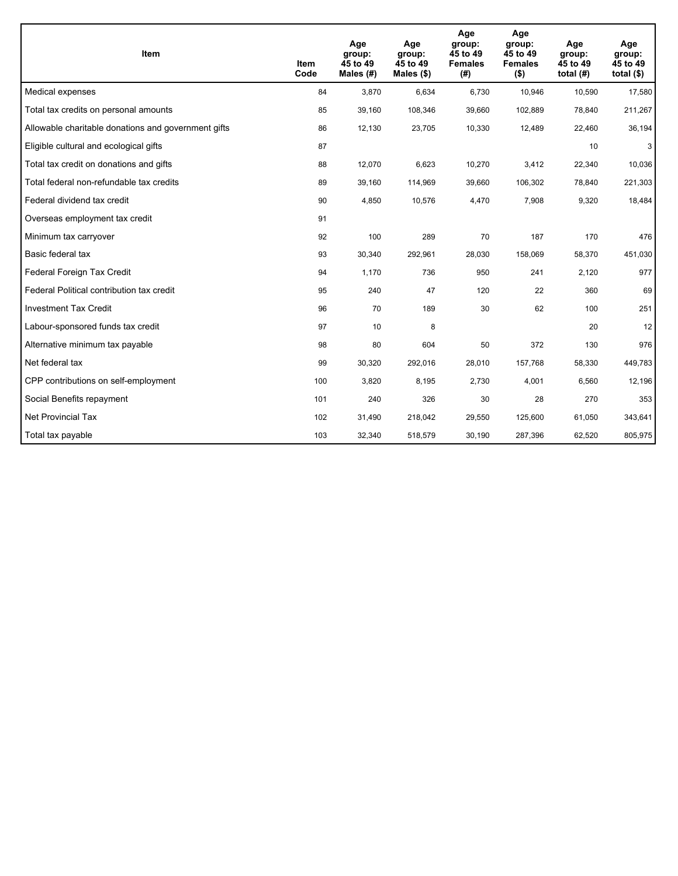| <b>Item</b>                                         | Item<br>Code | Age<br>group:<br>45 to 49<br>Males (#) | Age<br>group:<br>45 to 49<br>Males $(\$)$ | Age<br>group:<br>45 to 49<br><b>Females</b><br>(#) | Age<br>group:<br>45 to 49<br><b>Females</b><br>$($ \$) | Age<br>group:<br>45 to 49<br>total $(H)$ | Age<br>group:<br>45 to 49<br>total $($)$ |
|-----------------------------------------------------|--------------|----------------------------------------|-------------------------------------------|----------------------------------------------------|--------------------------------------------------------|------------------------------------------|------------------------------------------|
| Medical expenses                                    | 84           | 3,870                                  | 6.634                                     | 6,730                                              | 10,946                                                 | 10,590                                   | 17,580                                   |
| Total tax credits on personal amounts               | 85           | 39,160                                 | 108,346                                   | 39,660                                             | 102,889                                                | 78,840                                   | 211,267                                  |
| Allowable charitable donations and government gifts | 86           | 12,130                                 | 23,705                                    | 10,330                                             | 12,489                                                 | 22,460                                   | 36,194                                   |
| Eligible cultural and ecological gifts              | 87           |                                        |                                           |                                                    |                                                        | 10                                       | 3                                        |
| Total tax credit on donations and gifts             | 88           | 12,070                                 | 6,623                                     | 10,270                                             | 3,412                                                  | 22,340                                   | 10,036                                   |
| Total federal non-refundable tax credits            | 89           | 39,160                                 | 114,969                                   | 39,660                                             | 106,302                                                | 78,840                                   | 221,303                                  |
| Federal dividend tax credit                         | 90           | 4,850                                  | 10,576                                    | 4,470                                              | 7,908                                                  | 9,320                                    | 18,484                                   |
| Overseas employment tax credit                      | 91           |                                        |                                           |                                                    |                                                        |                                          |                                          |
| Minimum tax carryover                               | 92           | 100                                    | 289                                       | 70                                                 | 187                                                    | 170                                      | 476                                      |
| Basic federal tax                                   | 93           | 30,340                                 | 292,961                                   | 28,030                                             | 158,069                                                | 58,370                                   | 451,030                                  |
| Federal Foreign Tax Credit                          | 94           | 1,170                                  | 736                                       | 950                                                | 241                                                    | 2,120                                    | 977                                      |
| Federal Political contribution tax credit           | 95           | 240                                    | 47                                        | 120                                                | 22                                                     | 360                                      | 69                                       |
| <b>Investment Tax Credit</b>                        | 96           | 70                                     | 189                                       | 30                                                 | 62                                                     | 100                                      | 251                                      |
| Labour-sponsored funds tax credit                   | 97           | 10                                     | 8                                         |                                                    |                                                        | 20                                       | 12                                       |
| Alternative minimum tax payable                     | 98           | 80                                     | 604                                       | 50                                                 | 372                                                    | 130                                      | 976                                      |
| Net federal tax                                     | 99           | 30,320                                 | 292,016                                   | 28,010                                             | 157,768                                                | 58,330                                   | 449,783                                  |
| CPP contributions on self-employment                | 100          | 3,820                                  | 8,195                                     | 2,730                                              | 4,001                                                  | 6,560                                    | 12,196                                   |
| Social Benefits repayment                           | 101          | 240                                    | 326                                       | 30                                                 | 28                                                     | 270                                      | 353                                      |
| <b>Net Provincial Tax</b>                           | 102          | 31,490                                 | 218,042                                   | 29,550                                             | 125,600                                                | 61,050                                   | 343,641                                  |
| Total tax payable                                   | 103          | 32,340                                 | 518,579                                   | 30,190                                             | 287,396                                                | 62,520                                   | 805,975                                  |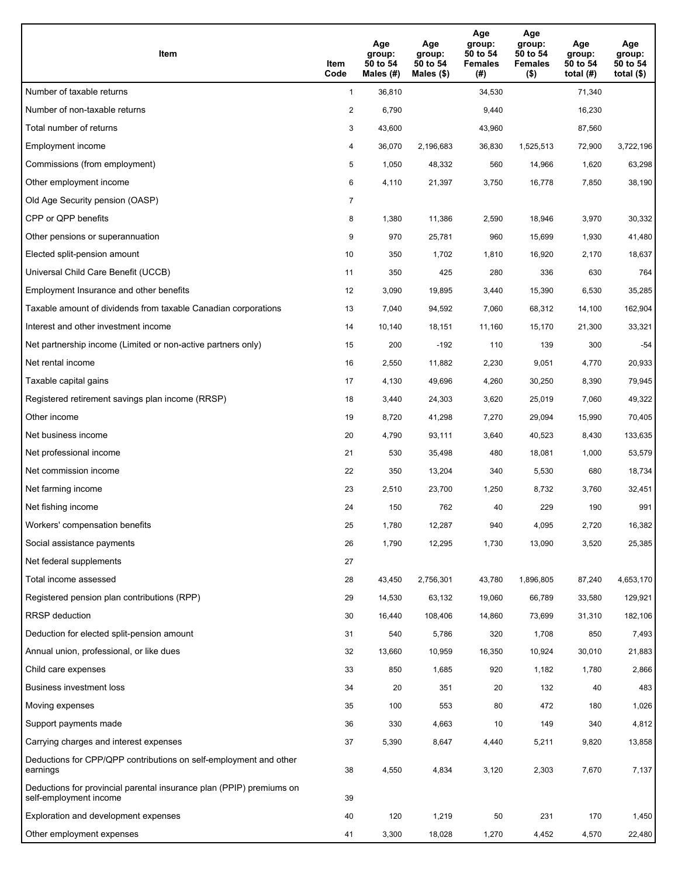| Item                                                                                           | Item<br>Code   | Age<br>group:<br>50 to 54<br>Males (#) | Age<br>group:<br>50 to 54<br>Males (\$) | Age<br>group:<br>50 to 54<br><b>Females</b><br>(#) | Age<br>group:<br>50 to 54<br><b>Females</b><br>$($ \$) | Age<br>group:<br>50 to 54<br>total $(H)$ | Age<br>group:<br>50 to 54<br>total $($ |
|------------------------------------------------------------------------------------------------|----------------|----------------------------------------|-----------------------------------------|----------------------------------------------------|--------------------------------------------------------|------------------------------------------|----------------------------------------|
| Number of taxable returns                                                                      | $\mathbf{1}$   | 36,810                                 |                                         | 34,530                                             |                                                        | 71,340                                   |                                        |
| Number of non-taxable returns                                                                  | $\overline{a}$ | 6,790                                  |                                         | 9,440                                              |                                                        | 16,230                                   |                                        |
| Total number of returns                                                                        | 3              | 43,600                                 |                                         | 43,960                                             |                                                        | 87,560                                   |                                        |
| Employment income                                                                              | 4              | 36,070                                 | 2.196.683                               | 36,830                                             | 1.525.513                                              | 72,900                                   | 3,722,196                              |
| Commissions (from employment)                                                                  | 5              | 1,050                                  | 48,332                                  | 560                                                | 14,966                                                 | 1,620                                    | 63,298                                 |
| Other employment income                                                                        | 6              | 4,110                                  | 21,397                                  | 3,750                                              | 16,778                                                 | 7,850                                    | 38,190                                 |
| Old Age Security pension (OASP)                                                                | $\overline{7}$ |                                        |                                         |                                                    |                                                        |                                          |                                        |
| CPP or QPP benefits                                                                            | 8              | 1,380                                  | 11,386                                  | 2,590                                              | 18,946                                                 | 3,970                                    | 30,332                                 |
| Other pensions or superannuation                                                               | 9              | 970                                    | 25,781                                  | 960                                                | 15,699                                                 | 1,930                                    | 41,480                                 |
| Elected split-pension amount                                                                   | 10             | 350                                    | 1,702                                   | 1,810                                              | 16,920                                                 | 2,170                                    | 18,637                                 |
| Universal Child Care Benefit (UCCB)                                                            | 11             | 350                                    | 425                                     | 280                                                | 336                                                    | 630                                      | 764                                    |
| Employment Insurance and other benefits                                                        | 12             | 3,090                                  | 19,895                                  | 3,440                                              | 15,390                                                 | 6,530                                    | 35,285                                 |
| Taxable amount of dividends from taxable Canadian corporations                                 | 13             | 7,040                                  | 94,592                                  | 7,060                                              | 68,312                                                 | 14,100                                   | 162,904                                |
| Interest and other investment income                                                           | 14             | 10,140                                 | 18,151                                  | 11,160                                             | 15,170                                                 | 21,300                                   | 33,321                                 |
| Net partnership income (Limited or non-active partners only)                                   | 15             | 200                                    | $-192$                                  | 110                                                | 139                                                    | 300                                      | $-54$                                  |
| Net rental income                                                                              | 16             | 2,550                                  | 11,882                                  | 2,230                                              | 9,051                                                  | 4,770                                    | 20,933                                 |
| Taxable capital gains                                                                          | 17             | 4,130                                  | 49,696                                  | 4,260                                              | 30,250                                                 | 8,390                                    | 79,945                                 |
| Registered retirement savings plan income (RRSP)                                               | 18             | 3,440                                  | 24,303                                  | 3,620                                              | 25,019                                                 | 7,060                                    | 49,322                                 |
| Other income                                                                                   | 19             | 8,720                                  | 41,298                                  | 7,270                                              | 29,094                                                 | 15,990                                   | 70,405                                 |
| Net business income                                                                            | 20             | 4,790                                  | 93,111                                  | 3,640                                              | 40,523                                                 | 8,430                                    | 133,635                                |
| Net professional income                                                                        | 21             | 530                                    | 35,498                                  | 480                                                | 18,081                                                 | 1,000                                    | 53,579                                 |
| Net commission income                                                                          | 22             | 350                                    | 13,204                                  | 340                                                | 5,530                                                  | 680                                      | 18,734                                 |
| Net farming income                                                                             | 23             | 2,510                                  | 23,700                                  | 1,250                                              | 8,732                                                  | 3,760                                    | 32,451                                 |
| Net fishing income                                                                             | 24             | 150                                    | 762                                     | 40                                                 | 229                                                    | 190                                      | 991                                    |
| Workers' compensation benefits                                                                 | 25             | 1,780                                  | 12,287                                  | 940                                                | 4,095                                                  | 2,720                                    | 16,382                                 |
| Social assistance payments                                                                     | 26             | 1,790                                  | 12,295                                  | 1,730                                              | 13,090                                                 | 3,520                                    | 25,385                                 |
| Net federal supplements                                                                        | 27             |                                        |                                         |                                                    |                                                        |                                          |                                        |
| Total income assessed                                                                          | 28             | 43,450                                 | 2,756,301                               | 43,780                                             | 1,896,805                                              | 87,240                                   | 4,653,170                              |
| Registered pension plan contributions (RPP)                                                    | 29             | 14,530                                 | 63,132                                  | 19,060                                             | 66,789                                                 | 33,580                                   | 129,921                                |
| <b>RRSP</b> deduction                                                                          | 30             | 16,440                                 | 108,406                                 | 14,860                                             | 73,699                                                 | 31,310                                   | 182,106                                |
| Deduction for elected split-pension amount                                                     | 31             | 540                                    | 5,786                                   | 320                                                | 1,708                                                  | 850                                      | 7,493                                  |
| Annual union, professional, or like dues                                                       | 32             | 13,660                                 | 10,959                                  | 16,350                                             | 10,924                                                 | 30,010                                   | 21,883                                 |
| Child care expenses                                                                            | 33             | 850                                    | 1,685                                   | 920                                                | 1,182                                                  | 1,780                                    | 2,866                                  |
| Business investment loss                                                                       | 34             | 20                                     | 351                                     | 20                                                 | 132                                                    | 40                                       | 483                                    |
| Moving expenses                                                                                | 35             | 100                                    | 553                                     | 80                                                 | 472                                                    | 180                                      | 1,026                                  |
| Support payments made                                                                          | 36             | 330                                    | 4,663                                   | 10                                                 | 149                                                    | 340                                      | 4,812                                  |
| Carrying charges and interest expenses                                                         | 37             | 5,390                                  | 8,647                                   | 4,440                                              | 5,211                                                  | 9,820                                    | 13,858                                 |
| Deductions for CPP/QPP contributions on self-employment and other<br>earnings                  | 38             | 4,550                                  | 4,834                                   | 3,120                                              | 2,303                                                  | 7,670                                    | 7,137                                  |
| Deductions for provincial parental insurance plan (PPIP) premiums on<br>self-employment income | 39             |                                        |                                         |                                                    |                                                        |                                          |                                        |
| Exploration and development expenses                                                           | 40             | 120                                    | 1,219                                   | 50                                                 | 231                                                    | 170                                      | 1,450                                  |
| Other employment expenses                                                                      | 41             | 3,300                                  | 18,028                                  | 1,270                                              | 4,452                                                  | 4,570                                    | 22,480                                 |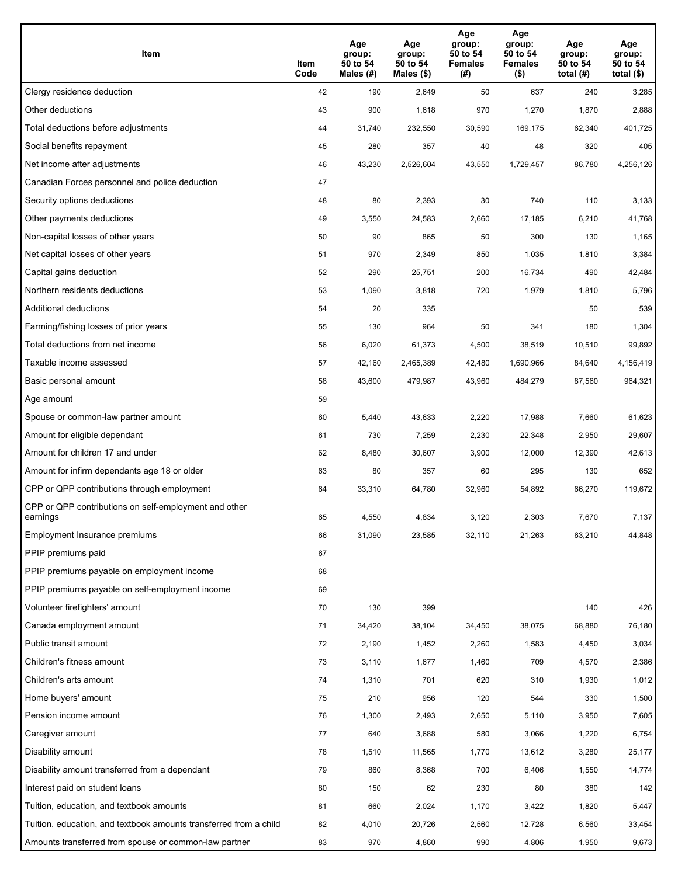| Item                                                              | Item<br>Code | Age<br>group:<br>50 to 54<br>Males (#) | Age<br>group:<br>50 to 54<br>Males (\$) | Age<br>group:<br>50 to 54<br><b>Females</b><br>(#) | Age<br>group:<br>50 to 54<br><b>Females</b><br>$($ \$) | Age<br>group:<br>50 to 54<br>total $(H)$ | Age<br>group:<br>50 to 54<br>total $($)$ |
|-------------------------------------------------------------------|--------------|----------------------------------------|-----------------------------------------|----------------------------------------------------|--------------------------------------------------------|------------------------------------------|------------------------------------------|
| Clergy residence deduction                                        | 42           | 190                                    | 2,649                                   | 50                                                 | 637                                                    | 240                                      | 3,285                                    |
| Other deductions                                                  | 43           | 900                                    | 1,618                                   | 970                                                | 1,270                                                  | 1,870                                    | 2,888                                    |
| Total deductions before adjustments                               | 44           | 31,740                                 | 232,550                                 | 30,590                                             | 169,175                                                | 62,340                                   | 401,725                                  |
| Social benefits repayment                                         | 45           | 280                                    | 357                                     | 40                                                 | 48                                                     | 320                                      | 405                                      |
| Net income after adjustments                                      | 46           | 43,230                                 | 2,526,604                               | 43,550                                             | 1,729,457                                              | 86,780                                   | 4,256,126                                |
| Canadian Forces personnel and police deduction                    | 47           |                                        |                                         |                                                    |                                                        |                                          |                                          |
| Security options deductions                                       | 48           | 80                                     | 2,393                                   | 30                                                 | 740                                                    | 110                                      | 3,133                                    |
| Other payments deductions                                         | 49           | 3,550                                  | 24,583                                  | 2,660                                              | 17,185                                                 | 6,210                                    | 41,768                                   |
| Non-capital losses of other years                                 | 50           | 90                                     | 865                                     | 50                                                 | 300                                                    | 130                                      | 1,165                                    |
| Net capital losses of other years                                 | 51           | 970                                    | 2,349                                   | 850                                                | 1,035                                                  | 1,810                                    | 3,384                                    |
| Capital gains deduction                                           | 52           | 290                                    | 25,751                                  | 200                                                | 16,734                                                 | 490                                      | 42,484                                   |
| Northern residents deductions                                     | 53           | 1,090                                  | 3,818                                   | 720                                                | 1,979                                                  | 1,810                                    | 5,796                                    |
| Additional deductions                                             | 54           | 20                                     | 335                                     |                                                    |                                                        | 50                                       | 539                                      |
| Farming/fishing losses of prior years                             | 55           | 130                                    | 964                                     | 50                                                 | 341                                                    | 180                                      | 1,304                                    |
| Total deductions from net income                                  | 56           | 6,020                                  | 61,373                                  | 4,500                                              | 38,519                                                 | 10,510                                   | 99,892                                   |
| Taxable income assessed                                           | 57           | 42,160                                 | 2,465,389                               | 42,480                                             | 1,690,966                                              | 84,640                                   | 4,156,419                                |
| Basic personal amount                                             | 58           | 43,600                                 | 479,987                                 | 43,960                                             | 484,279                                                | 87,560                                   | 964,321                                  |
| Age amount                                                        | 59           |                                        |                                         |                                                    |                                                        |                                          |                                          |
| Spouse or common-law partner amount                               | 60           | 5,440                                  | 43,633                                  | 2,220                                              | 17,988                                                 | 7,660                                    | 61,623                                   |
| Amount for eligible dependant                                     | 61           | 730                                    | 7,259                                   | 2,230                                              | 22,348                                                 | 2,950                                    | 29,607                                   |
| Amount for children 17 and under                                  | 62           | 8,480                                  | 30,607                                  | 3,900                                              | 12,000                                                 | 12,390                                   | 42,613                                   |
| Amount for infirm dependants age 18 or older                      | 63           | 80                                     | 357                                     | 60                                                 | 295                                                    | 130                                      | 652                                      |
| CPP or QPP contributions through employment                       | 64           | 33,310                                 | 64,780                                  | 32,960                                             | 54,892                                                 | 66,270                                   | 119,672                                  |
| CPP or QPP contributions on self-employment and other<br>earnings | 65           | 4,550                                  | 4,834                                   | 3,120                                              | 2,303                                                  | 7,670                                    | 7,137                                    |
| Employment Insurance premiums                                     | 66           | 31,090                                 | 23,585                                  | 32,110                                             | 21,263                                                 | 63,210                                   | 44,848                                   |
| PPIP premiums paid                                                | 67           |                                        |                                         |                                                    |                                                        |                                          |                                          |
| PPIP premiums payable on employment income                        | 68           |                                        |                                         |                                                    |                                                        |                                          |                                          |
| PPIP premiums payable on self-employment income                   | 69           |                                        |                                         |                                                    |                                                        |                                          |                                          |
| Volunteer firefighters' amount                                    | 70           | 130                                    | 399                                     |                                                    |                                                        | 140                                      | 426                                      |
| Canada employment amount                                          | 71           | 34,420                                 | 38,104                                  | 34,450                                             | 38,075                                                 | 68,880                                   | 76,180                                   |
| Public transit amount                                             | 72           | 2,190                                  | 1,452                                   | 2,260                                              | 1,583                                                  | 4,450                                    | 3,034                                    |
| Children's fitness amount                                         | 73           | 3,110                                  | 1,677                                   | 1,460                                              | 709                                                    | 4,570                                    | 2,386                                    |
| Children's arts amount                                            | 74           | 1,310                                  | 701                                     | 620                                                | 310                                                    | 1,930                                    | 1,012                                    |
| Home buyers' amount                                               | 75           | 210                                    | 956                                     | 120                                                | 544                                                    | 330                                      | 1,500                                    |
| Pension income amount                                             | 76           | 1,300                                  | 2,493                                   | 2,650                                              | 5,110                                                  | 3,950                                    | 7,605                                    |
| Caregiver amount                                                  | 77           | 640                                    | 3,688                                   | 580                                                | 3,066                                                  | 1,220                                    | 6,754                                    |
| Disability amount                                                 | 78           | 1,510                                  | 11,565                                  | 1,770                                              | 13,612                                                 | 3,280                                    | 25,177                                   |
| Disability amount transferred from a dependant                    | 79           | 860                                    | 8,368                                   | 700                                                | 6,406                                                  | 1,550                                    | 14,774                                   |
| Interest paid on student loans                                    | 80           | 150                                    | 62                                      | 230                                                | 80                                                     | 380                                      | 142                                      |
| Tuition, education, and textbook amounts                          | 81           | 660                                    | 2,024                                   | 1,170                                              | 3,422                                                  | 1,820                                    | 5,447                                    |
| Tuition, education, and textbook amounts transferred from a child | 82           | 4,010                                  | 20,726                                  | 2,560                                              | 12,728                                                 | 6,560                                    | 33,454                                   |
| Amounts transferred from spouse or common-law partner             | 83           | 970                                    | 4,860                                   | 990                                                | 4,806                                                  | 1,950                                    | 9,673                                    |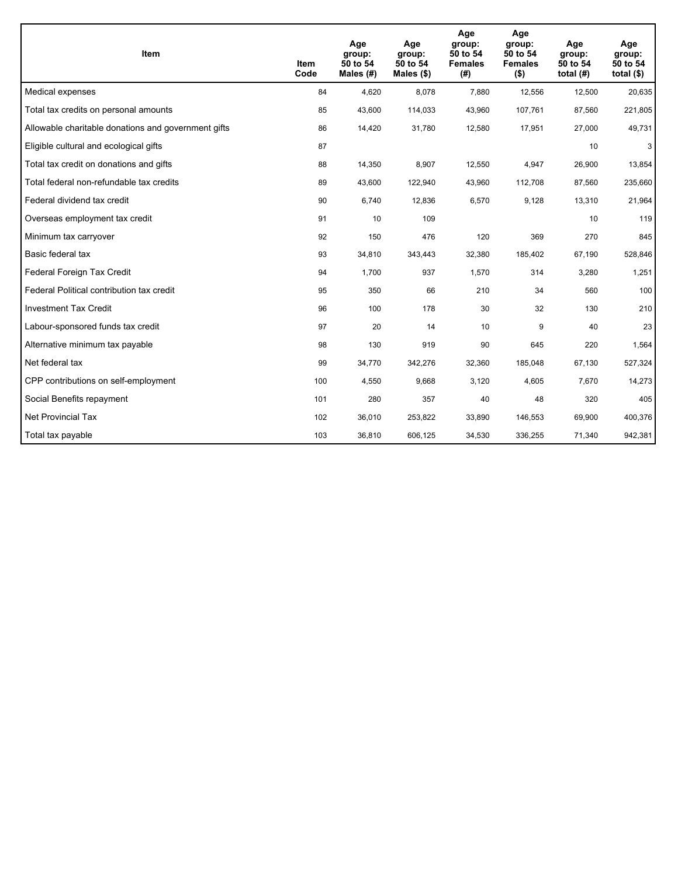| <b>Item</b>                                         | Item<br>Code | Age<br>group:<br>50 to 54<br>Males (#) | Age<br>group:<br>50 to 54<br>Males $(\$)$ | Age<br>group:<br>50 to 54<br><b>Females</b><br>(#) | Age<br>group:<br>50 to 54<br><b>Females</b><br>$($ \$) | Age<br>group:<br>50 to 54<br>total $(H)$ | Age<br>group:<br>50 to 54<br>total $($)$ |
|-----------------------------------------------------|--------------|----------------------------------------|-------------------------------------------|----------------------------------------------------|--------------------------------------------------------|------------------------------------------|------------------------------------------|
| Medical expenses                                    | 84           | 4,620                                  | 8,078                                     | 7,880                                              | 12,556                                                 | 12,500                                   | 20,635                                   |
| Total tax credits on personal amounts               | 85           | 43,600                                 | 114,033                                   | 43,960                                             | 107,761                                                | 87,560                                   | 221,805                                  |
| Allowable charitable donations and government gifts | 86           | 14,420                                 | 31,780                                    | 12,580                                             | 17,951                                                 | 27,000                                   | 49,731                                   |
| Eligible cultural and ecological gifts              | 87           |                                        |                                           |                                                    |                                                        | 10                                       | 3                                        |
| Total tax credit on donations and gifts             | 88           | 14,350                                 | 8,907                                     | 12,550                                             | 4,947                                                  | 26,900                                   | 13,854                                   |
| Total federal non-refundable tax credits            | 89           | 43,600                                 | 122,940                                   | 43,960                                             | 112,708                                                | 87,560                                   | 235,660                                  |
| Federal dividend tax credit                         | 90           | 6,740                                  | 12,836                                    | 6,570                                              | 9,128                                                  | 13,310                                   | 21,964                                   |
| Overseas employment tax credit                      | 91           | 10                                     | 109                                       |                                                    |                                                        | 10                                       | 119                                      |
| Minimum tax carryover                               | 92           | 150                                    | 476                                       | 120                                                | 369                                                    | 270                                      | 845                                      |
| Basic federal tax                                   | 93           | 34,810                                 | 343,443                                   | 32,380                                             | 185,402                                                | 67,190                                   | 528,846                                  |
| Federal Foreign Tax Credit                          | 94           | 1,700                                  | 937                                       | 1,570                                              | 314                                                    | 3,280                                    | 1,251                                    |
| Federal Political contribution tax credit           | 95           | 350                                    | 66                                        | 210                                                | 34                                                     | 560                                      | 100                                      |
| <b>Investment Tax Credit</b>                        | 96           | 100                                    | 178                                       | 30                                                 | 32                                                     | 130                                      | 210                                      |
| Labour-sponsored funds tax credit                   | 97           | 20                                     | 14                                        | 10                                                 | 9                                                      | 40                                       | 23                                       |
| Alternative minimum tax payable                     | 98           | 130                                    | 919                                       | 90                                                 | 645                                                    | 220                                      | 1,564                                    |
| Net federal tax                                     | 99           | 34,770                                 | 342,276                                   | 32,360                                             | 185,048                                                | 67,130                                   | 527,324                                  |
| CPP contributions on self-employment                | 100          | 4,550                                  | 9,668                                     | 3,120                                              | 4,605                                                  | 7,670                                    | 14,273                                   |
| Social Benefits repayment                           | 101          | 280                                    | 357                                       | 40                                                 | 48                                                     | 320                                      | 405                                      |
| Net Provincial Tax                                  | 102          | 36,010                                 | 253,822                                   | 33,890                                             | 146,553                                                | 69,900                                   | 400,376                                  |
| Total tax payable                                   | 103          | 36,810                                 | 606,125                                   | 34,530                                             | 336,255                                                | 71,340                                   | 942,381                                  |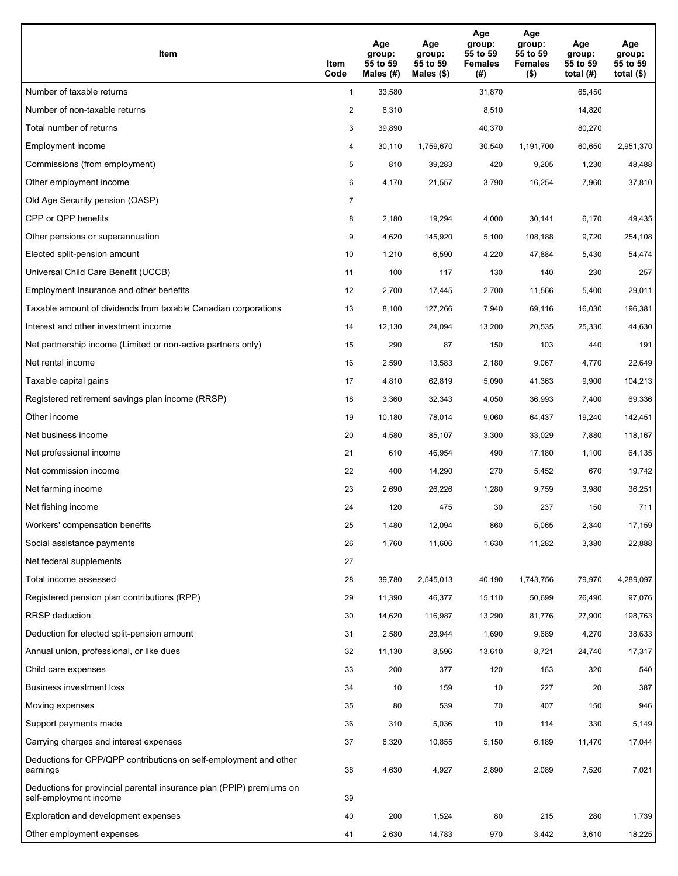| Item                                                                                           | Item<br>Code   | Age<br>group:<br>55 to 59<br>Males (#) | Age<br>group:<br>55 to 59<br>Males $(\$)$ | Age<br>group:<br>55 to 59<br><b>Females</b><br>(#) | Age<br>group:<br>55 to 59<br><b>Females</b><br>$($ \$) | Age<br>group:<br>55 to 59<br>total $(H)$ | Age<br>group:<br>55 to 59<br>total $($ |
|------------------------------------------------------------------------------------------------|----------------|----------------------------------------|-------------------------------------------|----------------------------------------------------|--------------------------------------------------------|------------------------------------------|----------------------------------------|
| Number of taxable returns                                                                      | $\mathbf{1}$   | 33,580                                 |                                           | 31,870                                             |                                                        | 65,450                                   |                                        |
| Number of non-taxable returns                                                                  | $\overline{a}$ | 6,310                                  |                                           | 8,510                                              |                                                        | 14,820                                   |                                        |
| Total number of returns                                                                        | 3              | 39,890                                 |                                           | 40,370                                             |                                                        | 80,270                                   |                                        |
| Employment income                                                                              | 4              | 30,110                                 | 1,759,670                                 | 30,540                                             | 1.191.700                                              | 60,650                                   | 2,951,370                              |
| Commissions (from employment)                                                                  | 5              | 810                                    | 39,283                                    | 420                                                | 9,205                                                  | 1,230                                    | 48,488                                 |
| Other employment income                                                                        | 6              | 4,170                                  | 21,557                                    | 3,790                                              | 16,254                                                 | 7,960                                    | 37,810                                 |
| Old Age Security pension (OASP)                                                                | $\overline{7}$ |                                        |                                           |                                                    |                                                        |                                          |                                        |
| CPP or QPP benefits                                                                            | 8              | 2,180                                  | 19,294                                    | 4,000                                              | 30,141                                                 | 6,170                                    | 49,435                                 |
| Other pensions or superannuation                                                               | 9              | 4,620                                  | 145,920                                   | 5,100                                              | 108,188                                                | 9,720                                    | 254,108                                |
| Elected split-pension amount                                                                   | 10             | 1,210                                  | 6,590                                     | 4,220                                              | 47,884                                                 | 5,430                                    | 54,474                                 |
| Universal Child Care Benefit (UCCB)                                                            | 11             | 100                                    | 117                                       | 130                                                | 140                                                    | 230                                      | 257                                    |
| Employment Insurance and other benefits                                                        | 12             | 2,700                                  | 17,445                                    | 2,700                                              | 11,566                                                 | 5,400                                    | 29,011                                 |
| Taxable amount of dividends from taxable Canadian corporations                                 | 13             | 8,100                                  | 127,266                                   | 7,940                                              | 69,116                                                 | 16,030                                   | 196,381                                |
| Interest and other investment income                                                           | 14             | 12,130                                 | 24,094                                    | 13,200                                             | 20,535                                                 | 25,330                                   | 44,630                                 |
| Net partnership income (Limited or non-active partners only)                                   | 15             | 290                                    | 87                                        | 150                                                | 103                                                    | 440                                      | 191                                    |
| Net rental income                                                                              | 16             | 2,590                                  | 13,583                                    | 2,180                                              | 9,067                                                  | 4,770                                    | 22,649                                 |
| Taxable capital gains                                                                          | 17             | 4,810                                  | 62,819                                    | 5,090                                              | 41,363                                                 | 9,900                                    | 104,213                                |
| Registered retirement savings plan income (RRSP)                                               | 18             | 3,360                                  | 32,343                                    | 4,050                                              | 36,993                                                 | 7,400                                    | 69,336                                 |
| Other income                                                                                   | 19             | 10,180                                 | 78,014                                    | 9,060                                              | 64,437                                                 | 19,240                                   | 142,451                                |
| Net business income                                                                            | 20             | 4,580                                  | 85,107                                    | 3,300                                              | 33,029                                                 | 7,880                                    | 118,167                                |
| Net professional income                                                                        | 21             | 610                                    | 46,954                                    | 490                                                | 17,180                                                 | 1,100                                    | 64,135                                 |
| Net commission income                                                                          | 22             | 400                                    | 14,290                                    | 270                                                | 5,452                                                  | 670                                      | 19,742                                 |
| Net farming income                                                                             | 23             | 2,690                                  | 26,226                                    | 1,280                                              | 9,759                                                  | 3,980                                    | 36,251                                 |
| Net fishing income                                                                             | 24             | 120                                    | 475                                       | 30                                                 | 237                                                    | 150                                      | 711                                    |
| Workers' compensation benefits                                                                 | 25             | 1,480                                  | 12,094                                    | 860                                                | 5,065                                                  | 2,340                                    | 17,159                                 |
| Social assistance payments                                                                     | 26             | 1,760                                  | 11,606                                    | 1,630                                              | 11,282                                                 | 3,380                                    | 22,888                                 |
| Net federal supplements                                                                        | 27             |                                        |                                           |                                                    |                                                        |                                          |                                        |
| Total income assessed                                                                          | 28             | 39,780                                 | 2,545,013                                 | 40,190                                             | 1,743,756                                              | 79,970                                   | 4,289,097                              |
| Registered pension plan contributions (RPP)                                                    | 29             | 11,390                                 | 46,377                                    | 15,110                                             | 50,699                                                 | 26,490                                   | 97,076                                 |
| <b>RRSP</b> deduction                                                                          | 30             | 14,620                                 | 116,987                                   | 13,290                                             | 81,776                                                 | 27,900                                   | 198,763                                |
| Deduction for elected split-pension amount                                                     | 31             | 2,580                                  | 28,944                                    | 1,690                                              | 9,689                                                  | 4,270                                    | 38,633                                 |
| Annual union, professional, or like dues                                                       | 32             | 11,130                                 | 8,596                                     | 13,610                                             | 8,721                                                  | 24,740                                   | 17,317                                 |
| Child care expenses                                                                            | 33             | 200                                    | 377                                       | 120                                                | 163                                                    | 320                                      | 540                                    |
| Business investment loss                                                                       | 34             | 10                                     | 159                                       | 10                                                 | 227                                                    | 20                                       | 387                                    |
| Moving expenses                                                                                | 35             | 80                                     | 539                                       | 70                                                 | 407                                                    | 150                                      | 946                                    |
| Support payments made                                                                          | 36             | 310                                    | 5,036                                     | $10$                                               | 114                                                    | 330                                      | 5,149                                  |
| Carrying charges and interest expenses                                                         | 37             | 6,320                                  | 10,855                                    | 5,150                                              | 6,189                                                  | 11,470                                   | 17,044                                 |
| Deductions for CPP/QPP contributions on self-employment and other<br>earnings                  | 38             | 4,630                                  | 4,927                                     | 2,890                                              | 2,089                                                  | 7,520                                    | 7,021                                  |
| Deductions for provincial parental insurance plan (PPIP) premiums on<br>self-employment income | 39             |                                        |                                           |                                                    |                                                        |                                          |                                        |
| Exploration and development expenses                                                           | 40             | 200                                    | 1,524                                     | 80                                                 | 215                                                    | 280                                      | 1,739                                  |
| Other employment expenses                                                                      | 41             | 2,630                                  | 14,783                                    | 970                                                | 3,442                                                  | 3,610                                    | 18,225                                 |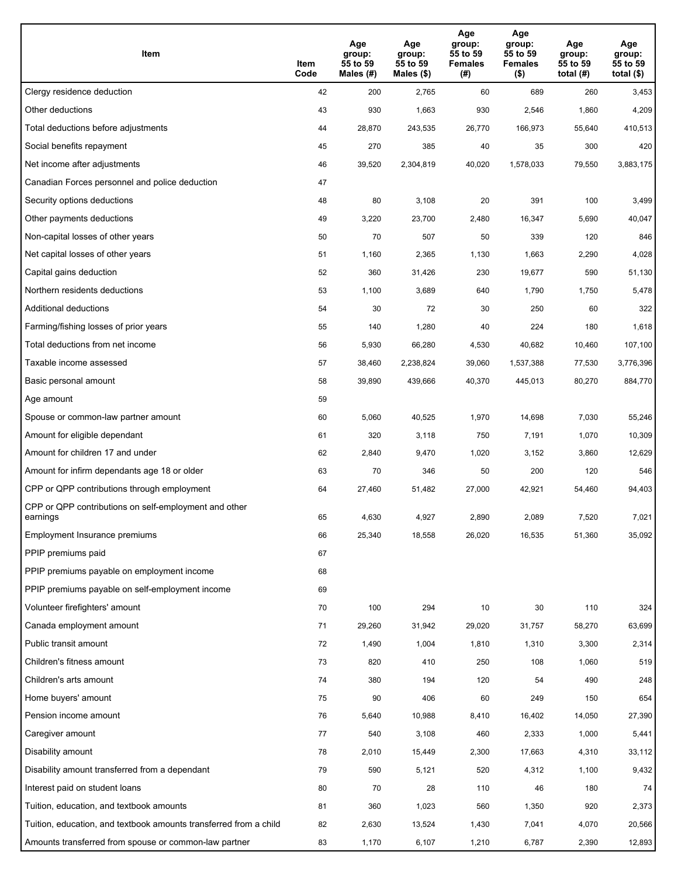| Item                                                              | Item<br>Code | Age<br>group:<br>55 to 59<br>Males (#) | Age<br>group:<br>55 to 59<br>Males (\$) | Age<br>group:<br>55 to 59<br><b>Females</b><br>(#) | Age<br>group:<br>55 to 59<br>Females<br>$($ \$) | Age<br>group:<br>55 to 59<br>total $(H)$ | Age<br>group:<br>55 to 59<br>total $($)$ |
|-------------------------------------------------------------------|--------------|----------------------------------------|-----------------------------------------|----------------------------------------------------|-------------------------------------------------|------------------------------------------|------------------------------------------|
| Clergy residence deduction                                        | 42           | 200                                    | 2,765                                   | 60                                                 | 689                                             | 260                                      | 3,453                                    |
| Other deductions                                                  | 43           | 930                                    | 1,663                                   | 930                                                | 2,546                                           | 1,860                                    | 4,209                                    |
| Total deductions before adjustments                               | 44           | 28,870                                 | 243,535                                 | 26,770                                             | 166,973                                         | 55,640                                   | 410,513                                  |
| Social benefits repayment                                         | 45           | 270                                    | 385                                     | 40                                                 | 35                                              | 300                                      | 420                                      |
| Net income after adjustments                                      | 46           | 39,520                                 | 2,304,819                               | 40,020                                             | 1,578,033                                       | 79,550                                   | 3,883,175                                |
| Canadian Forces personnel and police deduction                    | 47           |                                        |                                         |                                                    |                                                 |                                          |                                          |
| Security options deductions                                       | 48           | 80                                     | 3,108                                   | 20                                                 | 391                                             | 100                                      | 3,499                                    |
| Other payments deductions                                         | 49           | 3,220                                  | 23,700                                  | 2,480                                              | 16,347                                          | 5,690                                    | 40,047                                   |
| Non-capital losses of other years                                 | 50           | 70                                     | 507                                     | 50                                                 | 339                                             | 120                                      | 846                                      |
| Net capital losses of other years                                 | 51           | 1,160                                  | 2,365                                   | 1,130                                              | 1,663                                           | 2,290                                    | 4,028                                    |
| Capital gains deduction                                           | 52           | 360                                    | 31,426                                  | 230                                                | 19,677                                          | 590                                      | 51,130                                   |
| Northern residents deductions                                     | 53           | 1,100                                  | 3,689                                   | 640                                                | 1,790                                           | 1,750                                    | 5,478                                    |
| Additional deductions                                             | 54           | 30                                     | 72                                      | 30                                                 | 250                                             | 60                                       | 322                                      |
| Farming/fishing losses of prior years                             | 55           | 140                                    | 1,280                                   | 40                                                 | 224                                             | 180                                      | 1,618                                    |
| Total deductions from net income                                  | 56           | 5,930                                  | 66,280                                  | 4,530                                              | 40,682                                          | 10,460                                   | 107,100                                  |
| Taxable income assessed                                           | 57           | 38,460                                 | 2,238,824                               | 39,060                                             | 1,537,388                                       | 77,530                                   | 3,776,396                                |
| Basic personal amount                                             | 58           | 39,890                                 | 439,666                                 | 40,370                                             | 445,013                                         | 80,270                                   | 884,770                                  |
| Age amount                                                        | 59           |                                        |                                         |                                                    |                                                 |                                          |                                          |
| Spouse or common-law partner amount                               | 60           | 5,060                                  | 40,525                                  | 1,970                                              | 14,698                                          | 7,030                                    | 55,246                                   |
| Amount for eligible dependant                                     | 61           | 320                                    | 3,118                                   | 750                                                | 7,191                                           | 1,070                                    | 10,309                                   |
| Amount for children 17 and under                                  | 62           | 2,840                                  | 9,470                                   | 1,020                                              | 3,152                                           | 3,860                                    | 12,629                                   |
| Amount for infirm dependants age 18 or older                      | 63           | 70                                     | 346                                     | 50                                                 | 200                                             | 120                                      | 546                                      |
| CPP or QPP contributions through employment                       | 64           | 27,460                                 | 51,482                                  | 27,000                                             | 42,921                                          | 54,460                                   | 94,403                                   |
| CPP or QPP contributions on self-employment and other<br>earnings | 65           | 4,630                                  | 4,927                                   | 2,890                                              | 2,089                                           | 7,520                                    | 7,021                                    |
| Employment Insurance premiums                                     | 66           | 25,340                                 | 18,558                                  | 26,020                                             | 16,535                                          | 51,360                                   | 35,092                                   |
| PPIP premiums paid                                                | 67           |                                        |                                         |                                                    |                                                 |                                          |                                          |
| PPIP premiums payable on employment income                        | 68           |                                        |                                         |                                                    |                                                 |                                          |                                          |
| PPIP premiums payable on self-employment income                   | 69           |                                        |                                         |                                                    |                                                 |                                          |                                          |
| Volunteer firefighters' amount                                    | 70           | 100                                    | 294                                     | 10                                                 | 30                                              | 110                                      | 324                                      |
| Canada employment amount                                          | 71           | 29,260                                 | 31,942                                  | 29,020                                             | 31,757                                          | 58,270                                   | 63,699                                   |
| Public transit amount                                             | 72           | 1,490                                  | 1,004                                   | 1,810                                              | 1,310                                           | 3,300                                    | 2,314                                    |
| Children's fitness amount                                         | 73           | 820                                    | 410                                     | 250                                                | 108                                             | 1,060                                    | 519                                      |
| Children's arts amount                                            | 74           | 380                                    | 194                                     | 120                                                | 54                                              | 490                                      | 248                                      |
| Home buyers' amount                                               | 75           | 90                                     | 406                                     | 60                                                 | 249                                             | 150                                      | 654                                      |
| Pension income amount                                             | 76           | 5,640                                  | 10,988                                  | 8,410                                              | 16,402                                          | 14,050                                   | 27,390                                   |
| Caregiver amount                                                  | 77           | 540                                    | 3,108                                   | 460                                                | 2,333                                           | 1,000                                    | 5,441                                    |
| Disability amount                                                 | 78           | 2,010                                  | 15,449                                  | 2,300                                              | 17,663                                          | 4,310                                    | 33,112                                   |
| Disability amount transferred from a dependant                    | 79           | 590                                    | 5,121                                   | 520                                                | 4,312                                           | 1,100                                    | 9,432                                    |
| Interest paid on student loans                                    | 80           | 70                                     | 28                                      | 110                                                | 46                                              | 180                                      | 74                                       |
| Tuition, education, and textbook amounts                          | 81           | 360                                    | 1,023                                   | 560                                                | 1,350                                           | 920                                      | 2,373                                    |
| Tuition, education, and textbook amounts transferred from a child | 82           | 2,630                                  | 13,524                                  | 1,430                                              | 7,041                                           | 4,070                                    | 20,566                                   |
| Amounts transferred from spouse or common-law partner             | 83           | 1,170                                  | 6,107                                   | 1,210                                              | 6,787                                           | 2,390                                    | 12,893                                   |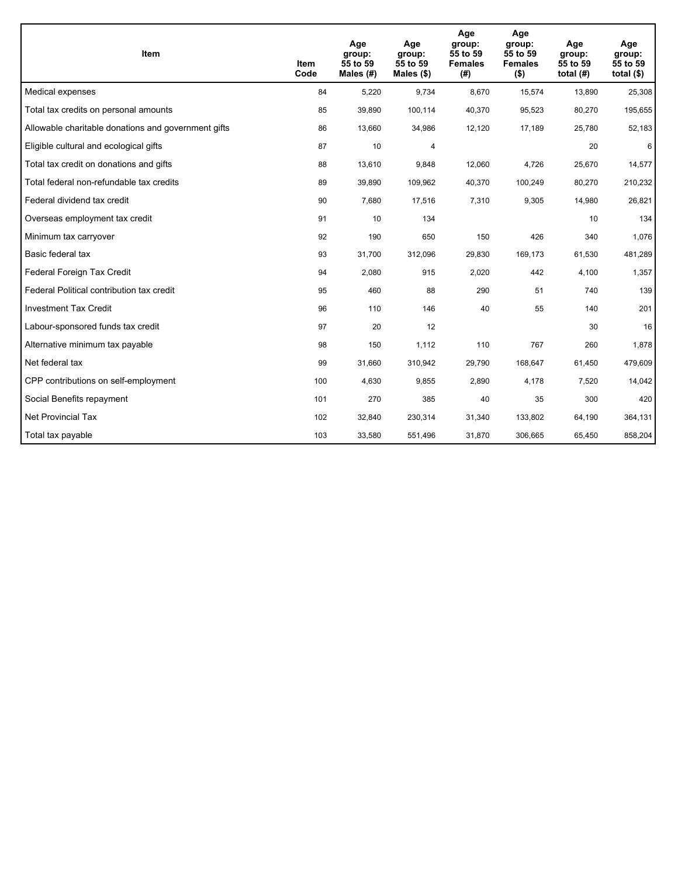| <b>Item</b>                                         | Item<br>Code | Age<br>group:<br>55 to 59<br>Males $(H)$ | Age<br>group:<br>55 to 59<br>Males $(\$)$ | Age<br>group:<br>55 to 59<br><b>Females</b><br>(# ) | Age<br>group:<br>55 to 59<br><b>Females</b><br>$($ \$) | Age<br>group:<br>55 to 59<br>total $(H)$ | Age<br>group:<br>55 to 59<br>total $($)$ |
|-----------------------------------------------------|--------------|------------------------------------------|-------------------------------------------|-----------------------------------------------------|--------------------------------------------------------|------------------------------------------|------------------------------------------|
| Medical expenses                                    | 84           | 5,220                                    | 9,734                                     | 8,670                                               | 15,574                                                 | 13,890                                   | 25,308                                   |
| Total tax credits on personal amounts               | 85           | 39,890                                   | 100,114                                   | 40,370                                              | 95,523                                                 | 80,270                                   | 195,655                                  |
| Allowable charitable donations and government gifts | 86           | 13,660                                   | 34,986                                    | 12,120                                              | 17,189                                                 | 25,780                                   | 52,183                                   |
| Eligible cultural and ecological gifts              | 87           | 10                                       | 4                                         |                                                     |                                                        | 20                                       | 6                                        |
| Total tax credit on donations and gifts             | 88           | 13,610                                   | 9,848                                     | 12,060                                              | 4,726                                                  | 25,670                                   | 14,577                                   |
| Total federal non-refundable tax credits            | 89           | 39,890                                   | 109,962                                   | 40,370                                              | 100,249                                                | 80,270                                   | 210,232                                  |
| Federal dividend tax credit                         | 90           | 7,680                                    | 17,516                                    | 7,310                                               | 9,305                                                  | 14,980                                   | 26,821                                   |
| Overseas employment tax credit                      | 91           | 10                                       | 134                                       |                                                     |                                                        | 10                                       | 134                                      |
| Minimum tax carryover                               | 92           | 190                                      | 650                                       | 150                                                 | 426                                                    | 340                                      | 1,076                                    |
| Basic federal tax                                   | 93           | 31,700                                   | 312,096                                   | 29.830                                              | 169,173                                                | 61,530                                   | 481,289                                  |
| Federal Foreign Tax Credit                          | 94           | 2,080                                    | 915                                       | 2,020                                               | 442                                                    | 4,100                                    | 1,357                                    |
| Federal Political contribution tax credit           | 95           | 460                                      | 88                                        | 290                                                 | 51                                                     | 740                                      | 139                                      |
| <b>Investment Tax Credit</b>                        | 96           | 110                                      | 146                                       | 40                                                  | 55                                                     | 140                                      | 201                                      |
| Labour-sponsored funds tax credit                   | 97           | 20                                       | 12                                        |                                                     |                                                        | 30                                       | 16                                       |
| Alternative minimum tax payable                     | 98           | 150                                      | 1,112                                     | 110                                                 | 767                                                    | 260                                      | 1,878                                    |
| Net federal tax                                     | 99           | 31,660                                   | 310,942                                   | 29,790                                              | 168,647                                                | 61,450                                   | 479,609                                  |
| CPP contributions on self-employment                | 100          | 4,630                                    | 9,855                                     | 2,890                                               | 4,178                                                  | 7,520                                    | 14,042                                   |
| Social Benefits repayment                           | 101          | 270                                      | 385                                       | 40                                                  | 35                                                     | 300                                      | 420                                      |
| Net Provincial Tax                                  | 102          | 32,840                                   | 230,314                                   | 31,340                                              | 133,802                                                | 64,190                                   | 364,131                                  |
| Total tax payable                                   | 103          | 33,580                                   | 551,496                                   | 31,870                                              | 306,665                                                | 65,450                                   | 858,204                                  |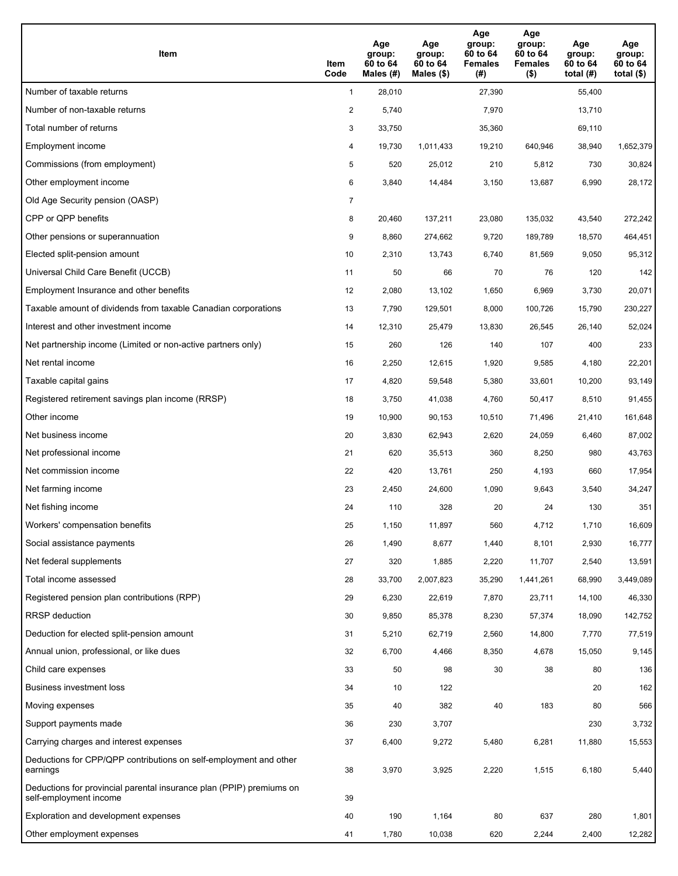| Item                                                                                           | Item<br>Code   | Age<br>group:<br>60 to 64<br>Males (#) | Age<br>group:<br>60 to 64<br>Males $(\$)$ | Age<br>group:<br>60 to 64<br><b>Females</b><br>(#) | Age<br>group:<br>60 to 64<br><b>Females</b><br>$($ \$) | Age<br>group:<br>60 to 64<br>total $(H)$ | Age<br>group:<br>60 to 64<br>total $($ |
|------------------------------------------------------------------------------------------------|----------------|----------------------------------------|-------------------------------------------|----------------------------------------------------|--------------------------------------------------------|------------------------------------------|----------------------------------------|
| Number of taxable returns                                                                      | $\mathbf{1}$   | 28,010                                 |                                           | 27,390                                             |                                                        | 55,400                                   |                                        |
| Number of non-taxable returns                                                                  | $\overline{a}$ | 5,740                                  |                                           | 7,970                                              |                                                        | 13,710                                   |                                        |
| Total number of returns                                                                        | 3              | 33,750                                 |                                           | 35,360                                             |                                                        | 69,110                                   |                                        |
| Employment income                                                                              | 4              | 19,730                                 | 1,011,433                                 | 19,210                                             | 640,946                                                | 38,940                                   | 1,652,379                              |
| Commissions (from employment)                                                                  | 5              | 520                                    | 25,012                                    | 210                                                | 5,812                                                  | 730                                      | 30,824                                 |
| Other employment income                                                                        | 6              | 3,840                                  | 14,484                                    | 3,150                                              | 13,687                                                 | 6,990                                    | 28,172                                 |
| Old Age Security pension (OASP)                                                                | $\overline{7}$ |                                        |                                           |                                                    |                                                        |                                          |                                        |
| CPP or QPP benefits                                                                            | 8              | 20,460                                 | 137,211                                   | 23,080                                             | 135,032                                                | 43,540                                   | 272,242                                |
| Other pensions or superannuation                                                               | 9              | 8,860                                  | 274,662                                   | 9,720                                              | 189,789                                                | 18,570                                   | 464,451                                |
| Elected split-pension amount                                                                   | 10             | 2,310                                  | 13,743                                    | 6,740                                              | 81,569                                                 | 9,050                                    | 95,312                                 |
| Universal Child Care Benefit (UCCB)                                                            | 11             | 50                                     | 66                                        | 70                                                 | 76                                                     | 120                                      | 142                                    |
| Employment Insurance and other benefits                                                        | 12             | 2,080                                  | 13,102                                    | 1,650                                              | 6,969                                                  | 3,730                                    | 20,071                                 |
| Taxable amount of dividends from taxable Canadian corporations                                 | 13             | 7,790                                  | 129,501                                   | 8,000                                              | 100,726                                                | 15,790                                   | 230,227                                |
| Interest and other investment income                                                           | 14             | 12,310                                 | 25,479                                    | 13,830                                             | 26,545                                                 | 26,140                                   | 52,024                                 |
| Net partnership income (Limited or non-active partners only)                                   | 15             | 260                                    | 126                                       | 140                                                | 107                                                    | 400                                      | 233                                    |
| Net rental income                                                                              | 16             | 2,250                                  | 12,615                                    | 1,920                                              | 9,585                                                  | 4,180                                    | 22,201                                 |
| Taxable capital gains                                                                          | 17             | 4,820                                  | 59,548                                    | 5,380                                              | 33,601                                                 | 10,200                                   | 93,149                                 |
| Registered retirement savings plan income (RRSP)                                               | 18             | 3,750                                  | 41,038                                    | 4,760                                              | 50,417                                                 | 8,510                                    | 91,455                                 |
| Other income                                                                                   | 19             | 10,900                                 | 90,153                                    | 10,510                                             | 71,496                                                 | 21,410                                   | 161,648                                |
| Net business income                                                                            | 20             | 3,830                                  | 62,943                                    | 2,620                                              | 24,059                                                 | 6,460                                    | 87,002                                 |
| Net professional income                                                                        | 21             | 620                                    | 35,513                                    | 360                                                | 8,250                                                  | 980                                      | 43,763                                 |
| Net commission income                                                                          | 22             | 420                                    | 13,761                                    | 250                                                | 4,193                                                  | 660                                      | 17,954                                 |
| Net farming income                                                                             | 23             | 2,450                                  | 24,600                                    | 1,090                                              | 9,643                                                  | 3,540                                    | 34,247                                 |
| Net fishing income                                                                             | 24             | 110                                    | 328                                       | 20                                                 | 24                                                     | 130                                      | 351                                    |
| Workers' compensation benefits                                                                 | 25             | 1,150                                  | 11,897                                    | 560                                                | 4,712                                                  | 1,710                                    | 16,609                                 |
| Social assistance payments                                                                     | 26             | 1,490                                  | 8,677                                     | 1,440                                              | 8,101                                                  | 2,930                                    | 16,777                                 |
| Net federal supplements                                                                        | 27             | 320                                    | 1,885                                     | 2,220                                              | 11,707                                                 | 2,540                                    | 13,591                                 |
| Total income assessed                                                                          | 28             | 33,700                                 | 2,007,823                                 | 35,290                                             | 1,441,261                                              | 68,990                                   | 3,449,089                              |
| Registered pension plan contributions (RPP)                                                    | 29             | 6,230                                  | 22,619                                    | 7,870                                              | 23,711                                                 | 14,100                                   | 46,330                                 |
| <b>RRSP</b> deduction                                                                          | 30             | 9,850                                  | 85,378                                    | 8,230                                              | 57,374                                                 | 18,090                                   | 142,752                                |
| Deduction for elected split-pension amount                                                     | 31             | 5,210                                  | 62,719                                    | 2,560                                              | 14,800                                                 | 7,770                                    | 77,519                                 |
| Annual union, professional, or like dues                                                       | 32             | 6,700                                  | 4,466                                     | 8,350                                              | 4,678                                                  | 15,050                                   | 9,145                                  |
| Child care expenses                                                                            | 33             | 50                                     | 98                                        | $30\,$                                             | 38                                                     | 80                                       | 136                                    |
| Business investment loss                                                                       | 34             | 10                                     | 122                                       |                                                    |                                                        | 20                                       | 162                                    |
| Moving expenses                                                                                | 35             | 40                                     | 382                                       | 40                                                 | 183                                                    | 80                                       | 566                                    |
| Support payments made                                                                          | 36             | 230                                    | 3,707                                     |                                                    |                                                        | 230                                      | 3,732                                  |
| Carrying charges and interest expenses                                                         | 37             | 6,400                                  | 9,272                                     | 5,480                                              | 6,281                                                  | 11,880                                   | 15,553                                 |
| Deductions for CPP/QPP contributions on self-employment and other<br>earnings                  | 38             | 3,970                                  | 3,925                                     | 2,220                                              | 1,515                                                  | 6,180                                    | 5,440                                  |
| Deductions for provincial parental insurance plan (PPIP) premiums on<br>self-employment income | 39             |                                        |                                           |                                                    |                                                        |                                          |                                        |
| Exploration and development expenses                                                           | 40             | 190                                    | 1,164                                     | 80                                                 | 637                                                    | 280                                      | 1,801                                  |
| Other employment expenses                                                                      | 41             | 1,780                                  | 10,038                                    | 620                                                | 2,244                                                  | 2,400                                    | 12,282                                 |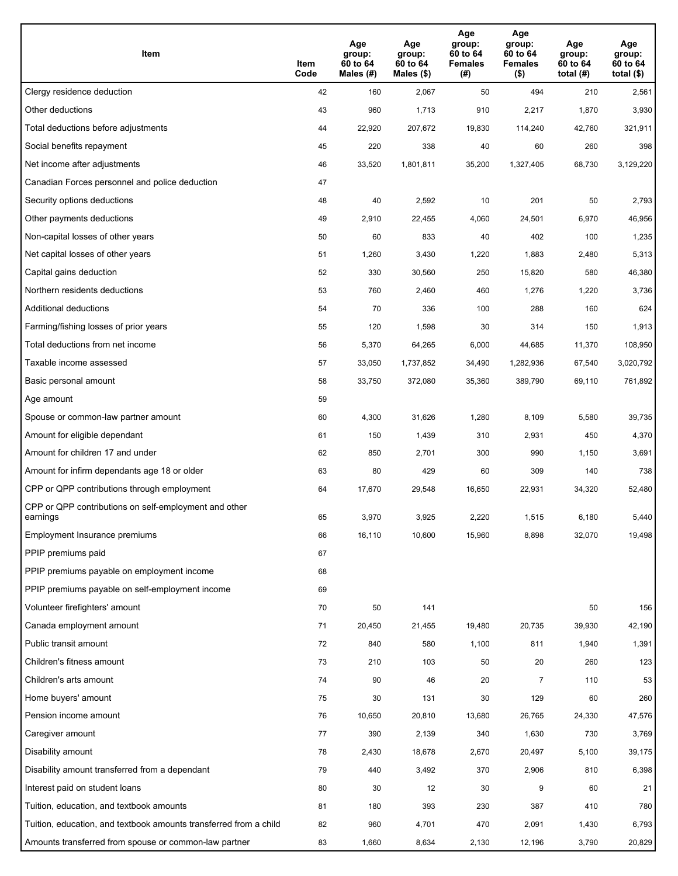| Item                                                              | Item<br>Code | Age<br>group:<br>60 to 64<br>Males (#) | Age<br>group:<br>60 to 64<br>Males (\$) | Age<br>group:<br>60 to 64<br><b>Females</b><br>(#) | Age<br>group:<br>60 to 64<br><b>Females</b><br>$($ \$) | Age<br>group:<br>60 to 64<br>total $(H)$ | Age<br>group:<br>60 to 64<br>total $($)$ |
|-------------------------------------------------------------------|--------------|----------------------------------------|-----------------------------------------|----------------------------------------------------|--------------------------------------------------------|------------------------------------------|------------------------------------------|
| Clergy residence deduction                                        | 42           | 160                                    | 2,067                                   | 50                                                 | 494                                                    | 210                                      | 2,561                                    |
| Other deductions                                                  | 43           | 960                                    | 1,713                                   | 910                                                | 2,217                                                  | 1,870                                    | 3,930                                    |
| Total deductions before adjustments                               | 44           | 22,920                                 | 207,672                                 | 19,830                                             | 114,240                                                | 42,760                                   | 321,911                                  |
| Social benefits repayment                                         | 45           | 220                                    | 338                                     | 40                                                 | 60                                                     | 260                                      | 398                                      |
| Net income after adjustments                                      | 46           | 33,520                                 | 1,801,811                               | 35,200                                             | 1,327,405                                              | 68,730                                   | 3,129,220                                |
| Canadian Forces personnel and police deduction                    | 47           |                                        |                                         |                                                    |                                                        |                                          |                                          |
| Security options deductions                                       | 48           | 40                                     | 2,592                                   | 10                                                 | 201                                                    | 50                                       | 2,793                                    |
| Other payments deductions                                         | 49           | 2,910                                  | 22,455                                  | 4,060                                              | 24,501                                                 | 6,970                                    | 46,956                                   |
| Non-capital losses of other years                                 | 50           | 60                                     | 833                                     | 40                                                 | 402                                                    | 100                                      | 1,235                                    |
| Net capital losses of other years                                 | 51           | 1,260                                  | 3,430                                   | 1,220                                              | 1,883                                                  | 2,480                                    | 5,313                                    |
| Capital gains deduction                                           | 52           | 330                                    | 30,560                                  | 250                                                | 15,820                                                 | 580                                      | 46,380                                   |
| Northern residents deductions                                     | 53           | 760                                    | 2,460                                   | 460                                                | 1,276                                                  | 1,220                                    | 3,736                                    |
| Additional deductions                                             | 54           | 70                                     | 336                                     | 100                                                | 288                                                    | 160                                      | 624                                      |
| Farming/fishing losses of prior years                             | 55           | 120                                    | 1,598                                   | 30                                                 | 314                                                    | 150                                      | 1,913                                    |
| Total deductions from net income                                  | 56           | 5,370                                  | 64,265                                  | 6,000                                              | 44,685                                                 | 11,370                                   | 108,950                                  |
| Taxable income assessed                                           | 57           | 33,050                                 | 1,737,852                               | 34,490                                             | 1,282,936                                              | 67,540                                   | 3,020,792                                |
| Basic personal amount                                             | 58           | 33,750                                 | 372,080                                 | 35,360                                             | 389,790                                                | 69,110                                   | 761,892                                  |
| Age amount                                                        | 59           |                                        |                                         |                                                    |                                                        |                                          |                                          |
| Spouse or common-law partner amount                               | 60           | 4,300                                  | 31,626                                  | 1,280                                              | 8,109                                                  | 5,580                                    | 39,735                                   |
| Amount for eligible dependant                                     | 61           | 150                                    | 1,439                                   | 310                                                | 2,931                                                  | 450                                      | 4,370                                    |
| Amount for children 17 and under                                  | 62           | 850                                    | 2,701                                   | 300                                                | 990                                                    | 1,150                                    | 3,691                                    |
| Amount for infirm dependants age 18 or older                      | 63           | 80                                     | 429                                     | 60                                                 | 309                                                    | 140                                      | 738                                      |
| CPP or QPP contributions through employment                       | 64           | 17,670                                 | 29,548                                  | 16,650                                             | 22,931                                                 | 34,320                                   | 52,480                                   |
| CPP or QPP contributions on self-employment and other<br>earnings | 65           | 3,970                                  | 3,925                                   | 2,220                                              | 1,515                                                  | 6,180                                    | 5,440                                    |
| Employment Insurance premiums                                     | 66           | 16,110                                 | 10,600                                  | 15,960                                             | 8,898                                                  | 32,070                                   | 19,498                                   |
| PPIP premiums paid                                                | 67           |                                        |                                         |                                                    |                                                        |                                          |                                          |
| PPIP premiums payable on employment income                        | 68           |                                        |                                         |                                                    |                                                        |                                          |                                          |
| PPIP premiums payable on self-employment income                   | 69           |                                        |                                         |                                                    |                                                        |                                          |                                          |
| Volunteer firefighters' amount                                    | 70           | 50                                     | 141                                     |                                                    |                                                        | 50                                       | 156                                      |
| Canada employment amount                                          | 71           | 20,450                                 | 21,455                                  | 19,480                                             | 20,735                                                 | 39,930                                   | 42,190                                   |
| Public transit amount                                             | 72           | 840                                    | 580                                     | 1,100                                              | 811                                                    | 1,940                                    | 1,391                                    |
| Children's fitness amount                                         | 73           | 210                                    | 103                                     | 50                                                 | 20                                                     | 260                                      | 123                                      |
| Children's arts amount                                            | 74           | 90                                     | 46                                      | 20                                                 | $\overline{7}$                                         | 110                                      | 53                                       |
| Home buyers' amount                                               | 75           | 30                                     | 131                                     | 30                                                 | 129                                                    | 60                                       | 260                                      |
| Pension income amount                                             | 76           | 10,650                                 | 20,810                                  | 13,680                                             | 26,765                                                 | 24,330                                   | 47,576                                   |
| Caregiver amount                                                  | 77           | 390                                    | 2,139                                   | 340                                                | 1,630                                                  | 730                                      | 3,769                                    |
| Disability amount                                                 | 78           | 2,430                                  | 18,678                                  | 2,670                                              | 20,497                                                 | 5,100                                    | 39,175                                   |
| Disability amount transferred from a dependant                    | 79           | 440                                    | 3,492                                   | 370                                                | 2,906                                                  | 810                                      | 6,398                                    |
| Interest paid on student loans                                    | 80           | 30                                     | 12                                      | 30                                                 | 9                                                      | 60                                       | 21                                       |
| Tuition, education, and textbook amounts                          | 81           | 180                                    | 393                                     | 230                                                | 387                                                    | 410                                      | 780                                      |
| Tuition, education, and textbook amounts transferred from a child | 82           | 960                                    | 4,701                                   | 470                                                | 2,091                                                  | 1,430                                    | 6,793                                    |
| Amounts transferred from spouse or common-law partner             | 83           | 1,660                                  | 8,634                                   | 2,130                                              | 12,196                                                 | 3,790                                    | 20,829                                   |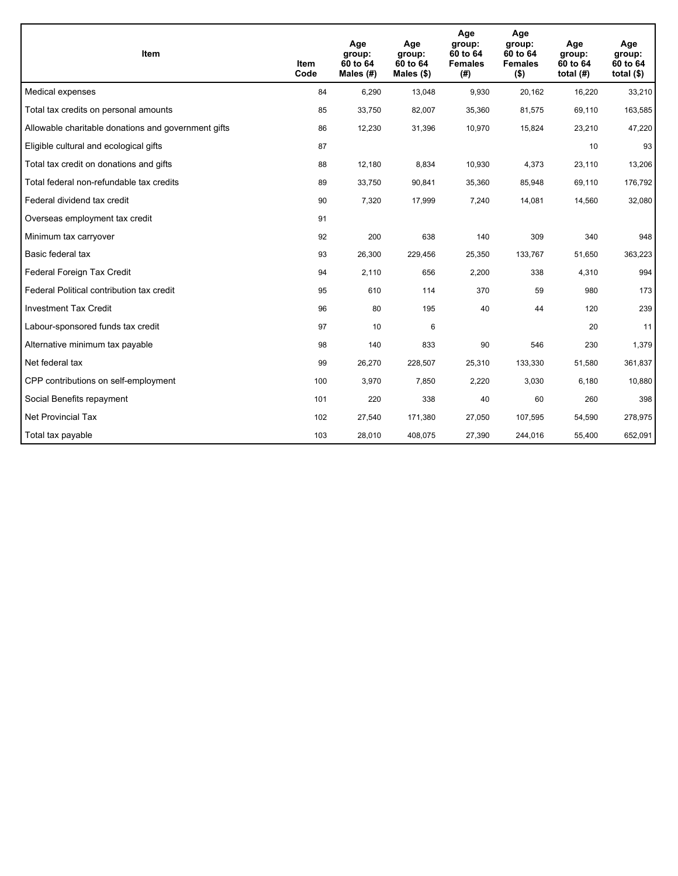| <b>Item</b>                                         | Item<br>Code | Age<br>group:<br>60 to 64<br>Males (#) | Age<br>group:<br>60 to 64<br>Males $(\$)$ | Age<br>group:<br>60 to 64<br><b>Females</b><br>(#) | Age<br>group:<br>60 to 64<br><b>Females</b><br>$($ \$) | Age<br>group:<br>60 to 64<br>total $(H)$ | Age<br>group:<br>60 to 64<br>total $($)$ |
|-----------------------------------------------------|--------------|----------------------------------------|-------------------------------------------|----------------------------------------------------|--------------------------------------------------------|------------------------------------------|------------------------------------------|
| Medical expenses                                    | 84           | 6,290                                  | 13,048                                    | 9,930                                              | 20,162                                                 | 16,220                                   | 33,210                                   |
| Total tax credits on personal amounts               | 85           | 33,750                                 | 82,007                                    | 35,360                                             | 81,575                                                 | 69,110                                   | 163,585                                  |
| Allowable charitable donations and government gifts | 86           | 12,230                                 | 31,396                                    | 10,970                                             | 15,824                                                 | 23,210                                   | 47,220                                   |
| Eligible cultural and ecological gifts              | 87           |                                        |                                           |                                                    |                                                        | 10                                       | 93                                       |
| Total tax credit on donations and gifts             | 88           | 12,180                                 | 8,834                                     | 10,930                                             | 4,373                                                  | 23,110                                   | 13,206                                   |
| Total federal non-refundable tax credits            | 89           | 33,750                                 | 90,841                                    | 35,360                                             | 85,948                                                 | 69,110                                   | 176,792                                  |
| Federal dividend tax credit                         | 90           | 7,320                                  | 17,999                                    | 7,240                                              | 14,081                                                 | 14,560                                   | 32,080                                   |
| Overseas employment tax credit                      | 91           |                                        |                                           |                                                    |                                                        |                                          |                                          |
| Minimum tax carryover                               | 92           | 200                                    | 638                                       | 140                                                | 309                                                    | 340                                      | 948                                      |
| Basic federal tax                                   | 93           | 26,300                                 | 229,456                                   | 25,350                                             | 133,767                                                | 51,650                                   | 363,223                                  |
| Federal Foreign Tax Credit                          | 94           | 2,110                                  | 656                                       | 2,200                                              | 338                                                    | 4,310                                    | 994                                      |
| Federal Political contribution tax credit           | 95           | 610                                    | 114                                       | 370                                                | 59                                                     | 980                                      | 173                                      |
| <b>Investment Tax Credit</b>                        | 96           | 80                                     | 195                                       | 40                                                 | 44                                                     | 120                                      | 239                                      |
| Labour-sponsored funds tax credit                   | 97           | 10                                     | 6                                         |                                                    |                                                        | 20                                       | 11                                       |
| Alternative minimum tax payable                     | 98           | 140                                    | 833                                       | 90                                                 | 546                                                    | 230                                      | 1,379                                    |
| Net federal tax                                     | 99           | 26,270                                 | 228,507                                   | 25,310                                             | 133,330                                                | 51,580                                   | 361,837                                  |
| CPP contributions on self-employment                | 100          | 3,970                                  | 7,850                                     | 2,220                                              | 3,030                                                  | 6,180                                    | 10,880                                   |
| Social Benefits repayment                           | 101          | 220                                    | 338                                       | 40                                                 | 60                                                     | 260                                      | 398                                      |
| Net Provincial Tax                                  | 102          | 27,540                                 | 171,380                                   | 27,050                                             | 107,595                                                | 54,590                                   | 278,975                                  |
| Total tax payable                                   | 103          | 28,010                                 | 408,075                                   | 27,390                                             | 244,016                                                | 55,400                                   | 652,091                                  |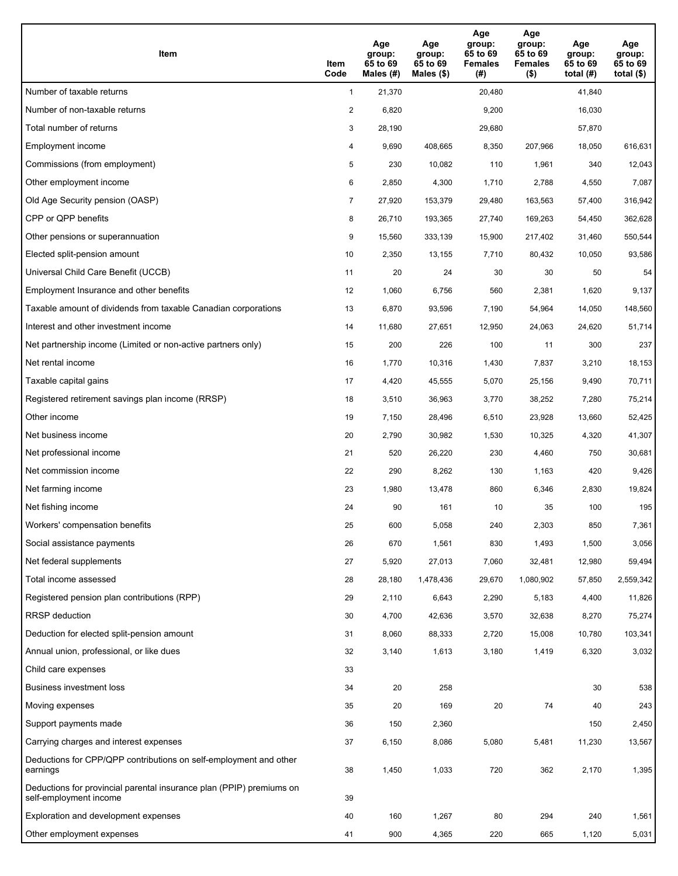| Item                                                                                           | Item<br>Code   | Age<br>group:<br>65 to 69<br>Males (#) | Age<br>group:<br>65 to 69<br>Males $(\$)$ | Age<br>group:<br>65 to 69<br><b>Females</b><br>(#) | Age<br>group:<br>65 to 69<br><b>Females</b><br>$($ \$) | Age<br>group:<br>65 to 69<br>total $(H)$ | Age<br>group:<br>65 to 69<br>total $($)$ |
|------------------------------------------------------------------------------------------------|----------------|----------------------------------------|-------------------------------------------|----------------------------------------------------|--------------------------------------------------------|------------------------------------------|------------------------------------------|
| Number of taxable returns                                                                      | $\mathbf{1}$   | 21,370                                 |                                           | 20,480                                             |                                                        | 41,840                                   |                                          |
| Number of non-taxable returns                                                                  | $\overline{2}$ | 6,820                                  |                                           | 9,200                                              |                                                        | 16,030                                   |                                          |
| Total number of returns                                                                        | 3              | 28,190                                 |                                           | 29,680                                             |                                                        | 57,870                                   |                                          |
| Employment income                                                                              | 4              | 9,690                                  | 408.665                                   | 8,350                                              | 207,966                                                | 18,050                                   | 616,631                                  |
| Commissions (from employment)                                                                  | 5              | 230                                    | 10,082                                    | 110                                                | 1,961                                                  | 340                                      | 12,043                                   |
| Other employment income                                                                        | 6              | 2,850                                  | 4,300                                     | 1,710                                              | 2,788                                                  | 4,550                                    | 7,087                                    |
| Old Age Security pension (OASP)                                                                | 7              | 27,920                                 | 153,379                                   | 29,480                                             | 163,563                                                | 57,400                                   | 316,942                                  |
| CPP or QPP benefits                                                                            | 8              | 26,710                                 | 193,365                                   | 27,740                                             | 169,263                                                | 54,450                                   | 362,628                                  |
| Other pensions or superannuation                                                               | 9              | 15,560                                 | 333,139                                   | 15,900                                             | 217,402                                                | 31,460                                   | 550,544                                  |
| Elected split-pension amount                                                                   | 10             | 2,350                                  | 13,155                                    | 7,710                                              | 80,432                                                 | 10,050                                   | 93,586                                   |
| Universal Child Care Benefit (UCCB)                                                            | 11             | 20                                     | 24                                        | 30                                                 | 30                                                     | 50                                       | 54                                       |
| Employment Insurance and other benefits                                                        | 12             | 1,060                                  | 6,756                                     | 560                                                | 2,381                                                  | 1,620                                    | 9,137                                    |
| Taxable amount of dividends from taxable Canadian corporations                                 | 13             | 6,870                                  | 93,596                                    | 7,190                                              | 54,964                                                 | 14,050                                   | 148,560                                  |
| Interest and other investment income                                                           | 14             | 11,680                                 | 27,651                                    | 12,950                                             | 24,063                                                 | 24,620                                   | 51,714                                   |
| Net partnership income (Limited or non-active partners only)                                   | 15             | 200                                    | 226                                       | 100                                                | 11                                                     | 300                                      | 237                                      |
| Net rental income                                                                              | 16             | 1,770                                  | 10,316                                    | 1,430                                              | 7,837                                                  | 3,210                                    | 18,153                                   |
| Taxable capital gains                                                                          | 17             | 4,420                                  | 45,555                                    | 5,070                                              | 25,156                                                 | 9,490                                    | 70,711                                   |
| Registered retirement savings plan income (RRSP)                                               | 18             | 3,510                                  | 36,963                                    | 3,770                                              | 38,252                                                 | 7,280                                    | 75,214                                   |
| Other income                                                                                   | 19             | 7,150                                  | 28,496                                    | 6,510                                              | 23,928                                                 | 13,660                                   | 52,425                                   |
| Net business income                                                                            | 20             | 2,790                                  | 30,982                                    | 1,530                                              | 10,325                                                 | 4,320                                    | 41,307                                   |
| Net professional income                                                                        | 21             | 520                                    | 26,220                                    | 230                                                | 4,460                                                  | 750                                      | 30,681                                   |
| Net commission income                                                                          | 22             | 290                                    | 8,262                                     | 130                                                | 1,163                                                  | 420                                      | 9,426                                    |
| Net farming income                                                                             | 23             | 1,980                                  | 13,478                                    | 860                                                | 6,346                                                  | 2,830                                    | 19,824                                   |
| Net fishing income                                                                             | 24             | 90                                     | 161                                       | 10                                                 | 35                                                     | 100                                      | 195                                      |
| Workers' compensation benefits                                                                 | 25             | 600                                    | 5,058                                     | 240                                                | 2,303                                                  | 850                                      | 7,361                                    |
| Social assistance payments                                                                     | 26             | 670                                    | 1,561                                     | 830                                                | 1,493                                                  | 1,500                                    | 3,056                                    |
| Net federal supplements                                                                        | 27             | 5,920                                  | 27,013                                    | 7,060                                              | 32,481                                                 | 12,980                                   | 59,494                                   |
| Total income assessed                                                                          | 28             | 28,180                                 | 1,478,436                                 | 29,670                                             | 1,080,902                                              | 57,850                                   | 2,559,342                                |
| Registered pension plan contributions (RPP)                                                    | 29             | 2,110                                  | 6,643                                     | 2,290                                              | 5,183                                                  | 4,400                                    | 11,826                                   |
| <b>RRSP</b> deduction                                                                          | 30             | 4,700                                  | 42,636                                    | 3,570                                              | 32,638                                                 | 8,270                                    | 75,274                                   |
| Deduction for elected split-pension amount                                                     | 31             | 8,060                                  | 88,333                                    | 2,720                                              | 15,008                                                 | 10,780                                   | 103,341                                  |
| Annual union, professional, or like dues                                                       | 32             | 3,140                                  | 1,613                                     | 3,180                                              | 1,419                                                  | 6,320                                    | 3,032                                    |
| Child care expenses                                                                            | 33             |                                        |                                           |                                                    |                                                        |                                          |                                          |
| Business investment loss                                                                       | 34             | 20                                     | 258                                       |                                                    |                                                        | 30                                       | 538                                      |
| Moving expenses                                                                                | 35             | 20                                     | 169                                       | 20                                                 | 74                                                     | 40                                       | 243                                      |
| Support payments made                                                                          | 36             | 150                                    | 2,360                                     |                                                    |                                                        | 150                                      | 2,450                                    |
| Carrying charges and interest expenses                                                         | 37             | 6,150                                  | 8,086                                     | 5,080                                              | 5,481                                                  | 11,230                                   | 13,567                                   |
| Deductions for CPP/QPP contributions on self-employment and other<br>earnings                  | 38             | 1,450                                  | 1,033                                     | 720                                                | 362                                                    | 2,170                                    | 1,395                                    |
| Deductions for provincial parental insurance plan (PPIP) premiums on<br>self-employment income | 39             |                                        |                                           |                                                    |                                                        |                                          |                                          |
| Exploration and development expenses                                                           | 40             | 160                                    | 1,267                                     | 80                                                 | 294                                                    | 240                                      | 1,561                                    |
| Other employment expenses                                                                      | 41             | 900                                    | 4,365                                     | 220                                                | 665                                                    | 1,120                                    | 5,031                                    |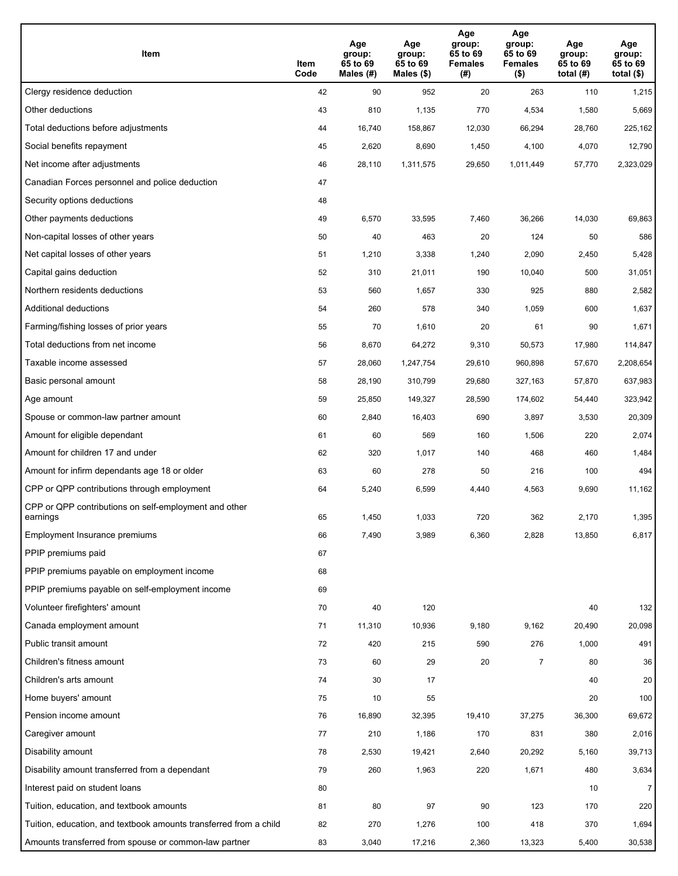| Item                                                              | Item<br>Code | Age<br>group:<br>65 to 69<br>Males (#) | Age<br>group:<br>65 to 69<br>Males (\$) | Age<br>group:<br>65 to 69<br><b>Females</b><br>(#) | Age<br>group:<br>65 to 69<br><b>Females</b><br>$($ \$) | Age<br>group:<br>65 to 69<br>total $(H)$ | Age<br>group:<br>65 to 69<br>total $($)$ |
|-------------------------------------------------------------------|--------------|----------------------------------------|-----------------------------------------|----------------------------------------------------|--------------------------------------------------------|------------------------------------------|------------------------------------------|
| Clergy residence deduction                                        | 42           | 90                                     | 952                                     | 20                                                 | 263                                                    | 110                                      | 1,215                                    |
| Other deductions                                                  | 43           | 810                                    | 1,135                                   | 770                                                | 4,534                                                  | 1,580                                    | 5,669                                    |
| Total deductions before adjustments                               | 44           | 16,740                                 | 158,867                                 | 12,030                                             | 66,294                                                 | 28,760                                   | 225,162                                  |
| Social benefits repayment                                         | 45           | 2,620                                  | 8,690                                   | 1,450                                              | 4,100                                                  | 4,070                                    | 12,790                                   |
| Net income after adjustments                                      | 46           | 28,110                                 | 1,311,575                               | 29,650                                             | 1,011,449                                              | 57,770                                   | 2,323,029                                |
| Canadian Forces personnel and police deduction                    | 47           |                                        |                                         |                                                    |                                                        |                                          |                                          |
| Security options deductions                                       | 48           |                                        |                                         |                                                    |                                                        |                                          |                                          |
| Other payments deductions                                         | 49           | 6,570                                  | 33,595                                  | 7,460                                              | 36,266                                                 | 14,030                                   | 69,863                                   |
| Non-capital losses of other years                                 | 50           | 40                                     | 463                                     | 20                                                 | 124                                                    | 50                                       | 586                                      |
| Net capital losses of other years                                 | 51           | 1,210                                  | 3,338                                   | 1,240                                              | 2,090                                                  | 2,450                                    | 5,428                                    |
| Capital gains deduction                                           | 52           | 310                                    | 21,011                                  | 190                                                | 10,040                                                 | 500                                      | 31,051                                   |
| Northern residents deductions                                     | 53           | 560                                    | 1,657                                   | 330                                                | 925                                                    | 880                                      | 2,582                                    |
| Additional deductions                                             | 54           | 260                                    | 578                                     | 340                                                | 1,059                                                  | 600                                      | 1,637                                    |
| Farming/fishing losses of prior years                             | 55           | 70                                     | 1,610                                   | 20                                                 | 61                                                     | 90                                       | 1,671                                    |
| Total deductions from net income                                  | 56           | 8,670                                  | 64,272                                  | 9,310                                              | 50,573                                                 | 17,980                                   | 114,847                                  |
| Taxable income assessed                                           | 57           | 28,060                                 | 1,247,754                               | 29,610                                             | 960,898                                                | 57,670                                   | 2,208,654                                |
| Basic personal amount                                             | 58           | 28,190                                 | 310,799                                 | 29,680                                             | 327,163                                                | 57,870                                   | 637,983                                  |
| Age amount                                                        | 59           | 25,850                                 | 149,327                                 | 28,590                                             | 174,602                                                | 54,440                                   | 323,942                                  |
| Spouse or common-law partner amount                               | 60           | 2,840                                  | 16,403                                  | 690                                                | 3,897                                                  | 3,530                                    | 20,309                                   |
| Amount for eligible dependant                                     | 61           | 60                                     | 569                                     | 160                                                | 1,506                                                  | 220                                      | 2,074                                    |
| Amount for children 17 and under                                  | 62           | 320                                    | 1,017                                   | 140                                                | 468                                                    | 460                                      | 1,484                                    |
| Amount for infirm dependants age 18 or older                      | 63           | 60                                     | 278                                     | 50                                                 | 216                                                    | 100                                      | 494                                      |
| CPP or QPP contributions through employment                       | 64           | 5,240                                  | 6,599                                   | 4,440                                              | 4,563                                                  | 9,690                                    | 11,162                                   |
| CPP or QPP contributions on self-employment and other<br>earnings | 65           | 1,450                                  | 1,033                                   | 720                                                | 362                                                    | 2,170                                    | 1,395                                    |
| Employment Insurance premiums                                     | 66           | 7,490                                  | 3,989                                   | 6,360                                              | 2,828                                                  | 13,850                                   | 6,817                                    |
| PPIP premiums paid                                                | 67           |                                        |                                         |                                                    |                                                        |                                          |                                          |
| PPIP premiums payable on employment income                        | 68           |                                        |                                         |                                                    |                                                        |                                          |                                          |
| PPIP premiums payable on self-employment income                   | 69           |                                        |                                         |                                                    |                                                        |                                          |                                          |
| Volunteer firefighters' amount                                    | 70           | 40                                     | 120                                     |                                                    |                                                        | 40                                       | 132                                      |
| Canada employment amount                                          | 71           | 11,310                                 | 10,936                                  | 9,180                                              | 9,162                                                  | 20,490                                   | 20,098                                   |
| Public transit amount                                             | 72           | 420                                    | 215                                     | 590                                                | 276                                                    | 1,000                                    | 491                                      |
| Children's fitness amount                                         | 73           | 60                                     | 29                                      | 20                                                 | 7                                                      | 80                                       | 36                                       |
| Children's arts amount                                            | 74           | 30                                     | 17                                      |                                                    |                                                        | 40                                       | 20                                       |
| Home buyers' amount                                               | 75           | 10                                     | 55                                      |                                                    |                                                        | 20                                       | 100                                      |
| Pension income amount                                             | 76           | 16,890                                 | 32,395                                  | 19,410                                             | 37,275                                                 | 36,300                                   | 69,672                                   |
| Caregiver amount                                                  | 77           | 210                                    | 1,186                                   | 170                                                | 831                                                    | 380                                      | 2,016                                    |
| Disability amount                                                 | 78           | 2,530                                  | 19,421                                  | 2,640                                              | 20,292                                                 | 5,160                                    | 39,713                                   |
| Disability amount transferred from a dependant                    | 79           | 260                                    | 1,963                                   | 220                                                | 1,671                                                  | 480                                      | 3,634                                    |
| Interest paid on student loans                                    | 80           |                                        |                                         |                                                    |                                                        | 10                                       | $\overline{7}$                           |
| Tuition, education, and textbook amounts                          | 81           | 80                                     | 97                                      | 90                                                 | 123                                                    | 170                                      | 220                                      |
| Tuition, education, and textbook amounts transferred from a child | 82           | 270                                    | 1,276                                   | 100                                                | 418                                                    | 370                                      | 1,694                                    |
| Amounts transferred from spouse or common-law partner             | 83           | 3,040                                  | 17,216                                  | 2,360                                              | 13,323                                                 | 5,400                                    | 30,538                                   |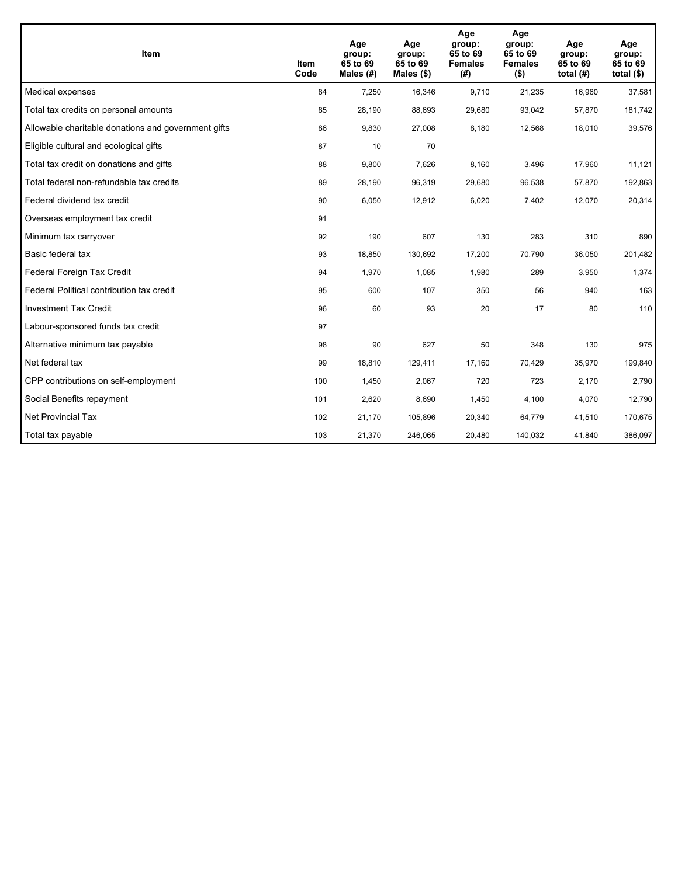| <b>Item</b>                                         | Item<br>Code | Age<br>group:<br>65 to 69<br>Males (#) | Age<br>group:<br>65 to 69<br>Males $(\$)$ | Age<br>group:<br>65 to 69<br><b>Females</b><br>(#) | Age<br>group:<br>65 to 69<br><b>Females</b><br>$($ \$) | Age<br>group:<br>65 to 69<br>total $(H)$ | Age<br>group:<br>65 to 69<br>total $($)$ |
|-----------------------------------------------------|--------------|----------------------------------------|-------------------------------------------|----------------------------------------------------|--------------------------------------------------------|------------------------------------------|------------------------------------------|
| Medical expenses                                    | 84           | 7,250                                  | 16,346                                    | 9,710                                              | 21,235                                                 | 16,960                                   | 37,581                                   |
| Total tax credits on personal amounts               | 85           | 28,190                                 | 88,693                                    | 29,680                                             | 93,042                                                 | 57,870                                   | 181,742                                  |
| Allowable charitable donations and government gifts | 86           | 9,830                                  | 27,008                                    | 8,180                                              | 12,568                                                 | 18,010                                   | 39,576                                   |
| Eligible cultural and ecological gifts              | 87           | 10                                     | 70                                        |                                                    |                                                        |                                          |                                          |
| Total tax credit on donations and gifts             | 88           | 9,800                                  | 7,626                                     | 8,160                                              | 3,496                                                  | 17,960                                   | 11,121                                   |
| Total federal non-refundable tax credits            | 89           | 28,190                                 | 96,319                                    | 29,680                                             | 96,538                                                 | 57,870                                   | 192,863                                  |
| Federal dividend tax credit                         | 90           | 6,050                                  | 12,912                                    | 6,020                                              | 7,402                                                  | 12,070                                   | 20,314                                   |
| Overseas employment tax credit                      | 91           |                                        |                                           |                                                    |                                                        |                                          |                                          |
| Minimum tax carryover                               | 92           | 190                                    | 607                                       | 130                                                | 283                                                    | 310                                      | 890                                      |
| Basic federal tax                                   | 93           | 18,850                                 | 130,692                                   | 17,200                                             | 70,790                                                 | 36,050                                   | 201,482                                  |
| Federal Foreign Tax Credit                          | 94           | 1,970                                  | 1,085                                     | 1,980                                              | 289                                                    | 3,950                                    | 1,374                                    |
| Federal Political contribution tax credit           | 95           | 600                                    | 107                                       | 350                                                | 56                                                     | 940                                      | 163                                      |
| <b>Investment Tax Credit</b>                        | 96           | 60                                     | 93                                        | 20                                                 | 17                                                     | 80                                       | 110                                      |
| Labour-sponsored funds tax credit                   | 97           |                                        |                                           |                                                    |                                                        |                                          |                                          |
| Alternative minimum tax payable                     | 98           | 90                                     | 627                                       | 50                                                 | 348                                                    | 130                                      | 975                                      |
| Net federal tax                                     | 99           | 18,810                                 | 129,411                                   | 17,160                                             | 70,429                                                 | 35,970                                   | 199,840                                  |
| CPP contributions on self-employment                | 100          | 1,450                                  | 2,067                                     | 720                                                | 723                                                    | 2,170                                    | 2,790                                    |
| Social Benefits repayment                           | 101          | 2,620                                  | 8,690                                     | 1,450                                              | 4,100                                                  | 4,070                                    | 12,790                                   |
| <b>Net Provincial Tax</b>                           | 102          | 21,170                                 | 105,896                                   | 20,340                                             | 64,779                                                 | 41,510                                   | 170,675                                  |
| Total tax payable                                   | 103          | 21,370                                 | 246,065                                   | 20,480                                             | 140,032                                                | 41,840                                   | 386,097                                  |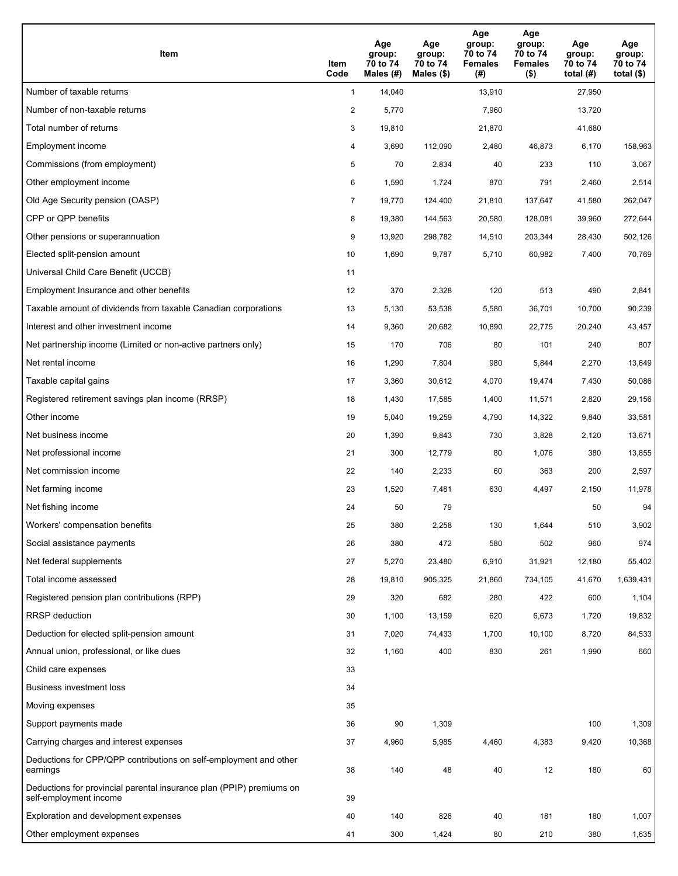| Item                                                                                           | Item<br>Code   | Age<br>group:<br>70 to 74<br>Males (#) | Age<br>group:<br>70 to 74<br>Males (\$) | Age<br>group:<br>70 to 74<br><b>Females</b><br>(# ) | Age<br>group:<br>70 to 74<br><b>Females</b><br>$($ \$) | Age<br>group:<br>70 to 74<br>total $(H)$ | Age<br>group:<br>70 to 74<br>total $($ |
|------------------------------------------------------------------------------------------------|----------------|----------------------------------------|-----------------------------------------|-----------------------------------------------------|--------------------------------------------------------|------------------------------------------|----------------------------------------|
| Number of taxable returns                                                                      | $\mathbf{1}$   | 14,040                                 |                                         | 13,910                                              |                                                        | 27,950                                   |                                        |
| Number of non-taxable returns                                                                  | $\overline{2}$ | 5,770                                  |                                         | 7,960                                               |                                                        | 13,720                                   |                                        |
| Total number of returns                                                                        | 3              | 19,810                                 |                                         | 21,870                                              |                                                        | 41,680                                   |                                        |
| Employment income                                                                              | 4              | 3,690                                  | 112.090                                 | 2,480                                               | 46,873                                                 | 6,170                                    | 158,963                                |
| Commissions (from employment)                                                                  | 5              | 70                                     | 2,834                                   | 40                                                  | 233                                                    | 110                                      | 3,067                                  |
| Other employment income                                                                        | 6              | 1,590                                  | 1,724                                   | 870                                                 | 791                                                    | 2,460                                    | 2,514                                  |
| Old Age Security pension (OASP)                                                                | $\overline{7}$ | 19,770                                 | 124,400                                 | 21,810                                              | 137,647                                                | 41,580                                   | 262,047                                |
| CPP or QPP benefits                                                                            | 8              | 19,380                                 | 144,563                                 | 20,580                                              | 128,081                                                | 39,960                                   | 272,644                                |
| Other pensions or superannuation                                                               | 9              | 13,920                                 | 298,782                                 | 14,510                                              | 203,344                                                | 28,430                                   | 502,126                                |
| Elected split-pension amount                                                                   | 10             | 1,690                                  | 9,787                                   | 5,710                                               | 60,982                                                 | 7,400                                    | 70,769                                 |
| Universal Child Care Benefit (UCCB)                                                            | 11             |                                        |                                         |                                                     |                                                        |                                          |                                        |
| Employment Insurance and other benefits                                                        | 12             | 370                                    | 2,328                                   | 120                                                 | 513                                                    | 490                                      | 2,841                                  |
| Taxable amount of dividends from taxable Canadian corporations                                 | 13             | 5,130                                  | 53,538                                  | 5,580                                               | 36,701                                                 | 10,700                                   | 90,239                                 |
| Interest and other investment income                                                           | 14             | 9,360                                  | 20,682                                  | 10,890                                              | 22,775                                                 | 20,240                                   | 43,457                                 |
| Net partnership income (Limited or non-active partners only)                                   | 15             | 170                                    | 706                                     | 80                                                  | 101                                                    | 240                                      | 807                                    |
| Net rental income                                                                              | 16             | 1,290                                  | 7,804                                   | 980                                                 | 5,844                                                  | 2,270                                    | 13,649                                 |
| Taxable capital gains                                                                          | 17             | 3,360                                  | 30,612                                  | 4,070                                               | 19,474                                                 | 7,430                                    | 50,086                                 |
| Registered retirement savings plan income (RRSP)                                               | 18             | 1,430                                  | 17,585                                  | 1,400                                               | 11,571                                                 | 2,820                                    | 29,156                                 |
| Other income                                                                                   | 19             | 5,040                                  | 19,259                                  | 4,790                                               | 14,322                                                 | 9,840                                    | 33,581                                 |
| Net business income                                                                            | 20             | 1,390                                  | 9,843                                   | 730                                                 | 3,828                                                  | 2,120                                    | 13,671                                 |
| Net professional income                                                                        | 21             | 300                                    | 12,779                                  | 80                                                  | 1,076                                                  | 380                                      | 13,855                                 |
| Net commission income                                                                          | 22             | 140                                    | 2,233                                   | 60                                                  | 363                                                    | 200                                      | 2,597                                  |
| Net farming income                                                                             | 23             | 1,520                                  | 7,481                                   | 630                                                 | 4,497                                                  | 2,150                                    | 11,978                                 |
| Net fishing income                                                                             | 24             | 50                                     | 79                                      |                                                     |                                                        | 50                                       | 94                                     |
| Workers' compensation benefits                                                                 | 25             | 380                                    | 2,258                                   | 130                                                 | 1,644                                                  | 510                                      | 3,902                                  |
| Social assistance payments                                                                     | 26             | 380                                    | 472                                     | 580                                                 | 502                                                    | 960                                      | 974                                    |
| Net federal supplements                                                                        | 27             | 5,270                                  | 23,480                                  | 6,910                                               | 31,921                                                 | 12,180                                   | 55,402                                 |
| Total income assessed                                                                          | 28             | 19,810                                 | 905,325                                 | 21,860                                              | 734,105                                                | 41,670                                   | 1,639,431                              |
| Registered pension plan contributions (RPP)                                                    | 29             | 320                                    | 682                                     | 280                                                 | 422                                                    | 600                                      | 1,104                                  |
| <b>RRSP</b> deduction                                                                          | 30             | 1,100                                  | 13,159                                  | 620                                                 | 6,673                                                  | 1,720                                    | 19,832                                 |
| Deduction for elected split-pension amount                                                     | 31             | 7,020                                  | 74,433                                  | 1,700                                               | 10,100                                                 | 8,720                                    | 84,533                                 |
| Annual union, professional, or like dues                                                       | 32             | 1,160                                  | 400                                     | 830                                                 | 261                                                    | 1,990                                    | 660                                    |
| Child care expenses                                                                            | 33             |                                        |                                         |                                                     |                                                        |                                          |                                        |
| Business investment loss                                                                       | 34             |                                        |                                         |                                                     |                                                        |                                          |                                        |
| Moving expenses                                                                                | 35             |                                        |                                         |                                                     |                                                        |                                          |                                        |
| Support payments made                                                                          | 36             | 90                                     | 1,309                                   |                                                     |                                                        | 100                                      | 1,309                                  |
| Carrying charges and interest expenses                                                         | 37             | 4,960                                  | 5,985                                   | 4,460                                               | 4,383                                                  | 9,420                                    | 10,368                                 |
| Deductions for CPP/QPP contributions on self-employment and other<br>earnings                  | 38             | 140                                    | 48                                      | 40                                                  | 12                                                     | 180                                      | 60                                     |
| Deductions for provincial parental insurance plan (PPIP) premiums on<br>self-employment income | 39             |                                        |                                         |                                                     |                                                        |                                          |                                        |
| Exploration and development expenses                                                           | 40             | 140                                    | 826                                     | 40                                                  | 181                                                    | 180                                      | 1,007                                  |
| Other employment expenses                                                                      | 41             | 300                                    | 1,424                                   | 80                                                  | 210                                                    | 380                                      | 1,635                                  |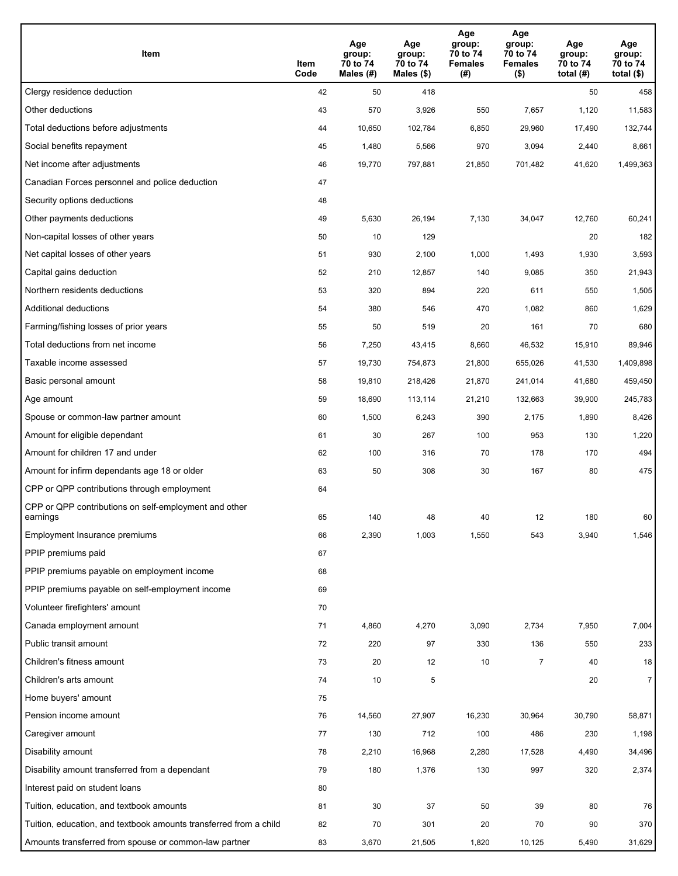| Item                                                              | Item<br>Code | Age<br>group:<br>70 to 74<br>Males (#) | Age<br>group:<br>70 to 74<br>Males (\$) | Age<br>group:<br>70 to 74<br><b>Females</b><br>(#) | Age<br>group:<br>70 to 74<br>Females<br>$($ \$) | Age<br>group:<br>70 to 74<br>total $(H)$ | Age<br>group:<br>70 to 74<br>total $($)$ |
|-------------------------------------------------------------------|--------------|----------------------------------------|-----------------------------------------|----------------------------------------------------|-------------------------------------------------|------------------------------------------|------------------------------------------|
| Clergy residence deduction                                        | 42           | 50                                     | 418                                     |                                                    |                                                 | 50                                       | 458                                      |
| Other deductions                                                  | 43           | 570                                    | 3,926                                   | 550                                                | 7,657                                           | 1,120                                    | 11,583                                   |
| Total deductions before adjustments                               | 44           | 10,650                                 | 102,784                                 | 6,850                                              | 29,960                                          | 17,490                                   | 132,744                                  |
| Social benefits repayment                                         | 45           | 1,480                                  | 5,566                                   | 970                                                | 3,094                                           | 2,440                                    | 8,661                                    |
| Net income after adjustments                                      | 46           | 19,770                                 | 797,881                                 | 21,850                                             | 701,482                                         | 41,620                                   | 1,499,363                                |
| Canadian Forces personnel and police deduction                    | 47           |                                        |                                         |                                                    |                                                 |                                          |                                          |
| Security options deductions                                       | 48           |                                        |                                         |                                                    |                                                 |                                          |                                          |
| Other payments deductions                                         | 49           | 5,630                                  | 26,194                                  | 7,130                                              | 34,047                                          | 12,760                                   | 60,241                                   |
| Non-capital losses of other years                                 | 50           | 10                                     | 129                                     |                                                    |                                                 | 20                                       | 182                                      |
| Net capital losses of other years                                 | 51           | 930                                    | 2,100                                   | 1,000                                              | 1,493                                           | 1,930                                    | 3,593                                    |
| Capital gains deduction                                           | 52           | 210                                    | 12,857                                  | 140                                                | 9,085                                           | 350                                      | 21,943                                   |
| Northern residents deductions                                     | 53           | 320                                    | 894                                     | 220                                                | 611                                             | 550                                      | 1,505                                    |
| Additional deductions                                             | 54           | 380                                    | 546                                     | 470                                                | 1,082                                           | 860                                      | 1,629                                    |
| Farming/fishing losses of prior years                             | 55           | 50                                     | 519                                     | 20                                                 | 161                                             | 70                                       | 680                                      |
| Total deductions from net income                                  | 56           | 7,250                                  | 43,415                                  | 8,660                                              | 46,532                                          | 15,910                                   | 89,946                                   |
| Taxable income assessed                                           | 57           | 19,730                                 | 754,873                                 | 21,800                                             | 655,026                                         | 41,530                                   | 1,409,898                                |
| Basic personal amount                                             | 58           | 19,810                                 | 218,426                                 | 21,870                                             | 241,014                                         | 41,680                                   | 459,450                                  |
| Age amount                                                        | 59           | 18,690                                 | 113,114                                 | 21,210                                             | 132,663                                         | 39,900                                   | 245,783                                  |
| Spouse or common-law partner amount                               | 60           | 1,500                                  | 6,243                                   | 390                                                | 2,175                                           | 1,890                                    | 8,426                                    |
| Amount for eligible dependant                                     | 61           | 30                                     | 267                                     | 100                                                | 953                                             | 130                                      | 1,220                                    |
| Amount for children 17 and under                                  | 62           | 100                                    | 316                                     | 70                                                 | 178                                             | 170                                      | 494                                      |
| Amount for infirm dependants age 18 or older                      | 63           | 50                                     | 308                                     | 30                                                 | 167                                             | 80                                       | 475                                      |
| CPP or QPP contributions through employment                       | 64           |                                        |                                         |                                                    |                                                 |                                          |                                          |
| CPP or QPP contributions on self-employment and other<br>earnings | 65           | 140                                    | 48                                      | 40                                                 | 12                                              | 180                                      | 60                                       |
| Employment Insurance premiums                                     | 66           | 2,390                                  | 1,003                                   | 1,550                                              | 543                                             | 3,940                                    | 1,546                                    |
| PPIP premiums paid                                                | 67           |                                        |                                         |                                                    |                                                 |                                          |                                          |
| PPIP premiums payable on employment income                        | 68           |                                        |                                         |                                                    |                                                 |                                          |                                          |
| PPIP premiums payable on self-employment income                   | 69           |                                        |                                         |                                                    |                                                 |                                          |                                          |
| Volunteer firefighters' amount                                    | 70           |                                        |                                         |                                                    |                                                 |                                          |                                          |
| Canada employment amount                                          | 71           | 4,860                                  | 4,270                                   | 3,090                                              | 2,734                                           | 7,950                                    | 7,004                                    |
| Public transit amount                                             | 72           | 220                                    | 97                                      | 330                                                | 136                                             | 550                                      | 233                                      |
| Children's fitness amount                                         | 73           | 20                                     | 12                                      | 10                                                 | $\overline{7}$                                  | 40                                       | 18                                       |
| Children's arts amount                                            | 74           | 10                                     | 5                                       |                                                    |                                                 | 20                                       | $\overline{7}$                           |
| Home buyers' amount                                               | 75           |                                        |                                         |                                                    |                                                 |                                          |                                          |
| Pension income amount                                             | 76           | 14,560                                 | 27,907                                  | 16,230                                             | 30,964                                          | 30,790                                   | 58,871                                   |
| Caregiver amount                                                  | 77           | 130                                    | 712                                     | 100                                                | 486                                             | 230                                      | 1,198                                    |
| Disability amount                                                 | 78           | 2,210                                  | 16,968                                  | 2,280                                              | 17,528                                          | 4,490                                    | 34,496                                   |
| Disability amount transferred from a dependant                    | 79           | 180                                    | 1,376                                   | 130                                                | 997                                             | 320                                      | 2,374                                    |
| Interest paid on student loans                                    | 80           |                                        |                                         |                                                    |                                                 |                                          |                                          |
| Tuition, education, and textbook amounts                          | 81           | 30                                     | 37                                      | 50                                                 | 39                                              | 80                                       | 76                                       |
| Tuition, education, and textbook amounts transferred from a child | 82           | 70                                     | 301                                     | 20                                                 | 70                                              | 90                                       | 370                                      |
| Amounts transferred from spouse or common-law partner             | 83           | 3,670                                  | 21,505                                  | 1,820                                              | 10,125                                          | 5,490                                    | 31,629                                   |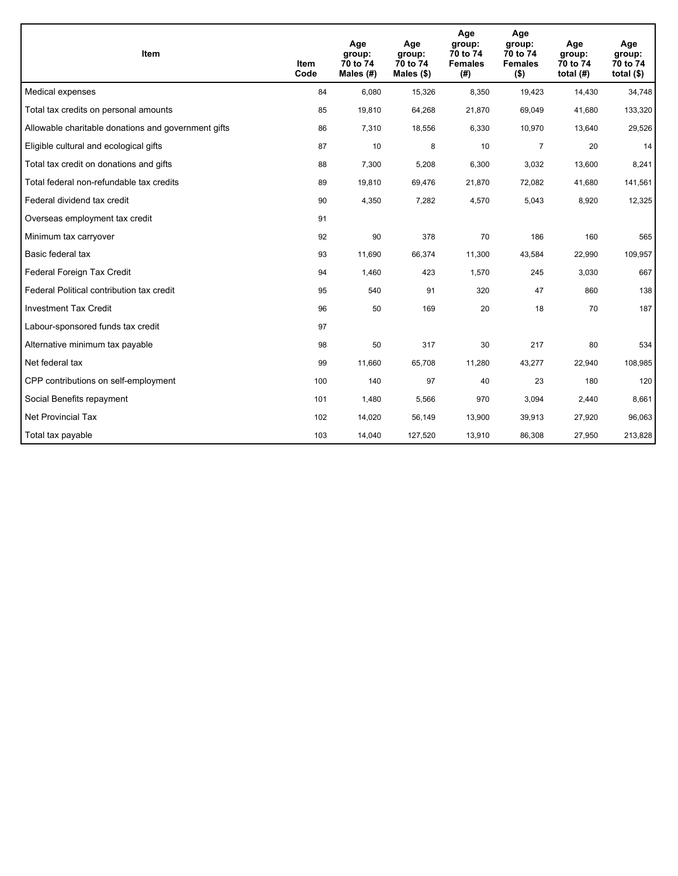| <b>Item</b>                                         | Item<br>Code | Age<br>group:<br>70 to 74<br>Males (#) | Age<br>group:<br>70 to 74<br>Males $(\$)$ | Age<br>group:<br>70 to 74<br><b>Females</b><br>(#) | Age<br>group:<br>70 to 74<br><b>Females</b><br>$($ \$) | Age<br>group:<br>70 to 74<br>total $(H)$ | Age<br>group:<br>70 to 74<br>total $($)$ |
|-----------------------------------------------------|--------------|----------------------------------------|-------------------------------------------|----------------------------------------------------|--------------------------------------------------------|------------------------------------------|------------------------------------------|
| Medical expenses                                    | 84           | 6,080                                  | 15,326                                    | 8,350                                              | 19,423                                                 | 14,430                                   | 34,748                                   |
| Total tax credits on personal amounts               | 85           | 19,810                                 | 64,268                                    | 21,870                                             | 69,049                                                 | 41,680                                   | 133,320                                  |
| Allowable charitable donations and government gifts | 86           | 7,310                                  | 18,556                                    | 6,330                                              | 10,970                                                 | 13,640                                   | 29,526                                   |
| Eligible cultural and ecological gifts              | 87           | 10                                     | 8                                         | 10                                                 | $\overline{7}$                                         | 20                                       | 14                                       |
| Total tax credit on donations and gifts             | 88           | 7,300                                  | 5,208                                     | 6,300                                              | 3,032                                                  | 13,600                                   | 8,241                                    |
| Total federal non-refundable tax credits            | 89           | 19,810                                 | 69,476                                    | 21,870                                             | 72,082                                                 | 41,680                                   | 141,561                                  |
| Federal dividend tax credit                         | 90           | 4,350                                  | 7,282                                     | 4,570                                              | 5,043                                                  | 8,920                                    | 12,325                                   |
| Overseas employment tax credit                      | 91           |                                        |                                           |                                                    |                                                        |                                          |                                          |
| Minimum tax carryover                               | 92           | 90                                     | 378                                       | 70                                                 | 186                                                    | 160                                      | 565                                      |
| Basic federal tax                                   | 93           | 11,690                                 | 66,374                                    | 11,300                                             | 43,584                                                 | 22,990                                   | 109,957                                  |
| Federal Foreign Tax Credit                          | 94           | 1,460                                  | 423                                       | 1,570                                              | 245                                                    | 3,030                                    | 667                                      |
| Federal Political contribution tax credit           | 95           | 540                                    | 91                                        | 320                                                | 47                                                     | 860                                      | 138                                      |
| <b>Investment Tax Credit</b>                        | 96           | 50                                     | 169                                       | 20                                                 | 18                                                     | 70                                       | 187                                      |
| Labour-sponsored funds tax credit                   | 97           |                                        |                                           |                                                    |                                                        |                                          |                                          |
| Alternative minimum tax payable                     | 98           | 50                                     | 317                                       | 30                                                 | 217                                                    | 80                                       | 534                                      |
| Net federal tax                                     | 99           | 11,660                                 | 65,708                                    | 11,280                                             | 43,277                                                 | 22,940                                   | 108,985                                  |
| CPP contributions on self-employment                | 100          | 140                                    | 97                                        | 40                                                 | 23                                                     | 180                                      | 120                                      |
| Social Benefits repayment                           | 101          | 1,480                                  | 5,566                                     | 970                                                | 3,094                                                  | 2,440                                    | 8,661                                    |
| Net Provincial Tax                                  | 102          | 14,020                                 | 56,149                                    | 13,900                                             | 39,913                                                 | 27,920                                   | 96,063                                   |
| Total tax payable                                   | 103          | 14,040                                 | 127,520                                   | 13,910                                             | 86,308                                                 | 27,950                                   | 213,828                                  |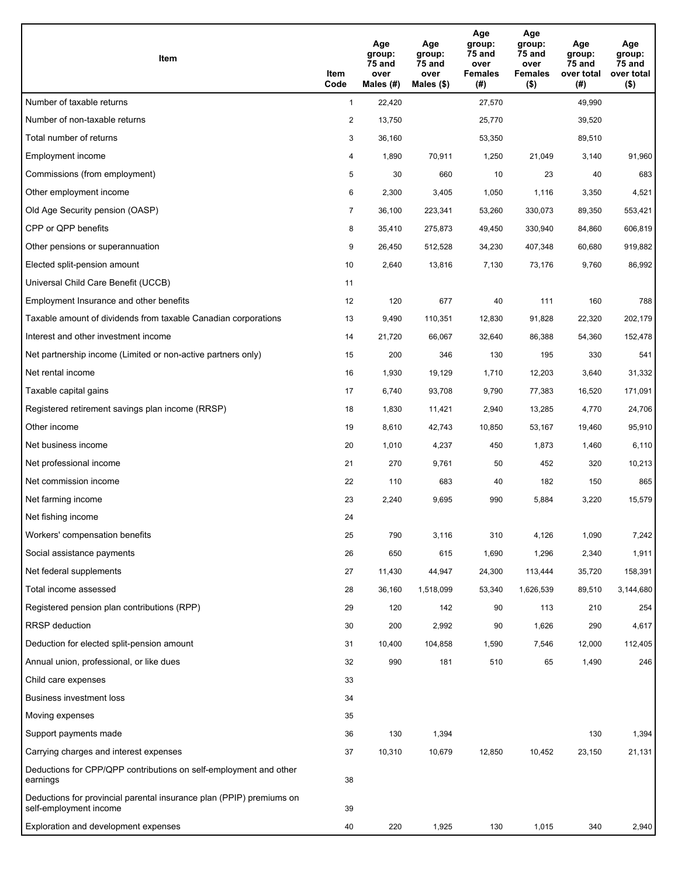| Item                                                                                           | Item<br>Code   | Age<br>group:<br>75 and<br>over<br>Males (#) | Age<br>group:<br>75 and<br>over<br>Males $($)$ | Age<br>group:<br>75 and<br>over<br><b>Females</b><br>(#) | Age<br>group:<br>75 and<br>over<br>Females<br>$($ \$) | Age<br>group:<br>75 and<br>over total<br>(#) | Age<br>group:<br>75 and<br>over total<br>$($ \$) |
|------------------------------------------------------------------------------------------------|----------------|----------------------------------------------|------------------------------------------------|----------------------------------------------------------|-------------------------------------------------------|----------------------------------------------|--------------------------------------------------|
| Number of taxable returns                                                                      | $\mathbf{1}$   | 22,420                                       |                                                | 27,570                                                   |                                                       | 49,990                                       |                                                  |
| Number of non-taxable returns                                                                  | $\overline{2}$ | 13,750                                       |                                                | 25,770                                                   |                                                       | 39,520                                       |                                                  |
| Total number of returns                                                                        | 3              | 36,160                                       |                                                | 53,350                                                   |                                                       | 89,510                                       |                                                  |
| Employment income                                                                              | 4              | 1,890                                        | 70,911                                         | 1,250                                                    | 21,049                                                | 3,140                                        | 91,960                                           |
| Commissions (from employment)                                                                  | 5              | 30                                           | 660                                            | 10                                                       | 23                                                    | 40                                           | 683                                              |
| Other employment income                                                                        | 6              | 2,300                                        | 3,405                                          | 1,050                                                    | 1,116                                                 | 3,350                                        | 4,521                                            |
| Old Age Security pension (OASP)                                                                | $\overline{7}$ | 36,100                                       | 223,341                                        | 53,260                                                   | 330,073                                               | 89,350                                       | 553,421                                          |
| CPP or QPP benefits                                                                            | 8              | 35,410                                       | 275,873                                        | 49,450                                                   | 330,940                                               | 84,860                                       | 606,819                                          |
| Other pensions or superannuation                                                               | 9              | 26,450                                       | 512,528                                        | 34,230                                                   | 407,348                                               | 60,680                                       | 919,882                                          |
| Elected split-pension amount                                                                   | 10             | 2,640                                        | 13,816                                         | 7,130                                                    | 73,176                                                | 9,760                                        | 86,992                                           |
| Universal Child Care Benefit (UCCB)                                                            | 11             |                                              |                                                |                                                          |                                                       |                                              |                                                  |
| Employment Insurance and other benefits                                                        | 12             | 120                                          | 677                                            | 40                                                       | 111                                                   | 160                                          | 788                                              |
| Taxable amount of dividends from taxable Canadian corporations                                 | 13             | 9,490                                        | 110,351                                        | 12,830                                                   | 91,828                                                | 22,320                                       | 202,179                                          |
| Interest and other investment income                                                           | 14             | 21,720                                       | 66,067                                         | 32,640                                                   | 86,388                                                | 54,360                                       | 152,478                                          |
| Net partnership income (Limited or non-active partners only)                                   | 15             | 200                                          | 346                                            | 130                                                      | 195                                                   | 330                                          | 541                                              |
| Net rental income                                                                              | 16             | 1,930                                        | 19,129                                         | 1,710                                                    | 12,203                                                | 3,640                                        | 31,332                                           |
| Taxable capital gains                                                                          | 17             | 6,740                                        | 93,708                                         | 9,790                                                    | 77,383                                                | 16,520                                       | 171,091                                          |
| Registered retirement savings plan income (RRSP)                                               | 18             | 1,830                                        | 11,421                                         | 2,940                                                    | 13,285                                                | 4,770                                        | 24,706                                           |
| Other income                                                                                   | 19             | 8,610                                        | 42,743                                         | 10,850                                                   | 53,167                                                | 19,460                                       | 95,910                                           |
| Net business income                                                                            | 20             | 1,010                                        | 4,237                                          | 450                                                      | 1,873                                                 | 1,460                                        | 6,110                                            |
| Net professional income                                                                        | 21             | 270                                          | 9,761                                          | 50                                                       | 452                                                   | 320                                          | 10,213                                           |
| Net commission income                                                                          | 22             | 110                                          | 683                                            | 40                                                       | 182                                                   | 150                                          | 865                                              |
| Net farming income                                                                             | 23             | 2,240                                        | 9,695                                          | 990                                                      | 5,884                                                 | 3,220                                        | 15,579                                           |
| Net fishing income                                                                             | 24             |                                              |                                                |                                                          |                                                       |                                              |                                                  |
| Workers' compensation benefits                                                                 | 25             | 790                                          | 3,116                                          | 310                                                      | 4,126                                                 | 1,090                                        | 7,242                                            |
| Social assistance payments                                                                     | 26             | 650                                          | 615                                            | 1,690                                                    | 1,296                                                 | 2,340                                        | 1,911                                            |
| Net federal supplements                                                                        | 27             | 11,430                                       | 44,947                                         | 24,300                                                   | 113,444                                               | 35,720                                       | 158,391                                          |
| Total income assessed                                                                          | 28             | 36,160                                       | 1,518,099                                      | 53,340                                                   | 1,626,539                                             | 89,510                                       | 3,144,680                                        |
| Registered pension plan contributions (RPP)                                                    | 29             | 120                                          | 142                                            | 90                                                       | 113                                                   | 210                                          | 254                                              |
| <b>RRSP</b> deduction                                                                          | 30             | 200                                          | 2,992                                          | 90                                                       | 1,626                                                 | 290                                          | 4,617                                            |
| Deduction for elected split-pension amount                                                     | 31             | 10,400                                       | 104,858                                        | 1,590                                                    | 7,546                                                 | 12,000                                       | 112,405                                          |
| Annual union, professional, or like dues                                                       | 32             | 990                                          | 181                                            | 510                                                      | 65                                                    | 1,490                                        | 246                                              |
| Child care expenses                                                                            | 33             |                                              |                                                |                                                          |                                                       |                                              |                                                  |
| Business investment loss                                                                       | 34             |                                              |                                                |                                                          |                                                       |                                              |                                                  |
| Moving expenses                                                                                | 35             |                                              |                                                |                                                          |                                                       |                                              |                                                  |
| Support payments made                                                                          | 36             | 130                                          | 1,394                                          |                                                          |                                                       | 130                                          | 1,394                                            |
| Carrying charges and interest expenses                                                         | 37             | 10,310                                       | 10,679                                         | 12,850                                                   | 10,452                                                | 23,150                                       | 21,131                                           |
| Deductions for CPP/QPP contributions on self-employment and other<br>earnings                  | 38             |                                              |                                                |                                                          |                                                       |                                              |                                                  |
| Deductions for provincial parental insurance plan (PPIP) premiums on<br>self-employment income | 39             |                                              |                                                |                                                          |                                                       |                                              |                                                  |
| Exploration and development expenses                                                           | 40             | 220                                          | 1,925                                          | 130                                                      | 1,015                                                 | 340                                          | 2,940                                            |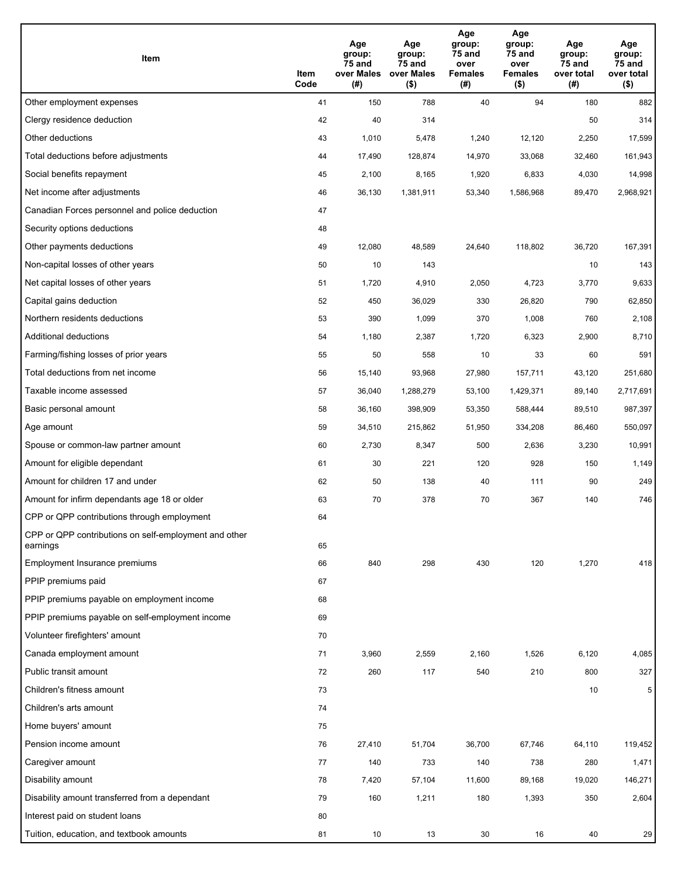| Item                                                              | Item<br>Code | Age<br>group:<br>75 and<br>over Males<br>(# ) | Age<br>group:<br>75 and<br>over Males<br>$($ \$) | Age<br>group:<br>75 and<br>over<br><b>Females</b><br>(#) | Age<br>group:<br>75 and<br>over<br><b>Females</b><br>$($ \$) | Age<br>group:<br>75 and<br>over total<br>(#) | Age<br>group:<br>75 and<br>over total<br>$($ \$) |
|-------------------------------------------------------------------|--------------|-----------------------------------------------|--------------------------------------------------|----------------------------------------------------------|--------------------------------------------------------------|----------------------------------------------|--------------------------------------------------|
| Other employment expenses                                         | 41           | 150                                           | 788                                              | 40                                                       | 94                                                           | 180                                          | 882                                              |
| Clergy residence deduction                                        | 42           | 40                                            | 314                                              |                                                          |                                                              | 50                                           | 314                                              |
| Other deductions                                                  | 43           | 1,010                                         | 5,478                                            | 1,240                                                    | 12,120                                                       | 2,250                                        | 17,599                                           |
| Total deductions before adjustments                               | 44           | 17,490                                        | 128,874                                          | 14,970                                                   | 33,068                                                       | 32,460                                       | 161,943                                          |
| Social benefits repayment                                         | 45           | 2,100                                         | 8,165                                            | 1,920                                                    | 6,833                                                        | 4,030                                        | 14,998                                           |
| Net income after adjustments                                      | 46           | 36,130                                        | 1,381,911                                        | 53,340                                                   | 1,586,968                                                    | 89,470                                       | 2,968,921                                        |
| Canadian Forces personnel and police deduction                    | 47           |                                               |                                                  |                                                          |                                                              |                                              |                                                  |
| Security options deductions                                       | 48           |                                               |                                                  |                                                          |                                                              |                                              |                                                  |
| Other payments deductions                                         | 49           | 12,080                                        | 48,589                                           | 24,640                                                   | 118,802                                                      | 36,720                                       | 167,391                                          |
| Non-capital losses of other years                                 | 50           | 10                                            | 143                                              |                                                          |                                                              | 10                                           | 143                                              |
| Net capital losses of other years                                 | 51           | 1,720                                         | 4,910                                            | 2,050                                                    | 4,723                                                        | 3,770                                        | 9,633                                            |
| Capital gains deduction                                           | 52           | 450                                           | 36,029                                           | 330                                                      | 26,820                                                       | 790                                          | 62,850                                           |
| Northern residents deductions                                     | 53           | 390                                           | 1,099                                            | 370                                                      | 1,008                                                        | 760                                          | 2,108                                            |
| Additional deductions                                             | 54           | 1,180                                         | 2,387                                            | 1,720                                                    | 6,323                                                        | 2,900                                        | 8,710                                            |
| Farming/fishing losses of prior years                             | 55           | 50                                            | 558                                              | 10                                                       | 33                                                           | 60                                           | 591                                              |
| Total deductions from net income                                  | 56           | 15,140                                        | 93,968                                           | 27,980                                                   | 157,711                                                      | 43,120                                       | 251,680                                          |
| Taxable income assessed                                           | 57           | 36,040                                        | 1,288,279                                        | 53,100                                                   | 1,429,371                                                    | 89,140                                       | 2,717,691                                        |
| Basic personal amount                                             | 58           | 36,160                                        | 398,909                                          | 53,350                                                   | 588,444                                                      | 89,510                                       | 987,397                                          |
| Age amount                                                        | 59           | 34,510                                        | 215,862                                          | 51,950                                                   | 334,208                                                      | 86,460                                       | 550,097                                          |
| Spouse or common-law partner amount                               | 60           | 2,730                                         | 8,347                                            | 500                                                      | 2,636                                                        | 3,230                                        | 10,991                                           |
| Amount for eligible dependant                                     | 61           | 30                                            | 221                                              | 120                                                      | 928                                                          | 150                                          | 1,149                                            |
| Amount for children 17 and under                                  | 62           | 50                                            | 138                                              | 40                                                       | 111                                                          | 90                                           | 249                                              |
| Amount for infirm dependants age 18 or older                      | 63           | 70                                            | 378                                              | 70                                                       | 367                                                          | 140                                          | 746                                              |
| CPP or QPP contributions through employment                       | 64           |                                               |                                                  |                                                          |                                                              |                                              |                                                  |
| CPP or QPP contributions on self-employment and other<br>earnings | 65           |                                               |                                                  |                                                          |                                                              |                                              |                                                  |
| Employment Insurance premiums                                     | 66           | 840                                           | 298                                              | 430                                                      | 120                                                          | 1,270                                        | 418                                              |
| PPIP premiums paid                                                | 67           |                                               |                                                  |                                                          |                                                              |                                              |                                                  |
| PPIP premiums payable on employment income                        | 68           |                                               |                                                  |                                                          |                                                              |                                              |                                                  |
| PPIP premiums payable on self-employment income                   | 69           |                                               |                                                  |                                                          |                                                              |                                              |                                                  |
| Volunteer firefighters' amount                                    | 70           |                                               |                                                  |                                                          |                                                              |                                              |                                                  |
| Canada employment amount                                          | 71           | 3,960                                         | 2,559                                            | 2,160                                                    | 1,526                                                        | 6,120                                        | 4,085                                            |
| Public transit amount                                             | 72           | 260                                           | 117                                              | 540                                                      | 210                                                          | 800                                          | 327                                              |
| Children's fitness amount                                         | 73           |                                               |                                                  |                                                          |                                                              | 10                                           | 5                                                |
| Children's arts amount                                            | 74           |                                               |                                                  |                                                          |                                                              |                                              |                                                  |
| Home buyers' amount                                               | 75           |                                               |                                                  |                                                          |                                                              |                                              |                                                  |
| Pension income amount                                             | 76           | 27,410                                        | 51,704                                           | 36,700                                                   | 67,746                                                       | 64,110                                       | 119,452                                          |
| Caregiver amount                                                  | 77           | 140                                           | 733                                              | 140                                                      | 738                                                          | 280                                          | 1,471                                            |
| Disability amount                                                 | 78           | 7,420                                         | 57,104                                           | 11,600                                                   | 89,168                                                       | 19,020                                       | 146,271                                          |
| Disability amount transferred from a dependant                    | 79           | 160                                           | 1,211                                            | 180                                                      | 1,393                                                        | 350                                          | 2,604                                            |
| Interest paid on student loans                                    | 80           |                                               |                                                  |                                                          |                                                              |                                              |                                                  |
| Tuition, education, and textbook amounts                          | 81           | 10                                            | 13                                               | 30                                                       | 16                                                           | 40                                           | 29                                               |